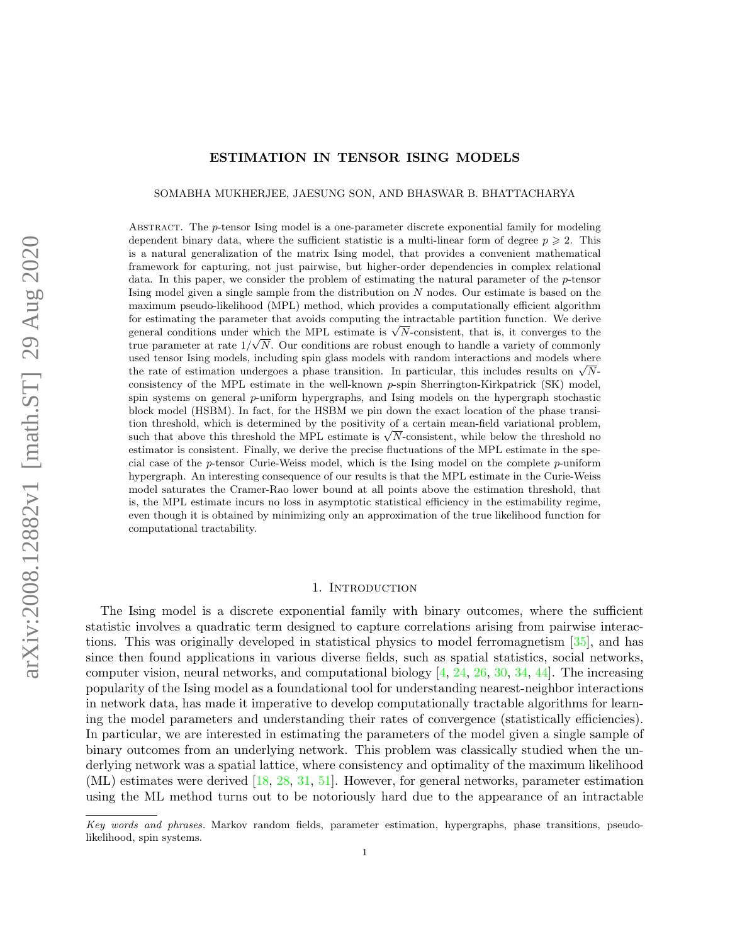# ESTIMATION IN TENSOR ISING MODELS

SOMABHA MUKHERJEE, JAESUNG SON, AND BHASWAR B. BHATTACHARYA

ABSTRACT. The *p*-tensor Ising model is a one-parameter discrete exponential family for modeling dependent binary data, where the sufficient statistic is a multi-linear form of degree  $p \geqslant 2$ . This is a natural generalization of the matrix Ising model, that provides a convenient mathematical framework for capturing, not just pairwise, but higher-order dependencies in complex relational data. In this paper, we consider the problem of estimating the natural parameter of the p-tensor Ising model given a single sample from the distribution on N nodes. Our estimate is based on the maximum pseudo-likelihood (MPL) method, which provides a computationally efficient algorithm for estimating the parameter that avoids computing the intractable partition function. We derive for estimating the parameter that avoids computing the intractable partition function. We derive<br>general conditions under which the MPL estimate is  $\sqrt{N}$ -consistent, that is, it converges to the true parameter at rate  $1/\sqrt{N}$ . Our conditions are robust enough to handle a variety of commonly used tensor Ising models, including spin glass models with random interactions and models where used tensor ising models, including spin glass models with random interactions and models where<br>the rate of estimation undergoes a phase transition. In particular, this includes results on  $\sqrt{N}$ consistency of the MPL estimate in the well-known  $p$ -spin Sherrington-Kirkpatrick (SK) model, spin systems on general p-uniform hypergraphs, and Ising models on the hypergraph stochastic block model (HSBM). In fact, for the HSBM we pin down the exact location of the phase transition threshold, which is determined by the positivity of a certain mean-field variational problem, tion threshold, which is determined by the positivity of a certain mean-field variational problem,<br>such that above this threshold the MPL estimate is  $\sqrt{N}$ -consistent, while below the threshold no estimator is consistent. Finally, we derive the precise fluctuations of the MPL estimate in the special case of the p-tensor Curie-Weiss model, which is the Ising model on the complete p-uniform hypergraph. An interesting consequence of our results is that the MPL estimate in the Curie-Weiss model saturates the Cramer-Rao lower bound at all points above the estimation threshold, that is, the MPL estimate incurs no loss in asymptotic statistical efficiency in the estimability regime, even though it is obtained by minimizing only an approximation of the true likelihood function for computational tractability.

### 1. INTRODUCTION

The Ising model is a discrete exponential family with binary outcomes, where the sufficient statistic involves a quadratic term designed to capture correlations arising from pairwise interactions. This was originally developed in statistical physics to model ferromagnetism [\[35\]](#page-32-0), and has since then found applications in various diverse fields, such as spatial statistics, social networks, computer vision, neural networks, and computational biology  $[4, 24, 26, 30, 34, 44]$  $[4, 24, 26, 30, 34, 44]$  $[4, 24, 26, 30, 34, 44]$  $[4, 24, 26, 30, 34, 44]$  $[4, 24, 26, 30, 34, 44]$  $[4, 24, 26, 30, 34, 44]$  $[4, 24, 26, 30, 34, 44]$  $[4, 24, 26, 30, 34, 44]$  $[4, 24, 26, 30, 34, 44]$  $[4, 24, 26, 30, 34, 44]$  $[4, 24, 26, 30, 34, 44]$ . The increasing popularity of the Ising model as a foundational tool for understanding nearest-neighbor interactions in network data, has made it imperative to develop computationally tractable algorithms for learning the model parameters and understanding their rates of convergence (statistically efficiencies). In particular, we are interested in estimating the parameters of the model given a single sample of binary outcomes from an underlying network. This problem was classically studied when the underlying network was a spatial lattice, where consistency and optimality of the maximum likelihood (ML) estimates were derived [\[18,](#page-31-4) [28,](#page-31-5) [31,](#page-31-6) [51\]](#page-32-3). However, for general networks, parameter estimation using the ML method turns out to be notoriously hard due to the appearance of an intractable

Key words and phrases. Markov random fields, parameter estimation, hypergraphs, phase transitions, pseudolikelihood, spin systems.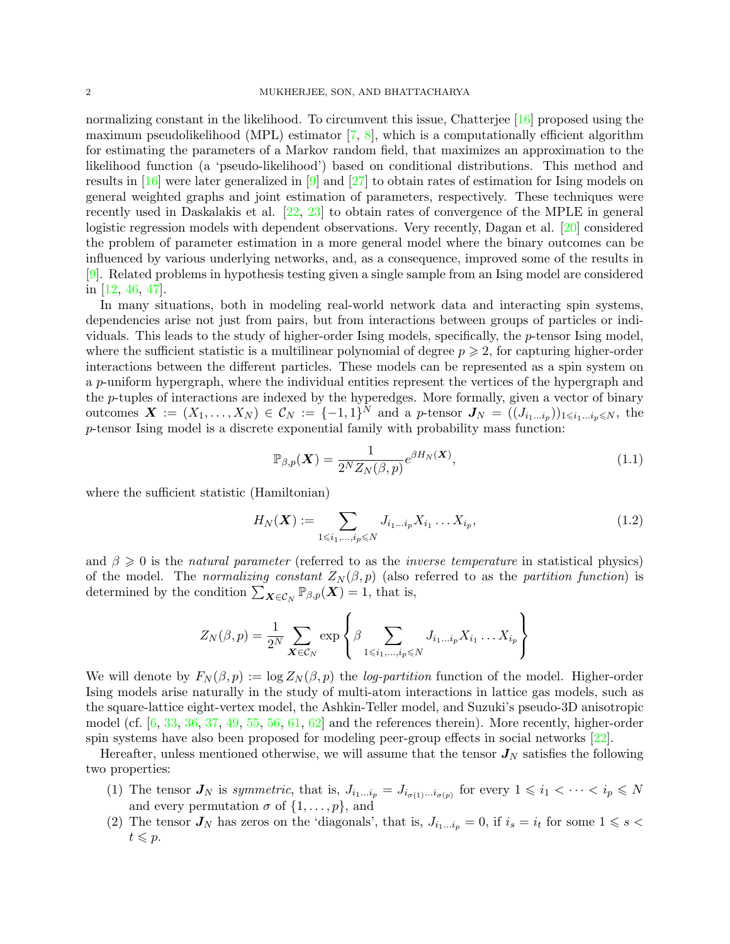normalizing constant in the likelihood. To circumvent this issue, Chatterjee [\[16\]](#page-31-7) proposed using the maximum pseudolikelihood (MPL) estimator  $[7, 8]$  $[7, 8]$  $[7, 8]$ , which is a computationally efficient algorithm for estimating the parameters of a Markov random field, that maximizes an approximation to the likelihood function (a 'pseudo-likelihood') based on conditional distributions. This method and results in [\[16\]](#page-31-7) were later generalized in [\[9\]](#page-31-10) and [\[27\]](#page-31-11) to obtain rates of estimation for Ising models on general weighted graphs and joint estimation of parameters, respectively. These techniques were recently used in Daskalakis et al. [\[22,](#page-31-12) [23\]](#page-31-13) to obtain rates of convergence of the MPLE in general logistic regression models with dependent observations. Very recently, Dagan et al. [\[20\]](#page-31-14) considered the problem of parameter estimation in a more general model where the binary outcomes can be influenced by various underlying networks, and, as a consequence, improved some of the results in [\[9\]](#page-31-10). Related problems in hypothesis testing given a single sample from an Ising model are considered in [\[12,](#page-31-15) [46,](#page-32-4) [47\]](#page-32-5).

In many situations, both in modeling real-world network data and interacting spin systems, dependencies arise not just from pairs, but from interactions between groups of particles or individuals. This leads to the study of higher-order Ising models, specifically, the p-tensor Ising model, where the sufficient statistic is a multilinear polynomial of degree  $p \geqslant 2$ , for capturing higher-order interactions between the different particles. These models can be represented as a spin system on a p-uniform hypergraph, where the individual entities represent the vertices of the hypergraph and the p-tuples of interactions are indexed by the hyperedges. More formally, given a vector of binary outcomes  $\boldsymbol{X} := (X_1, \ldots, X_N) \in \mathcal{C}_N := \{-1, 1\}^N$  and a p-tensor  $\boldsymbol{J}_N = ((J_{i_1 \ldots i_p})_{1 \leq i_1 \ldots i_p \leq N},$  the p-tensor Ising model is a discrete exponential family with probability mass function:

<span id="page-1-0"></span>
$$
\mathbb{P}_{\beta,p}(\boldsymbol{X}) = \frac{1}{2^N Z_N(\beta,p)} e^{\beta H_N(\boldsymbol{X})},\tag{1.1}
$$

where the sufficient statistic (Hamiltonian)

<span id="page-1-1"></span>
$$
H_N(\boldsymbol{X}) := \sum_{1 \le i_1, \dots, i_p \le N} J_{i_1 \dots i_p} X_{i_1} \dots X_{i_p},\tag{1.2}
$$

and  $\beta \geq 0$  is the *natural parameter* (referred to as the *inverse temperature* in statistical physics) of the model. The normalizing constant  $Z_N(\beta, p)$  (also referred to as the partition function) is determined by the condition  $\sum_{\mathbf{X}\in\mathcal{C}_N} \mathbb{P}_{\beta,p}(\mathbf{X}) = 1$ , that is,

$$
Z_N(\beta, p) = \frac{1}{2^N} \sum_{\mathbf{X} \in \mathcal{C}_N} \exp \left\{ \beta \sum_{1 \leqslant i_1, \dots, i_p \leqslant N} J_{i_1 \dots i_p} X_{i_1} \dots X_{i_p} \right\}
$$

We will denote by  $F_N(\beta, p) := \log Z_N(\beta, p)$  the log-partition function of the model. Higher-order Ising models arise naturally in the study of multi-atom interactions in lattice gas models, such as the square-lattice eight-vertex model, the Ashkin-Teller model, and Suzuki's pseudo-3D anisotropic model (cf. [\[6,](#page-31-16) [33,](#page-32-6) [36,](#page-32-7) [37,](#page-32-8) [49,](#page-32-9) [55,](#page-32-10) [56,](#page-32-11) [61,](#page-33-0) [62\]](#page-33-1) and the references therein). More recently, higher-order spin systems have also been proposed for modeling peer-group effects in social networks [\[22\]](#page-31-12).

Hereafter, unless mentioned otherwise, we will assume that the tensor  $J_N$  satisfies the following two properties:

- (1) The tensor  $J_N$  is symmetric, that is,  $J_{i_1...i_p} = J_{i_{\sigma(1)}...i_{\sigma(p)}}$  for every  $1 \leq i_1 < \cdots < i_p \leq N$ and every permutation  $\sigma$  of  $\{1, \ldots, p\}$ , and
- (2) The tensor  $J_N$  has zeros on the 'diagonals', that is,  $J_{i_1...i_p} = 0$ , if  $i_s = i_t$  for some  $1 \leq s <$  $t \leqslant p$ .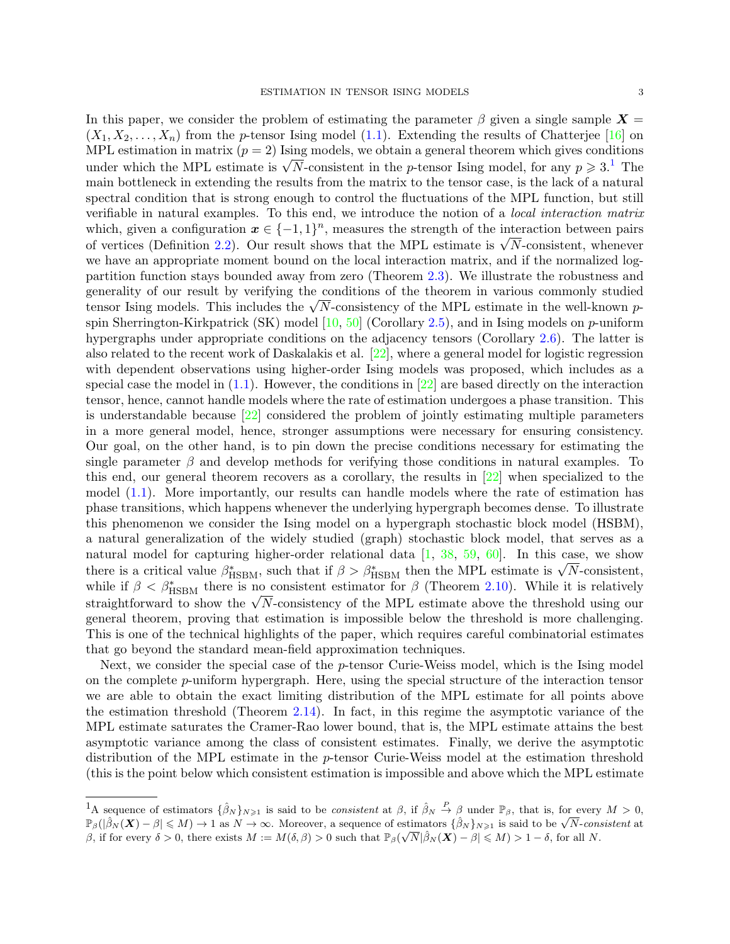In this paper, we consider the problem of estimating the parameter  $\beta$  given a single sample  $X =$  $(X_1, X_2, \ldots, X_n)$  from the *p*-tensor Ising model [\(1.1\)](#page-1-0). Extending the results of Chatterjee [\[16\]](#page-31-7) on MPL estimation in matrix  $(p = 2)$  Ising models, we obtain a general theorem which gives conditions under which the MPL estimate is  $\sqrt{N}$ -consistent in the *p*-tensor Ising model, for any  $p \ge 3.1$  $p \ge 3.1$ . The main bottleneck in extending the results from the matrix to the tensor case, is the lack of a natural spectral condition that is strong enough to control the fluctuations of the MPL function, but still verifiable in natural examples. To this end, we introduce the notion of a local interaction matrix which, given a configuration  $x \in \{-1,1\}^n$ , measures the strength of the interaction between pairs of vertices (Definition [2.2\)](#page-4-0). Our result shows that the MPL estimate is  $\sqrt{N}$ -consistent, whenever we have an appropriate moment bound on the local interaction matrix, and if the normalized logpartition function stays bounded away from zero (Theorem [2.3\)](#page-4-1). We illustrate the robustness and generality of our result by verifying the conditions of the theorem in various commonly studied tensor Ising models. This includes the  $\sqrt{N}$ -consistency of the MPL estimate in the well-known  $p$ spin Sherrington-Kirkpatrick (SK) model  $[10, 50]$  $[10, 50]$  $[10, 50]$  (Corollary [2.5\)](#page-5-0), and in Ising models on p-uniform hypergraphs under appropriate conditions on the adjacency tensors (Corollary [2.6\)](#page-6-0). The latter is also related to the recent work of Daskalakis et al. [\[22\]](#page-31-12), where a general model for logistic regression with dependent observations using higher-order Ising models was proposed, which includes as a special case the model in  $(1.1)$ . However, the conditions in  $[22]$  are based directly on the interaction tensor, hence, cannot handle models where the rate of estimation undergoes a phase transition. This is understandable because [\[22\]](#page-31-12) considered the problem of jointly estimating multiple parameters in a more general model, hence, stronger assumptions were necessary for ensuring consistency. Our goal, on the other hand, is to pin down the precise conditions necessary for estimating the single parameter  $\beta$  and develop methods for verifying those conditions in natural examples. To this end, our general theorem recovers as a corollary, the results in [\[22\]](#page-31-12) when specialized to the model [\(1.1\)](#page-1-0). More importantly, our results can handle models where the rate of estimation has phase transitions, which happens whenever the underlying hypergraph becomes dense. To illustrate this phenomenon we consider the Ising model on a hypergraph stochastic block model (HSBM), a natural generalization of the widely studied (graph) stochastic block model, that serves as a natural model for capturing higher-order relational data  $[1, 38, 59, 60]$  $[1, 38, 59, 60]$  $[1, 38, 59, 60]$  $[1, 38, 59, 60]$  $[1, 38, 59, 60]$  $[1, 38, 59, 60]$  $[1, 38, 59, 60]$ . In this case, we show there is a critical value  $\beta_{\text{HSBM}}^*$ , such that if  $\beta > \beta_{\text{HSBM}}^*$  then the MPL estimate is  $\sqrt{N}$ -consistent, while if  $\beta < \beta_{\text{HSBM}}^*$  there is no consistent estimator for  $\beta$  (Theorem [2.10\)](#page-8-0). While it is relatively straightforward to show the  $\sqrt{N}$ -consistency of the MPL estimate above the threshold using our general theorem, proving that estimation is impossible below the threshold is more challenging. This is one of the technical highlights of the paper, which requires careful combinatorial estimates that go beyond the standard mean-field approximation techniques.

Next, we consider the special case of the  $p$ -tensor Curie-Weiss model, which is the Ising model on the complete p-uniform hypergraph. Here, using the special structure of the interaction tensor we are able to obtain the exact limiting distribution of the MPL estimate for all points above the estimation threshold (Theorem [2.14\)](#page-11-0). In fact, in this regime the asymptotic variance of the MPL estimate saturates the Cramer-Rao lower bound, that is, the MPL estimate attains the best asymptotic variance among the class of consistent estimates. Finally, we derive the asymptotic distribution of the MPL estimate in the p-tensor Curie-Weiss model at the estimation threshold (this is the point below which consistent estimation is impossible and above which the MPL estimate

<span id="page-2-0"></span><sup>&</sup>lt;sup>1</sup>A sequence of estimators  $\{\hat{\beta}_N\}_{N\geqslant 1}$  is said to be *consistent* at  $\beta$ , if  $\hat{\beta}_N \stackrel{P}{\rightarrow} \beta$  under  $\mathbb{P}_{\beta}$ , that is, for every  $M > 0$ , A sequence of estimators  $\{p_N\}_{N\geq 1}$  is said to be *consistent* at p, if  $p_N \to p$  under  $\mathbb{F}_{\beta}$ , that is, for every  $M > 0$ ,  $\mathbb{F}_{\beta}(\hat{\beta}_N(\mathbf{X}) - \beta) \leq M$ )  $\to 1$  as  $N \to \infty$ . Moreover, a sequence of estimators  $\$  $\beta_{\beta}(\beta N(\mathbf{A}) - \beta) \leq M$  + 1 as  $N \to \infty$ . Moreover, a sequence or estimators  $\{ \beta N \} N \geq 1$  is said to be  $\sqrt{N}$ -control.<br>  $\beta$ , if for every  $\delta > 0$ , there exists  $M := M(\delta, \beta) > 0$  such that  $\mathbb{P}_{\beta}(\sqrt{N}|\hat{\beta}_N(\mathbf{X}) - \$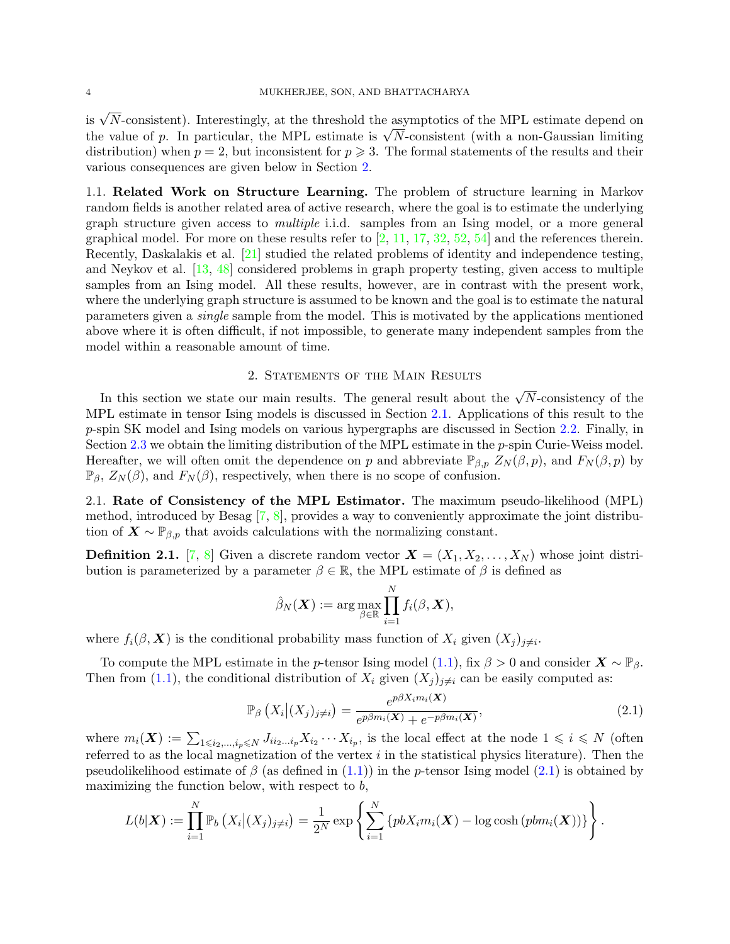is  $\sqrt{N}$ -consistent). Interestingly, at the threshold the asymptotics of the MPL estimate depend on the value of p. In particular, the MPL estimate is  $\sqrt{N}$ -consistent (with a non-Gaussian limiting distribution) when  $p = 2$ , but inconsistent for  $p \ge 3$ . The formal statements of the results and their various consequences are given below in Section [2.](#page-3-0)

1.1. Related Work on Structure Learning. The problem of structure learning in Markov random fields is another related area of active research, where the goal is to estimate the underlying graph structure given access to multiple i.i.d. samples from an Ising model, or a more general graphical model. For more on these results refer to  $[2, 11, 17, 32, 52, 54]$  $[2, 11, 17, 32, 52, 54]$  $[2, 11, 17, 32, 52, 54]$  $[2, 11, 17, 32, 52, 54]$  $[2, 11, 17, 32, 52, 54]$  $[2, 11, 17, 32, 52, 54]$  $[2, 11, 17, 32, 52, 54]$  $[2, 11, 17, 32, 52, 54]$  $[2, 11, 17, 32, 52, 54]$  $[2, 11, 17, 32, 52, 54]$  $[2, 11, 17, 32, 52, 54]$  and the references therein. Recently, Daskalakis et al. [\[21\]](#page-31-20) studied the related problems of identity and independence testing, and Neykov et al. [\[13,](#page-31-21) [48\]](#page-32-18) considered problems in graph property testing, given access to multiple samples from an Ising model. All these results, however, are in contrast with the present work, where the underlying graph structure is assumed to be known and the goal is to estimate the natural parameters given a single sample from the model. This is motivated by the applications mentioned above where it is often difficult, if not impossible, to generate many independent samples from the model within a reasonable amount of time.

## 2. Statements of the Main Results

<span id="page-3-0"></span>In this section we state our main results. The general result about the  $\sqrt{N}$ -consistency of the MPL estimate in tensor Ising models is discussed in Section [2.1.](#page-3-1) Applications of this result to the p-spin SK model and Ising models on various hypergraphs are discussed in Section [2.2.](#page-5-1) Finally, in Section [2.3](#page-10-0) we obtain the limiting distribution of the MPL estimate in the p-spin Curie-Weiss model. Hereafter, we will often omit the dependence on p and abbreviate  $\mathbb{P}_{\beta,p} Z_N(\beta,p)$ , and  $F_N(\beta,p)$  by  $\mathbb{P}_{\beta}$ ,  $Z_N(\beta)$ , and  $F_N(\beta)$ , respectively, when there is no scope of confusion.

<span id="page-3-1"></span>2.1. Rate of Consistency of the MPL Estimator. The maximum pseudo-likelihood (MPL) method, introduced by Besag [\[7,](#page-31-8) [8\]](#page-31-9), provides a way to conveniently approximate the joint distribution of  $\mathbf{X} \sim \mathbb{P}_{\beta,p}$  that avoids calculations with the normalizing constant.

**Definition 2.1.** [\[7,](#page-31-8) [8\]](#page-31-9) Given a discrete random vector  $\mathbf{X} = (X_1, X_2, \ldots, X_N)$  whose joint distribution is parameterized by a parameter  $\beta \in \mathbb{R}$ , the MPL estimate of  $\beta$  is defined as

$$
\hat{\beta}_N(\boldsymbol{X}):=\arg\max_{\beta\in\mathbb{R}}\prod_{i=1}^N f_i(\beta,\boldsymbol{X}),
$$

where  $f_i(\beta, \mathbf{X})$  is the conditional probability mass function of  $X_i$  given  $(X_j)_{j \neq i}$ .

To compute the MPL estimate in the p-tensor Ising model [\(1.1\)](#page-1-0), fix  $\beta > 0$  and consider  $\mathbf{X} \sim \mathbb{P}_{\beta}$ . Then from [\(1.1\)](#page-1-0), the conditional distribution of  $X_i$  given  $(X_j)_{j\neq i}$  can be easily computed as:

<span id="page-3-2"></span>
$$
\mathbb{P}_{\beta}\left(X_{i}\big|(X_{j})_{j\neq i}\right) = \frac{e^{p\beta X_{i}m_{i}(\boldsymbol{X})}}{e^{p\beta m_{i}(\boldsymbol{X})} + e^{-p\beta m_{i}(\boldsymbol{X})}},\tag{2.1}
$$

where  $m_i(\boldsymbol{X}) := \sum_{1 \leq i_2, ..., i_p \leq N} J_{i i_2 ... i_p} X_{i_2} \cdots X_{i_p}$ , is the local effect at the node  $1 \leq i \leq N$  (often referred to as the local magnetization of the vertex  $i$  in the statistical physics literature). Then the pseudolikelihood estimate of  $\beta$  (as defined in  $(1.1)$ ) in the p-tensor Ising model  $(2.1)$  is obtained by maximizing the function below, with respect to  $b$ ,

$$
L(b|\boldsymbol{X}) := \prod_{i=1}^N \mathbb{P}_b\left(X_i \big| (X_j)_{j \neq i}\right) = \frac{1}{2^N} \exp\left\{\sum_{i=1}^N \left\{pbX_i m_i(\boldsymbol{X}) - \log \cosh\left(pbm_i(\boldsymbol{X})\right)\right\}\right\}.
$$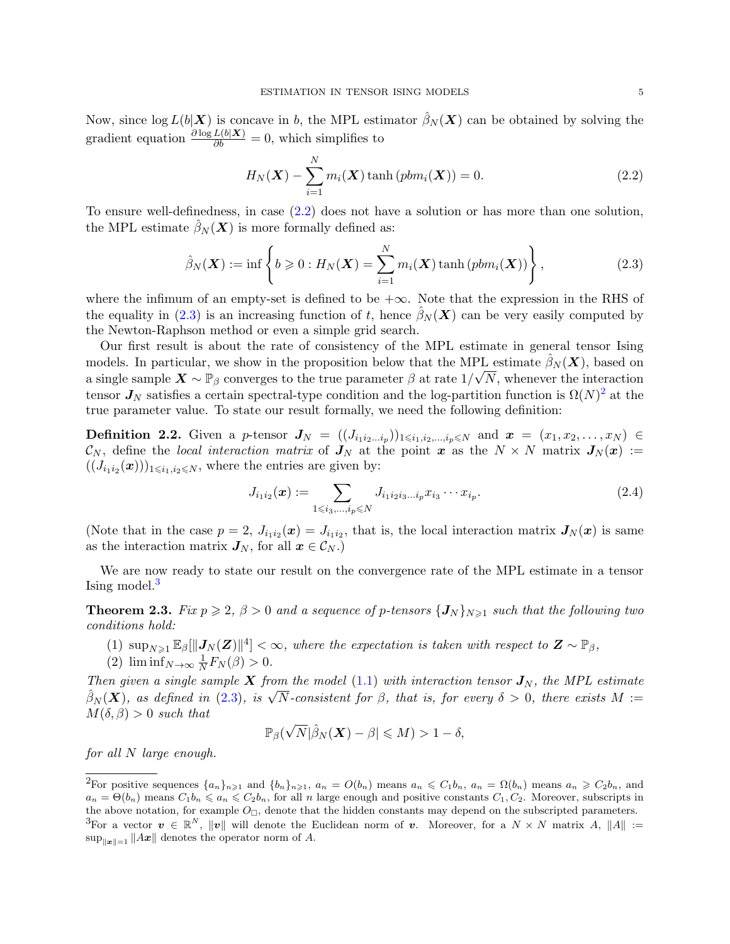Now, since  $\log L(b|\mathbf{X})$  is concave in b, the MPL estimator  $\hat{\beta}_N(\mathbf{X})$  can be obtained by solving the gradient equation  $\frac{\partial \log L(b|\mathbf{X})}{\partial b} = 0$ , which simplifies to

<span id="page-4-2"></span>
$$
H_N(\boldsymbol{X}) - \sum_{i=1}^N m_i(\boldsymbol{X}) \tanh\left(p b m_i(\boldsymbol{X})\right) = 0.
$$
\n(2.2)

To ensure well-definedness, in case [\(2.2\)](#page-4-2) does not have a solution or has more than one solution, the MPL estimate  $\beta_N(\boldsymbol{X})$  is more formally defined as:

<span id="page-4-3"></span>
$$
\hat{\beta}_N(\boldsymbol{X}) := \inf \left\{ b \geqslant 0 : H_N(\boldsymbol{X}) = \sum_{i=1}^N m_i(\boldsymbol{X}) \tanh\left(p b m_i(\boldsymbol{X})\right) \right\},\tag{2.3}
$$

where the infimum of an empty-set is defined to be  $+\infty$ . Note that the expression in the RHS of the equality in [\(2.3\)](#page-4-3) is an increasing function of t, hence  $\hat{\beta}_N(X)$  can be very easily computed by the Newton-Raphson method or even a simple grid search.

Our first result is about the rate of consistency of the MPL estimate in general tensor Ising models. In particular, we show in the proposition below that the MPL estimate  $\hat{\beta}_N(\boldsymbol{X})$ , based on a single sample  $\mathbf{X} \sim \mathbb{P}_{\beta}$  converges to the true parameter  $\beta$  at rate  $1/\sqrt{N}$ , whenever the interaction tensor  $J_N$  satisfies a certain spectral-type condition and the log-partition function is  $\Omega(N)^2$  $\Omega(N)^2$  at the true parameter value. To state our result formally, we need the following definition:

<span id="page-4-0"></span>**Definition 2.2.** Given a p-tensor  $J_N = ((J_{i_1i_2...i_p})_{1\leqslant i_1,i_2,...,i_p\leqslant N}$  and  $x = (x_1, x_2,...,x_N) \in$  $\mathcal{C}_N$ , define the local interaction matrix of  $J_N$  at the point x as the  $N \times N$  matrix  $J_N(x) :=$  $((J_{i_1i_2}(\boldsymbol{x})))_{1\leqslant i_1,i_2\leqslant N}$ , where the entries are given by:

$$
J_{i_1 i_2}(\boldsymbol{x}) := \sum_{1 \le i_3, \dots, i_p \le N} J_{i_1 i_2 i_3 \dots i_p} x_{i_3} \cdots x_{i_p}.
$$
 (2.4)

(Note that in the case  $p = 2$ ,  $J_{i_1 i_2}(\mathbf{x}) = J_{i_1 i_2}$ , that is, the local interaction matrix  $J_N(\mathbf{x})$  is same as the interaction matrix  $J_N$ , for all  $x \in \mathcal{C}_N$ .)

We are now ready to state our result on the convergence rate of the MPL estimate in a tensor Ising model.<sup>[3](#page-4-5)</sup>

<span id="page-4-1"></span>**Theorem 2.3.** Fix  $p \ge 2$ ,  $\beta > 0$  and a sequence of p-tensors  $\{J_N\}_{N\ge 1}$  such that the following two conditions hold:

- (1)  $\sup_{N\geq 1} \mathbb{E}_{\beta}[\Vert J_N(Z)\Vert^4] < \infty$ , where the expectation is taken with respect to  $Z \sim \mathbb{P}_{\beta}$ ,
- (2)  $\liminf_{N\to\infty}\frac{1}{N}$  $\frac{1}{N}F_N(\beta) > 0.$

Then given a single sample X from the model [\(1.1\)](#page-1-0) with interaction tensor  $J_N$ , the MPL estimate  $\hat{\beta}_N(\boldsymbol{X})$ , as defined in [\(2.3\)](#page-4-3), is  $\sqrt{N}$ -consistent for  $\beta$ , that is, for every  $\delta > 0$ , there exists  $M :=$  $M(\delta, \beta) > 0$  such that

$$
\mathbb{P}_{\beta}(\sqrt{N}|\hat{\beta}_N(\boldsymbol{X})-\beta|\leqslant M)>1-\delta,
$$

for all N large enough.

<span id="page-4-5"></span><span id="page-4-4"></span><sup>&</sup>lt;sup>2</sup>For positive sequences  $\{a_n\}_{n\geqslant1}$  and  $\{b_n\}_{n\geqslant1}$ ,  $a_n = O(b_n)$  means  $a_n \leqslant C_1b_n$ ,  $a_n = \Omega(b_n)$  means  $a_n \geqslant C_2b_n$ , and  $a_n = \Theta(b_n)$  means  $C_1b_n \leq a_n \leq C_2b_n$ , for all n large enough and positive constants  $C_1, C_2$ . Moreover, subscripts in the above notation, for example  $O_{\square}$ , denote that the hidden constants may depend on the subscripted parameters. <sup>3</sup>For a vector  $v \in \mathbb{R}^N$ ,  $||v||$  will denote the Euclidean norm of v. Moreover, for a  $N \times N$  matrix A,  $||A|| :=$  $\sup_{\|\boldsymbol{x}\| = 1} \|A\boldsymbol{x}\|$  denotes the operator norm of A.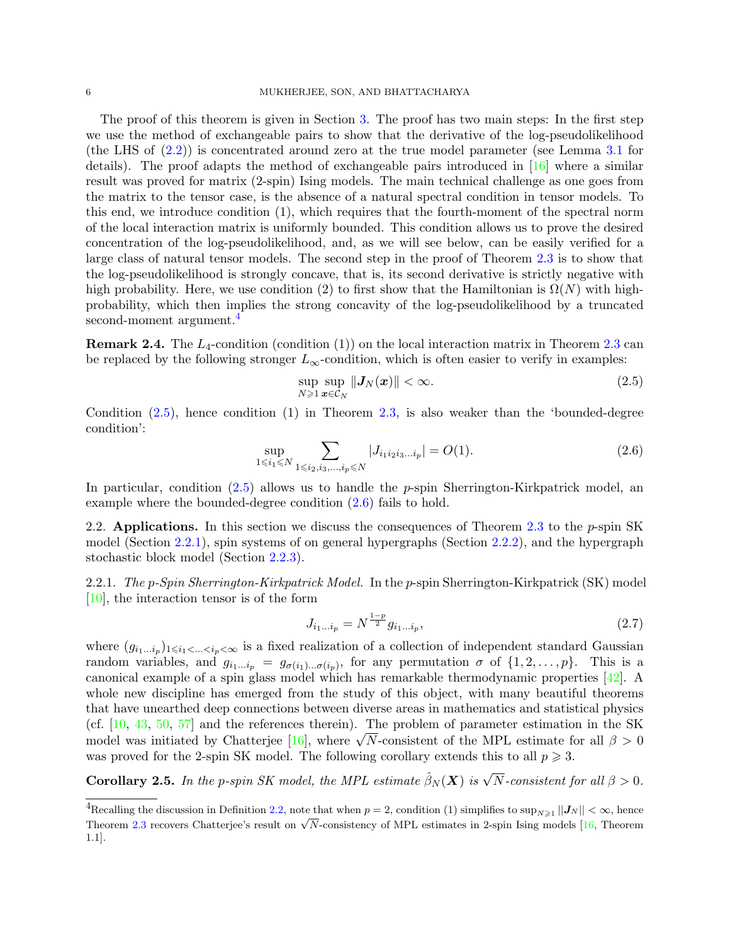The proof of this theorem is given in Section [3.](#page-14-0) The proof has two main steps: In the first step we use the method of exchangeable pairs to show that the derivative of the log-pseudolikelihood (the LHS of [\(2.2\)](#page-4-2)) is concentrated around zero at the true model parameter (see Lemma [3.1](#page-14-1) for details). The proof adapts the method of exchangeable pairs introduced in  $[16]$  where a similar result was proved for matrix (2-spin) Ising models. The main technical challenge as one goes from the matrix to the tensor case, is the absence of a natural spectral condition in tensor models. To this end, we introduce condition (1), which requires that the fourth-moment of the spectral norm of the local interaction matrix is uniformly bounded. This condition allows us to prove the desired concentration of the log-pseudolikelihood, and, as we will see below, can be easily verified for a large class of natural tensor models. The second step in the proof of Theorem [2.3](#page-4-1) is to show that the log-pseudolikelihood is strongly concave, that is, its second derivative is strictly negative with high probability. Here, we use condition (2) to first show that the Hamiltonian is  $\Omega(N)$  with highprobability, which then implies the strong concavity of the log-pseudolikelihood by a truncated second-moment argument.<sup>[4](#page-5-2)</sup>

**Remark 2.4.** The  $L_4$ -condition (condition (1)) on the local interaction matrix in Theorem [2.3](#page-4-1) can be replaced by the following stronger  $L_{\infty}$ -condition, which is often easier to verify in examples:

<span id="page-5-4"></span><span id="page-5-3"></span>
$$
\sup_{N\geqslant 1}\sup_{\boldsymbol{x}\in\mathcal{C}_N}\|\boldsymbol{J}_N(\boldsymbol{x})\|<\infty.\tag{2.5}
$$

Condition [\(2.5\)](#page-5-3), hence condition (1) in Theorem [2.3,](#page-4-1) is also weaker than the 'bounded-degree condition':

$$
\sup_{1 \le i_1 \le N} \sum_{1 \le i_2, i_3, \dots, i_p \le N} |J_{i_1 i_2 i_3 \dots i_p}| = O(1). \tag{2.6}
$$

In particular, condition  $(2.5)$  allows us to handle the p-spin Sherrington-Kirkpatrick model, an example where the bounded-degree condition [\(2.6\)](#page-5-4) fails to hold.

<span id="page-5-1"></span>2.2. Applications. In this section we discuss the consequences of Theorem [2.3](#page-4-1) to the  $p$ -spin SK model (Section [2.2.1\)](#page-5-5), spin systems of on general hypergraphs (Section [2.2.2\)](#page-6-1), and the hypergraph stochastic block model (Section [2.2.3\)](#page-8-1).

<span id="page-5-5"></span>2.2.1. The p-Spin Sherrington-Kirkpatrick Model. In the p-spin Sherrington-Kirkpatrick (SK) model [\[10\]](#page-31-17), the interaction tensor is of the form

<span id="page-5-6"></span>
$$
J_{i_1...i_p} = N^{\frac{1-p}{2}} g_{i_1...i_p},\tag{2.7}
$$

where  $(g_{i_1...i_p})_{1\leq i_1<... is a fixed realization of a collection of independent standard Gaussian$ random variables, and  $g_{i_1...i_p} = g_{\sigma(i_1)... \sigma(i_p)}$ , for any permutation  $\sigma$  of  $\{1, 2, ..., p\}$ . This is a canonical example of a spin glass model which has remarkable thermodynamic properties [\[42\]](#page-32-19). A whole new discipline has emerged from the study of this object, with many beautiful theorems that have unearthed deep connections between diverse areas in mathematics and statistical physics (cf. [\[10,](#page-31-17) [43,](#page-32-20) [50,](#page-32-12) [57\]](#page-32-21) and the references therein). The problem of parameter estimation in the SK model was initiated by Chatterjee [\[16\]](#page-31-7), where  $\sqrt{N}$ -consistent of the MPL estimate for all  $\beta > 0$ was proved for the 2-spin SK model. The following corollary extends this to all  $p \geq 3$ .

<span id="page-5-0"></span>**Corollary 2.5.** In the p-spin SK model, the MPL estimate  $\hat{\beta}_N(\boldsymbol{X})$  is  $\sqrt{N}$ -consistent for all  $\beta > 0$ .

<span id="page-5-2"></span><sup>&</sup>lt;sup>4</sup>Recalling the discussion in Definition [2.2,](#page-4-0) note that when  $p = 2$ , condition (1) simplifies to  $\sup_{N \geq 1} ||J_N|| < \infty$ , hence Theorem [2.3](#page-4-1) recovers Chatterjee's result on  $\sqrt{N}$ -consistency of MPL estimates in 2-spin Ising models [\[16,](#page-31-7) Theorem 1.1].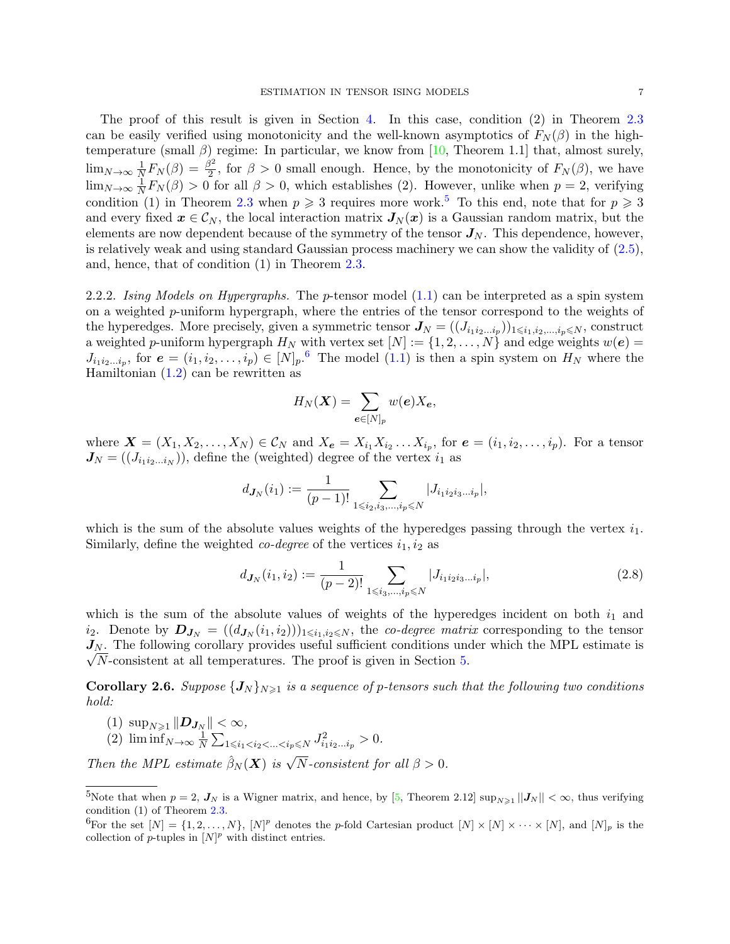The proof of this result is given in Section [4.](#page-19-0) In this case, condition (2) in Theorem [2.3](#page-4-1) can be easily verified using monotonicity and the well-known asymptotics of  $F_N(\beta)$  in the hightemperature (small  $\beta$ ) regime: In particular, we know from [\[10,](#page-31-17) Theorem 1.1] that, almost surely,  $\lim_{N\to\infty}\frac{1}{N}$  $\frac{1}{N}F_N(\beta)=\frac{\beta^2}{2}$  $\frac{2}{2}$ , for  $\beta > 0$  small enough. Hence, by the monotonicity of  $F_N(\beta)$ , we have  $\lim_{N\to\infty}\frac{1}{N}$  $\frac{1}{N}F_N(\beta) > 0$  for all  $\beta > 0$ , which establishes (2). However, unlike when  $p = 2$ , verifying condition (1) in Theorem [2.3](#page-4-1) when  $p \ge 3$  requires more work.<sup>[5](#page-6-2)</sup> To this end, note that for  $p \ge 3$ and every fixed  $x \in \mathcal{C}_N$ , the local interaction matrix  $J_N(x)$  is a Gaussian random matrix, but the elements are now dependent because of the symmetry of the tensor  $J_N$ . This dependence, however, is relatively weak and using standard Gaussian process machinery we can show the validity of  $(2.5)$ , and, hence, that of condition (1) in Theorem [2.3.](#page-4-1)

<span id="page-6-1"></span>2.2.2. Ising Models on Hypergraphs. The p-tensor model  $(1.1)$  can be interpreted as a spin system on a weighted  $p$ -uniform hypergraph, where the entries of the tensor correspond to the weights of the hyperedges. More precisely, given a symmetric tensor  $J_N = ((J_{i_1 i_2...i_p})_{1 \leq i_1,i_2,...,i_p \leq N}$ , construct a weighted p-uniform hypergraph  $H_N$  with vertex set  $[N] := \{1, 2, ..., N\}$  and edge weights  $w(e)$  $J_{i_1i_2...i_p}$ , for  $e=(i_1,i_2,...,i_p) \in [N]_p$ .<sup>[6](#page-6-3)</sup> The model  $(1.1)$  is then a spin system on  $H_N$  where the Hamiltonian [\(1.2\)](#page-1-1) can be rewritten as

<span id="page-6-4"></span>
$$
H_N(\boldsymbol{X}) = \sum_{\boldsymbol{e} \in [N]_p} w(\boldsymbol{e}) X_{\boldsymbol{e}},
$$

where  $\mathbf{X} = (X_1, X_2, \ldots, X_N) \in \mathcal{C}_N$  and  $X_e = X_{i_1} X_{i_2} \ldots X_{i_p}$ , for  $e = (i_1, i_2, \ldots, i_p)$ . For a tensor  $J_N = ((J_{i_1 i_2 \dots i_N}))$ , define the (weighted) degree of the vertex  $i_1$  as

$$
d_{J_N}(i_1) := \frac{1}{(p-1)!} \sum_{1 \leq i_2, i_3, \dots, i_p \leq N} |J_{i_1 i_2 i_3 \dots i_p}|,
$$

which is the sum of the absolute values weights of the hyperedges passing through the vertex  $i_1$ . Similarly, define the weighted *co-degree* of the vertices  $i_1, i_2$  as

$$
d_{J_N}(i_1, i_2) := \frac{1}{(p-2)!} \sum_{1 \le i_3, \dots, i_p \le N} |J_{i_1 i_2 i_3 \dots i_p}|,\tag{2.8}
$$

which is the sum of the absolute values of weights of the hyperedges incident on both  $i_1$  and  $i_2$ . Denote by  $\bm{D}_{\bm{J}_N} = ((d_{\bm{J}_N}(i_1,i_2)))_{1 \leqslant i_1,i_2 \leqslant N}$ , the *co-degree matrix* corresponding to the tensor  $J_N$ . The following corollary provides useful sufficient conditions under which the MPL estimate is  $\sqrt{N}$ -consistent at all temperatures. The proof is given in Section [5.](#page-22-0)

<span id="page-6-0"></span>**Corollary 2.6.** Suppose  $\{J_N\}_{N\geqslant 1}$  is a sequence of p-tensors such that the following two conditions hold:

- (1)  $\sup_{N\geqslant 1} \|D_{J_N}\| < \infty$ , (2)  $\liminf_{N\to\infty}\frac{1}{N}$
- $\frac{1}{N} \sum_{1 \leq i_1 < i_2 < \ldots < i_p \leq N} J^2_{i_1 i_2 \ldots i_p} > 0.$

Then the MPL estimate  $\hat{\beta}_N(\boldsymbol{X})$  is  $\sqrt{N}$ -consistent for all  $\beta > 0$ .

<span id="page-6-2"></span><sup>&</sup>lt;sup>5</sup>Note that when  $p = 2$ ,  $J_N$  is a Wigner matrix, and hence, by [\[5,](#page-31-22) Theorem 2.12]  $\sup_{N \geq 1} ||J_N|| < \infty$ , thus verifying condition (1) of Theorem [2.3.](#page-4-1)

<span id="page-6-3"></span><sup>&</sup>lt;sup>6</sup>For the set  $[N] = \{1, 2, ..., N\}$ ,  $[N]^p$  denotes the p-fold Cartesian product  $[N] \times [N] \times \cdots \times [N]$ , and  $[N]_p$  is the collection of  $p$ -tuples in  $[N]^p$  with distinct entries.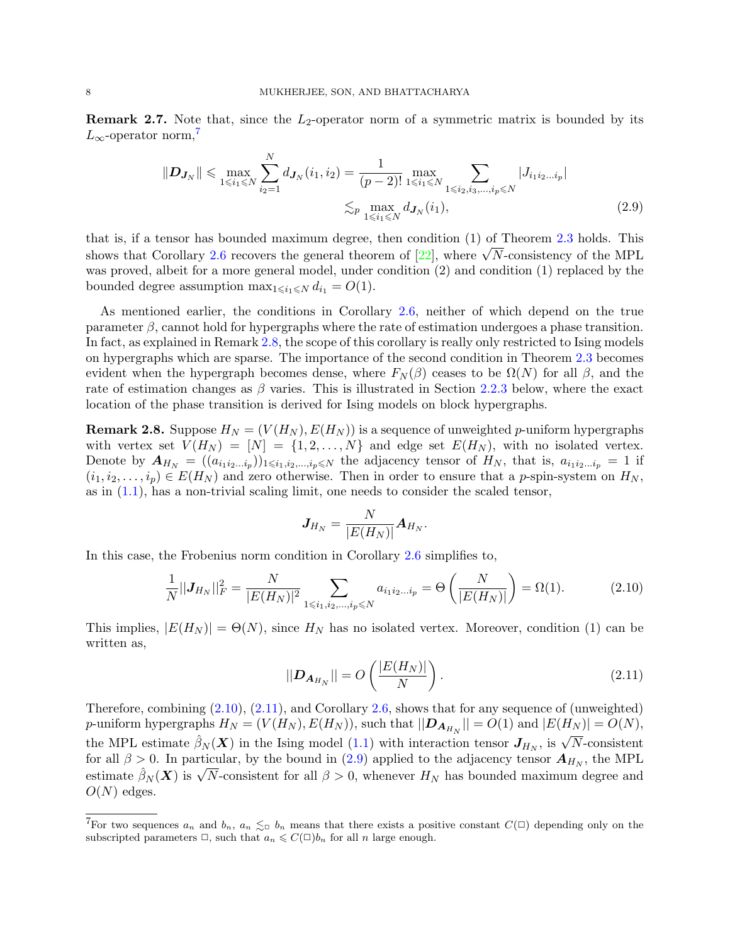**Remark 2.7.** Note that, since the  $L_2$ -operator norm of a symmetric matrix is bounded by its  $L_{\infty}$ -operator norm,<sup>[7](#page-7-0)</sup>

$$
\|\mathbf{D}_{\mathbf{J}_N}\| \leq \max_{1 \leq i_1 \leq N} \sum_{i_2=1}^N d_{\mathbf{J}_N}(i_1, i_2) = \frac{1}{(p-2)!} \max_{1 \leq i_1 \leq N} \sum_{1 \leq i_2, i_3, \dots, i_p \leq N} |J_{i_1 i_2 \dots i_p}|
$$
  

$$
\lesssim_p \max_{1 \leq i_1 \leq N} d_{\mathbf{J}_N}(i_1), \tag{2.9}
$$

that is, if a tensor has bounded maximum degree, then condition (1) of Theorem [2.3](#page-4-1) holds. This shows that Corollary [2.6](#page-6-0) recovers the general theorem of  $[22]$ , where  $\sqrt{N}$ -consistency of the MPL was proved, albeit for a more general model, under condition (2) and condition (1) replaced by the bounded degree assumption  $\max_{1 \leq i_1 \leq N} d_{i_1} = O(1)$ .

As mentioned earlier, the conditions in Corollary [2.6,](#page-6-0) neither of which depend on the true parameter  $\beta$ , cannot hold for hypergraphs where the rate of estimation undergoes a phase transition. In fact, as explained in Remark [2.8,](#page-7-1) the scope of this corollary is really only restricted to Ising models on hypergraphs which are sparse. The importance of the second condition in Theorem [2.3](#page-4-1) becomes evident when the hypergraph becomes dense, where  $F_N(\beta)$  ceases to be  $\Omega(N)$  for all  $\beta$ , and the rate of estimation changes as  $\beta$  varies. This is illustrated in Section [2.2.3](#page-8-1) below, where the exact location of the phase transition is derived for Ising models on block hypergraphs.

<span id="page-7-1"></span>**Remark 2.8.** Suppose  $H_N = (V(H_N), E(H_N))$  is a sequence of unweighted p-uniform hypergraphs with vertex set  $V(H_N) = [N] = \{1, 2, ..., N\}$  and edge set  $E(H_N)$ , with no isolated vertex. Denote by  $A_{H_N} = ((a_{i_1 i_2 \ldots i_p})_{1 \leq i_1, i_2, \ldots, i_p \leq N}$  the adjacency tensor of  $H_N$ , that is,  $a_{i_1 i_2 \ldots i_p} = 1$  if  $(i_1, i_2, \ldots, i_p) \in E(H_N)$  and zero otherwise. Then in order to ensure that a p-spin-system on  $H_N$ , as in [\(1.1\)](#page-1-0), has a non-trivial scaling limit, one needs to consider the scaled tensor,

<span id="page-7-4"></span><span id="page-7-2"></span>
$$
\boldsymbol{J}_{H_N} = \frac{N}{|E(H_N)|} \boldsymbol{A}_{H_N}.
$$

In this case, the Frobenius norm condition in Corollary [2.6](#page-6-0) simplifies to,

$$
\frac{1}{N}||J_{H_N}||_F^2 = \frac{N}{|E(H_N)|^2} \sum_{1 \le i_1, i_2, \dots, i_p \le N} a_{i_1 i_2 \dots i_p} = \Theta\left(\frac{N}{|E(H_N)|}\right) = \Omega(1). \tag{2.10}
$$

This implies,  $|E(H_N)| = \Theta(N)$ , since  $H_N$  has no isolated vertex. Moreover, condition (1) can be written as,

<span id="page-7-3"></span>
$$
||\mathbf{D}_{\mathbf{A}_{H_N}}|| = O\left(\frac{|E(H_N)|}{N}\right). \tag{2.11}
$$

Therefore, combining [\(2.10\)](#page-7-2), [\(2.11\)](#page-7-3), and Corollary [2.6,](#page-6-0) shows that for any sequence of (unweighted) p-uniform hypergraphs  $H_N = (V(H_N), E(H_N))$ , such that  $||\mathbf{D}_{\mathbf{A}_{H_N}}|| = O(1)$  and  $|E(H_N)| = O(N)$ , the MPL estimate  $\hat{\beta}_N(\boldsymbol{X})$  in the Ising model [\(1.1\)](#page-1-0) with interaction tensor  $J_{H_N}$ , is  $\sqrt{N}$ -consistent for all  $\beta > 0$ . In particular, by the bound in [\(2.9\)](#page-7-4) applied to the adjacency tensor  $A_{H_N}$ , the MPL estimate  $\hat{\beta}_N(\boldsymbol{X})$  is  $\sqrt{N}$ -consistent for all  $\beta > 0$ , whenever  $H_N$  has bounded maximum degree and  $O(N)$  edges.

<span id="page-7-0"></span><sup>&</sup>lt;sup>7</sup>For two sequences  $a_n$  and  $b_n$ ,  $a_n \leq b_n$  means that there exists a positive constant  $C(\Box)$  depending only on the subscripted parameters  $\Box$ , such that  $a_n \leq C(\Box)b_n$  for all n large enough.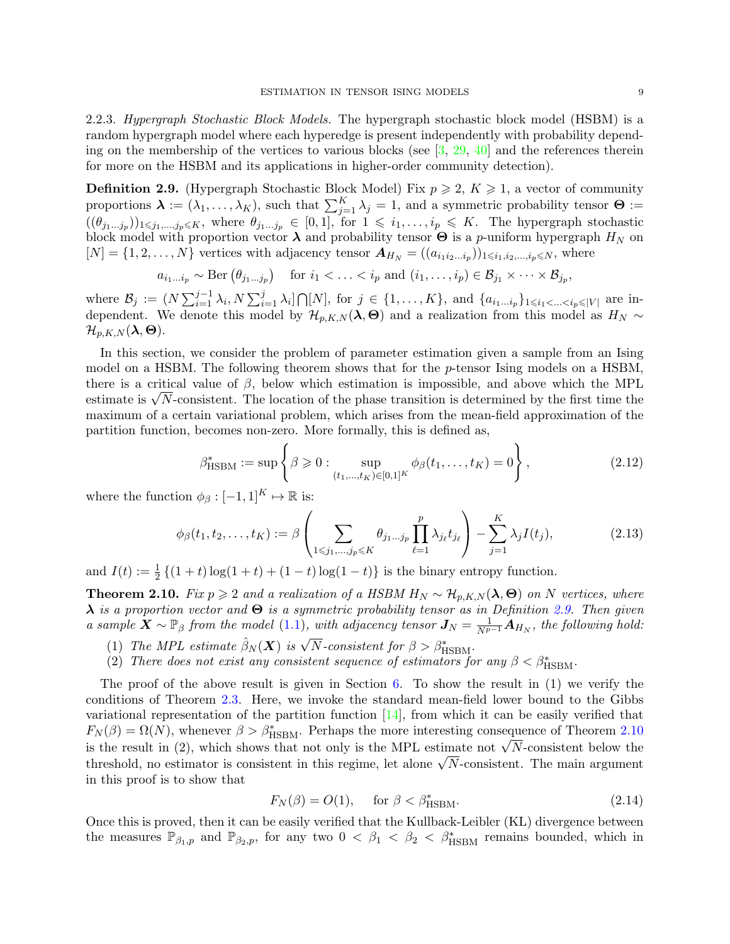<span id="page-8-1"></span>2.2.3. Hypergraph Stochastic Block Models. The hypergraph stochastic block model (HSBM) is a random hypergraph model where each hyperedge is present independently with probability depending on the membership of the vertices to various blocks (see  $[3, 29, 40]$  $[3, 29, 40]$  $[3, 29, 40]$  $[3, 29, 40]$  $[3, 29, 40]$  and the references therein for more on the HSBM and its applications in higher-order community detection).

<span id="page-8-2"></span>**Definition 2.9.** (Hypergraph Stochastic Block Model) Fix  $p \ge 2$ ,  $K \ge 1$ , a vector of community proportions  $\boldsymbol{\lambda} := (\lambda_1, \ldots, \lambda_K)$ , such that  $\sum_{j=1}^K \lambda_j = 1$ , and a symmetric probability tensor  $\boldsymbol{\Theta} :=$  $((\theta_{j_1\ldots j_p})_{1\leq j_1,\ldots,j_p\leq K}$ , where  $\theta_{j_1\ldots j_p} \in [0,1]$ , for  $1 \leq i_1,\ldots,i_p \leq K$ . The hypergraph stochastic block model with proportion vector  $\lambda$  and probability tensor  $\Theta$  is a *p*-uniform hypergraph  $H_N$  on  $[N] = \{1, 2, \ldots, N\}$  vertices with adjacency tensor  $A_{H_N} = ((a_{i_1 i_2 \ldots i_p})_{1 \leq i_1, i_2, \ldots, i_p \leq N},$  where

$$
a_{i_1\ldots i_p} \sim \text{Ber}\left(\theta_{j_1\ldots j_p}\right) \quad \text{for } i_1 < \ldots < i_p \text{ and } (i_1, \ldots, i_p) \in \mathcal{B}_{j_1} \times \cdots \times \mathcal{B}_{j_p},
$$

where  $\mathcal{B}_j := (N \sum_{i=1}^{j-1} \lambda_i, N \sum_{i=1}^{j} \lambda_i] \bigcap [N]$ , for  $j \in \{1, ..., K\}$ , and  $\{a_{i_1...i_p}\}_{1 \le i_1 < ... < i_p \le |V|}$  are independent. We denote this model by  $\mathcal{H}_{p,K,N}(\lambda,\Theta)$  and a realization from this model as  $H_N \sim$  $\mathcal{H}_{p,K,N}(\boldsymbol{\lambda},\boldsymbol{\Theta}).$ 

In this section, we consider the problem of parameter estimation given a sample from an Ising model on a HSBM. The following theorem shows that for the p-tensor Ising models on a HSBM, there is a critical value of  $\beta$ , below which estimation is impossible, and above which the MPL estimate is  $\sqrt{N}$ -consistent. The location of the phase transition is determined by the first time the maximum of a certain variational problem, which arises from the mean-field approximation of the partition function, becomes non-zero. More formally, this is defined as,

<span id="page-8-5"></span><span id="page-8-4"></span>
$$
\beta_{\text{HSBM}}^* := \sup \left\{ \beta \geq 0 : \sup_{(t_1, \dots, t_K) \in [0, 1]^K} \phi_{\beta}(t_1, \dots, t_K) = 0 \right\},\tag{2.12}
$$

where the function  $\phi_{\beta} : [-1, 1]^{K} \mapsto \mathbb{R}$  is:

$$
\phi_{\beta}(t_1, t_2, \dots, t_K) := \beta \left( \sum_{1 \leq j_1, \dots, j_p \leq K} \theta_{j_1 \dots j_p} \prod_{\ell=1}^p \lambda_{j_\ell} t_{j_\ell} \right) - \sum_{j=1}^K \lambda_j I(t_j), \tag{2.13}
$$

and  $I(t) := \frac{1}{2} \{ (1+t) \log(1+t) + (1-t) \log(1-t) \}$  is the binary entropy function.

<span id="page-8-0"></span>**Theorem 2.10.** Fix  $p \ge 2$  and a realization of a HSBM  $H_N \sim \mathcal{H}_{p,K,N}(\lambda, \Theta)$  on N vertices, where  $\lambda$  is a proportion vector and  $\Theta$  is a symmetric probability tensor as in Definition [2.9.](#page-8-2) Then given a sample  $\bar{\bm{X}} \sim \mathbb{P}_{\beta}$  from the model [\(1.1\)](#page-1-0), with adjacency tensor  $\bm{J}_N = \frac{1}{N^{p-1}} \hat{\bm{A}}_{H_N}$ , the following hold:

- (1) The MPL estimate  $\hat{\beta}_N(\boldsymbol{X})$  is  $\sqrt{N}$ -consistent for  $\beta > \beta^*_{\text{HSBM}}$ .
- (2) There does not exist any consistent sequence of estimators for any  $\beta < \beta^*_{\text{HSBM}}$ .

The proof of the above result is given in Section  $6$ . To show the result in  $(1)$  we verify the conditions of Theorem [2.3.](#page-4-1) Here, we invoke the standard mean-field lower bound to the Gibbs variational representation of the partition function  $[14]$ , from which it can be easily verified that  $F_N(\beta) = \Omega(N)$ , whenever  $\beta > \beta_{\text{HSBM}}^*$ . Perhaps the more interesting consequence of Theorem [2.10](#page-8-0) is the result in (2), which shows that not only is the MPL estimate not  $\sqrt{N}$ -consistent below the threshold, no estimator is consistent in this regime, let alone  $\sqrt{N}$ -consistent. The main argument in this proof is to show that

<span id="page-8-3"></span>
$$
F_N(\beta) = O(1), \quad \text{for } \beta < \beta_{\text{HSBM}}^*.
$$
\n
$$
\tag{2.14}
$$

Once this is proved, then it can be easily verified that the Kullback-Leibler (KL) divergence between the measures  $\mathbb{P}_{\beta_1,p}$  and  $\mathbb{P}_{\beta_2,p}$ , for any two  $0 < \beta_1 < \beta_2 < \beta_{\text{HSBM}}^*$  remains bounded, which in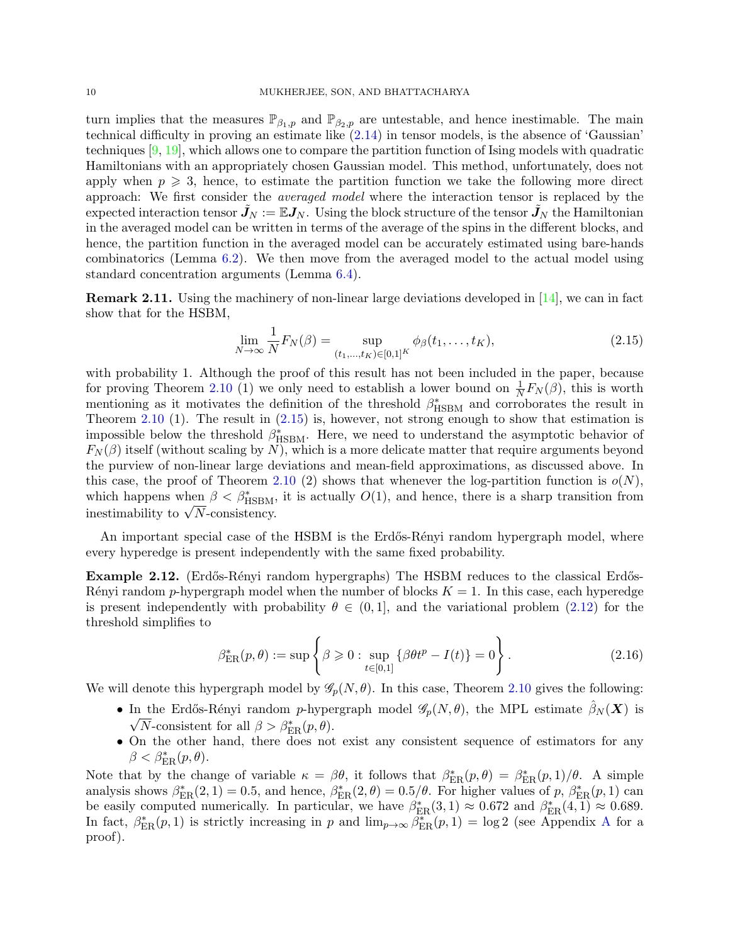turn implies that the measures  $\mathbb{P}_{\beta_1,p}$  and  $\mathbb{P}_{\beta_2,p}$  are untestable, and hence inestimable. The main technical difficulty in proving an estimate like [\(2.14\)](#page-8-3) in tensor models, is the absence of 'Gaussian' techniques [\[9,](#page-31-10) [19\]](#page-31-25), which allows one to compare the partition function of Ising models with quadratic Hamiltonians with an appropriately chosen Gaussian model. This method, unfortunately, does not apply when  $p \geqslant 3$ , hence, to estimate the partition function we take the following more direct approach: We first consider the averaged model where the interaction tensor is replaced by the expected interaction tensor  $J_N := \mathbb{E} J_N$ . Using the block structure of the tensor  $J_N$  the Hamiltonian in the averaged model can be written in terms of the average of the spins in the different blocks, and hence, the partition function in the averaged model can be accurately estimated using bare-hands combinatorics (Lemma [6.2\)](#page-25-0). We then move from the averaged model to the actual model using standard concentration arguments (Lemma [6.4\)](#page-27-0).

**Remark 2.11.** Using the machinery of non-linear large deviations developed in  $[14]$ , we can in fact show that for the HSBM,

<span id="page-9-0"></span>
$$
\lim_{N \to \infty} \frac{1}{N} F_N(\beta) = \sup_{(t_1, \dots, t_K) \in [0, 1]^K} \phi_\beta(t_1, \dots, t_K),
$$
\n(2.15)

with probability 1. Although the proof of this result has not been included in the paper, because for proving Theorem [2.10](#page-8-0) (1) we only need to establish a lower bound on  $\frac{1}{N}F_N(\beta)$ , this is worth mentioning as it motivates the definition of the threshold  $\beta_{\text{HSBM}}^*$  and corroborates the result in Theorem [2.10](#page-8-0) (1). The result in  $(2.15)$  is, however, not strong enough to show that estimation is impossible below the threshold  $\beta_{\text{HSBM}}^*$ . Here, we need to understand the asymptotic behavior of  $F_N(\beta)$  itself (without scaling by N), which is a more delicate matter that require arguments beyond the purview of non-linear large deviations and mean-field approximations, as discussed above. In this case, the proof of Theorem [2.10](#page-8-0) (2) shows that whenever the log-partition function is  $o(N)$ , which happens when  $\beta < \beta_{\text{HSBM}}^*$ , it is actually  $O(1)$ , and hence, there is a sharp transition from inestimability to  $\sqrt{N}$ -consistency.

An important special case of the HSBM is the Erdős-Rényi random hypergraph model, where every hyperedge is present independently with the same fixed probability.

<span id="page-9-2"></span>Example 2.12. (Erdős-Rényi random hypergraphs) The HSBM reduces to the classical Erdős-Rényi random p-hypergraph model when the number of blocks  $K = 1$ . In this case, each hyperedge is present independently with probability  $\theta \in (0,1]$ , and the variational problem [\(2.12\)](#page-8-4) for the threshold simplifies to

<span id="page-9-1"></span>
$$
\beta_{\text{ER}}^*(p,\theta) := \sup \left\{ \beta \geq 0 : \sup_{t \in [0,1]} \left\{ \beta \theta t^p - I(t) \right\} = 0 \right\}.
$$
 (2.16)

We will denote this hypergraph model by  $\mathscr{G}_p(N, \theta)$ . In this case, Theorem [2.10](#page-8-0) gives the following:

- In the Erdős-Rényi random p-hypergraph model  $\mathscr{G}_p(N,\theta)$ , the MPL estimate  $\hat{\beta}_N(\boldsymbol{X})$  is  $\sqrt{N}$ -consistent for all  $\beta > \beta_{\text{ER}}^*(p, \theta)$ .
- On the other hand, there does not exist any consistent sequence of estimators for any  $\beta < \beta_{\text{ER}}^*(p, \theta).$

Note that by the change of variable  $\kappa = \beta \theta$ , it follows that  $\beta_{\rm ER}^*(p,\theta) = \beta_{\rm ER}^*(p,1)/\theta$ . A simple analysis shows  $\beta_{\rm ER}^*(2,1) = 0.5$ , and hence,  $\beta_{\rm ER}^*(2,\theta) = 0.5/\theta$ . For higher values of p,  $\beta_{\rm ER}^*(p,1)$  can be easily computed numerically. In particular, we have  $\beta_{\text{ER}}^*(3,1) \approx 0.672$  and  $\beta_{\text{ER}}^*(4,1) \approx 0.689$ . In fact,  $\beta_{\rm ER}^*(p,1)$  is strictly increasing in p and  $\lim_{p\to\infty}\beta_{\rm ER}^*(p,1) = \log 2$  (see [A](#page-33-3)ppendix A for a proof).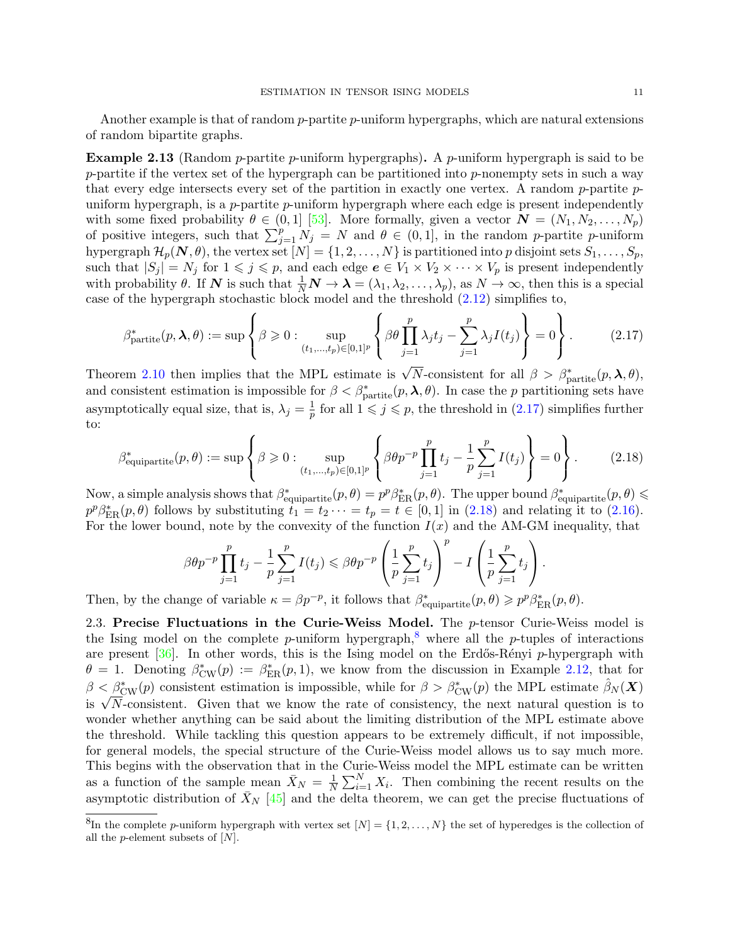Another example is that of random p-partite p-uniform hypergraphs, which are natural extensions of random bipartite graphs.

**Example 2.13** (Random *p*-partite *p*-uniform hypergraphs). A *p*-uniform hypergraph is said to be p-partite if the vertex set of the hypergraph can be partitioned into p-nonempty sets in such a way that every edge intersects every set of the partition in exactly one vertex. A random  $p$ -partite  $p$ uniform hypergraph, is a p-partite p-uniform hypergraph where each edge is present independently with some fixed probability  $\theta \in (0,1]$  [\[53\]](#page-32-23). More formally, given a vector  $\mathbf{N} = (N_1, N_2, \ldots, N_p)$ of positive integers, such that  $\sum_{j=1}^{p} N_j = N$  and  $\theta \in (0,1]$ , in the random p-partite p-uniform hypergraph  $\mathcal{H}_p(\mathbf{N}, \theta)$ , the vertex set  $[N] = \{1, 2, ..., N\}$  is partitioned into p disjoint sets  $S_1, ..., S_p$ , such that  $|S_j| = N_j$  for  $1 \leq j \leq p$ , and each edge  $e \in V_1 \times V_2 \times \cdots \times V_p$  is present independently with probability  $\theta$ . If N is such that  $\frac{1}{N}N \to \lambda = (\lambda_1, \lambda_2, \ldots, \lambda_p)$ , as  $N \to \infty$ , then this is a special case of the hypergraph stochastic block model and the threshold [\(2.12\)](#page-8-4) simplifies to,

<span id="page-10-1"></span>
$$
\beta_{\text{partite}}^*(p, \lambda, \theta) := \sup \left\{ \beta \geq 0 : \sup_{(t_1, \dots, t_p) \in [0, 1]^p} \left\{ \beta \theta \prod_{j=1}^p \lambda_j t_j - \sum_{j=1}^p \lambda_j I(t_j) \right\} = 0 \right\}.
$$
 (2.17)

Theorem [2.10](#page-8-0) then implies that the MPL estimate is  $\sqrt{N}$ -consistent for all  $\beta > \beta^*_{\text{partite}}(p, \lambda, \theta)$ , and consistent estimation is impossible for  $\beta < \beta^*_{partite}(p, \lambda, \theta)$ . In case the p partitioning sets have asymptotically equal size, that is,  $\lambda_j = \frac{1}{n}$  $\frac{1}{p}$  for all  $1 \leq j \leq p$ , the threshold in  $(2.17)$  simplifies further to:

$$
\beta_{\text{equipartite}}^{*}(p,\theta) := \sup \left\{ \beta \geq 0 : \sup_{(t_1,\dots,t_p) \in [0,1]^p} \left\{ \beta \theta p^{-p} \prod_{j=1}^p t_j - \frac{1}{p} \sum_{j=1}^p I(t_j) \right\} = 0 \right\}.
$$
 (2.18)

Now, a simple analysis shows that  $\beta^*_{\text{equipartite}}(p,\theta) = p^p \beta^*_{\text{ER}}(p,\theta)$ . The upper bound  $\beta^*_{\text{equipartite}}(p,\theta) \leq$  $p^p\beta_{\rm ER}^*(p,\theta)$  follows by substituting  $t_1 = t_2 \cdots = t_p = t \in [0,1]$  in [\(2.18\)](#page-10-2) and relating it to [\(2.16\)](#page-9-1). For the lower bound, note by the convexity of the function  $I(x)$  and the AM-GM inequality, that

<span id="page-10-2"></span>
$$
\beta \theta p^{-p} \prod_{j=1}^p t_j - \frac{1}{p} \sum_{j=1}^p I(t_j) \leqslant \beta \theta p^{-p} \left( \frac{1}{p} \sum_{j=1}^p t_j \right)^p - I \left( \frac{1}{p} \sum_{j=1}^p t_j \right).
$$

Then, by the change of variable  $\kappa = \beta p^{-p}$ , it follows that  $\beta_{\text{equipartite}}^*(p, \theta) \geqslant p^p \beta_{\text{ER}}^*(p, \theta)$ .

<span id="page-10-0"></span>2.3. Precise Fluctuations in the Curie-Weiss Model. The  $p$ -tensor Curie-Weiss model is the Ising model on the complete p-uniform hypergraph,<sup>[8](#page-10-3)</sup> where all the p-tuples of interactions are present  $[36]$ . In other words, this is the Ising model on the Erdős-Rényi p-hypergraph with  $\theta = 1$ . Denoting  $\beta_{\text{CW}}^*(p) := \beta_{\text{ER}}^*(p, 1)$ , we know from the discussion in Example [2.12,](#page-9-2) that for  $\beta < \beta_{\text{CW}}^*(p)$  consistent estimation is impossible, while for  $\beta > \beta_{\text{CW}}^*(p)$  the MPL estimate  $\hat{\beta}_N(\boldsymbol{X})$ is  $\sqrt{N}$ -consistent. Given that we know the rate of consistency, the next natural question is to wonder whether anything can be said about the limiting distribution of the MPL estimate above the threshold. While tackling this question appears to be extremely difficult, if not impossible, for general models, the special structure of the Curie-Weiss model allows us to say much more. This begins with the observation that in the Curie-Weiss model the MPL estimate can be written as a function of the sample mean  $\bar{X}_N = \frac{1}{N}$  $\frac{1}{N} \sum_{i=1}^{N} X_i$ . Then combining the recent results on the asymptotic distribution of  $\bar{X}_N$  [\[45\]](#page-32-24) and the delta theorem, we can get the precise fluctuations of

<span id="page-10-3"></span><sup>&</sup>lt;sup>8</sup>In the complete p-uniform hypergraph with vertex set  $[N] = \{1, 2, ..., N\}$  the set of hyperedges is the collection of all the *p*-element subsets of  $[N]$ .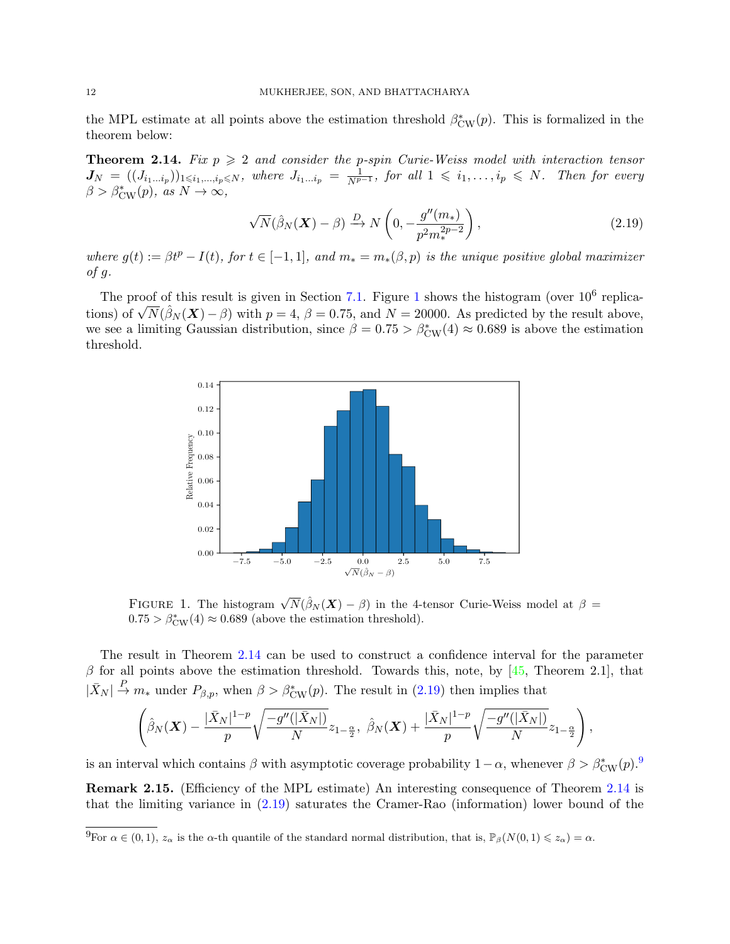the MPL estimate at all points above the estimation threshold  $\beta_{\text{CW}}^*(p)$ . This is formalized in the theorem below:

<span id="page-11-0"></span>**Theorem 2.14.** Fix  $p \geq 2$  and consider the p-spin Curie-Weiss model with interaction tensor  $J_N = ((J_{i_1\ldots i_p}))_{1\leqslant i_1,\ldots,i_p\leqslant N}$ , where  $J_{i_1\ldots i_p} = \frac{1}{N^{p-1}}$ , for all  $1 \leqslant i_1,\ldots,i_p \leqslant N$ . Then for every  $\beta > \beta_{\text{CW}}^*(p)$ , as  $N \to \infty$ ,

<span id="page-11-2"></span>
$$
\sqrt{N}(\hat{\beta}_N(\boldsymbol{X}) - \beta) \xrightarrow{D} N\left(0, -\frac{g''(m_*)}{p^2 m_*^{2p-2}}\right),\tag{2.19}
$$

where  $g(t) := \beta t^p - I(t)$ , for  $t \in [-1,1]$ , and  $m_* = m_*(\beta, p)$  is the unique positive global maximizer  $of g.$ 

The proof of this result is given in Section [7.1.](#page-28-0) Figure [1](#page-11-1) shows the histogram (over  $10^6$  replications) of  $\sqrt{N}(\hat{\beta}_N(\boldsymbol{X}) - \beta)$  with  $p = 4$ ,  $\beta = 0.75$ , and  $N = 20000$ . As predicted by the result above, we see a limiting Gaussian distribution, since  $\beta = 0.75 > \beta_{\text{CW}}^*(4) \approx 0.689$  is above the estimation threshold.



<span id="page-11-1"></span>FIGURE 1. The histogram  $\sqrt{N}(\hat{\beta}_N(\boldsymbol{X})-\beta)$  in the 4-tensor Curie-Weiss model at  $\beta =$  $0.75 > \beta_{\text{CW}}^*(4) \approx 0.689$  (above the estimation threshold).

The result in Theorem [2.14](#page-11-0) can be used to construct a confidence interval for the parameter  $\beta$  for all points above the estimation threshold. Towards this, note, by [\[45,](#page-32-24) Theorem 2.1], that  $|\bar{X}_N| \stackrel{P}{\to} m_*$  under  $P_{\beta,p}$ , when  $\beta > \beta_{\text{CW}}^*(p)$ . The result in [\(2.19\)](#page-11-2) then implies that

$$
\left(\hat{\beta}_N(\boldsymbol{X})-\frac{|\bar{X}_N|^{1-p}}{p}\sqrt{\frac{-g''(|\bar{X}_N|)}{N}}z_{1-\frac{\alpha}{2}},\ \hat{\beta}_N(\boldsymbol{X})+\frac{|\bar{X}_N|^{1-p}}{p}\sqrt{\frac{-g''(|\bar{X}_N|)}{N}}z_{1-\frac{\alpha}{2}}\right),
$$

is an interval which contains  $\beta$  with asymptotic coverage probability  $1 - \alpha$ , whenever  $\beta > \beta_{\text{CW}}^*(p)$ .<sup>[9](#page-11-3)</sup> Remark 2.15. (Efficiency of the MPL estimate) An interesting consequence of Theorem [2.14](#page-11-0) is that the limiting variance in [\(2.19\)](#page-11-2) saturates the Cramer-Rao (information) lower bound of the

<span id="page-11-3"></span><sup>&</sup>lt;sup>9</sup>For  $\alpha \in (0,1)$ ,  $z_{\alpha}$  is the  $\alpha$ -th quantile of the standard normal distribution, that is,  $\mathbb{P}_{\beta}(N(0,1) \leq z_{\alpha}) = \alpha$ .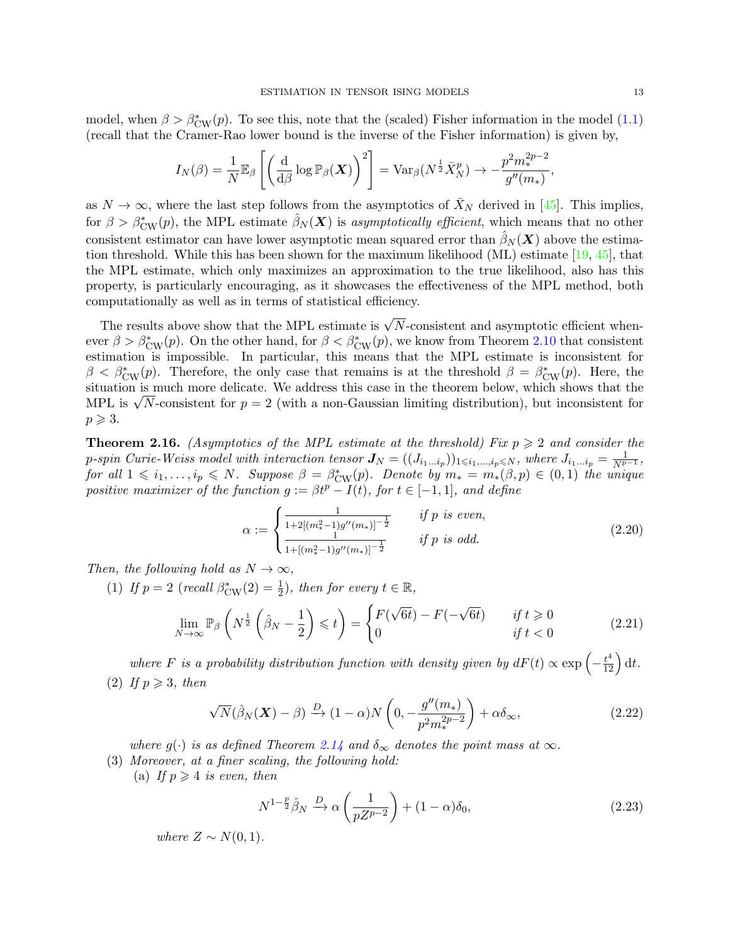model, when  $\beta > \beta_{\text{CW}}^*(p)$ . To see this, note that the (scaled) Fisher information in the model [\(1.1\)](#page-1-0) (recall that the Cramer-Rao lower bound is the inverse of the Fisher information) is given by,

$$
I_N(\beta) = \frac{1}{N} \mathbb{E}_{\beta} \left[ \left( \frac{\mathrm{d}}{\mathrm{d}\beta} \log \mathbb{P}_{\beta}(\boldsymbol{X}) \right)^2 \right] = \mathrm{Var}_{\beta} (N^{\frac{1}{2}} \bar{X}_N^p) \to -\frac{p^2 m_*^{2p-2}}{g''(m_*)},
$$

as  $N \to \infty$ , where the last step follows from the asymptotics of  $\bar{X}_N$  derived in [\[45\]](#page-32-24). This implies, for  $\beta > \beta_{\text{CW}}^*(p)$ , the MPL estimate  $\hat{\beta}_N(\boldsymbol{X})$  is asymptotically efficient, which means that no other consistent estimator can have lower asymptotic mean squared error than  $\hat{\beta}_N(\boldsymbol{X})$  above the estimation threshold. While this has been shown for the maximum likelihood (ML) estimate  $[19, 45]$  $[19, 45]$  $[19, 45]$ , that the MPL estimate, which only maximizes an approximation to the true likelihood, also has this property, is particularly encouraging, as it showcases the effectiveness of the MPL method, both computationally as well as in terms of statistical efficiency.

The results above show that the MPL estimate is  $\sqrt{N}$ -consistent and asymptotic efficient whenever  $\beta > \beta_{\text{CW}}^*(p)$ . On the other hand, for  $\beta < \beta_{\text{CW}}^*(p)$ , we know from Theorem [2.10](#page-8-0) that consistent estimation is impossible. In particular, this means that the MPL estimate is inconsistent for  $\beta < \beta_{\text{CW}}^*(p)$ . Therefore, the only case that remains is at the threshold  $\beta = \beta_{\text{CW}}^*(p)$ . Here, the situation is much more delicate. We address this case in the theorem below, which shows that the MPL is  $\sqrt{N}$ -consistent for  $p = 2$  (with a non-Gaussian limiting distribution), but inconsistent for  $p \geqslant 3$ .

<span id="page-12-0"></span>**Theorem 2.16.** (Asymptotics of the MPL estimate at the threshold) Fix  $p \geq 2$  and consider the p-spin Curie-Weiss model with interaction tensor  $J_N = ((J_{i_1...i_p}))_{1 \leq i_1,...,i_p \leq N}$ , where  $J_{i_1...i_p} = \frac{1}{N^{p-1}}$ , for all  $1 \leq i_1, \ldots, i_p \leq N$ . Suppose  $\beta = \beta_{\text{CW}}^*(p)$ . Denote by  $m_* = m_*(\beta, p) \in (0, 1)$  the unique positive maximizer of the function  $g := \beta t^p - I(t)$ , for  $t \in [-1,1]$ , and define

<span id="page-12-1"></span>
$$
\alpha := \begin{cases} \frac{1}{1 + 2[(m_{*}^{2} - 1)g''(m_{*})]^{-\frac{1}{2}}} & \text{if } p \text{ is even,} \\ \frac{1}{1 + [(m_{*}^{2} - 1)g''(m_{*})]^{-\frac{1}{2}}} & \text{if } p \text{ is odd.} \end{cases}
$$
(2.20)

Then, the following hold as  $N \to \infty$ ,

(1) If  $p = 2$  (recall  $\beta_{\text{CW}}^*(2) = \frac{1}{2}$ ), then for every  $t \in \mathbb{R}$ ,

$$
\lim_{N \to \infty} \mathbb{P}_{\beta} \left( N^{\frac{1}{2}} \left( \hat{\beta}_N - \frac{1}{2} \right) \leq t \right) = \begin{cases} F(\sqrt{6t}) - F(-\sqrt{6t}) & \text{if } t \geq 0 \\ 0 & \text{if } t < 0 \end{cases} \tag{2.21}
$$

where F is a probability distribution function with density given by  $dF(t) \propto \exp\left(-\frac{t^4}{12}\right) dt$ . (2) If  $p \geqslant 3$ , then

$$
\sqrt{N}(\hat{\beta}_N(\boldsymbol{X}) - \beta) \xrightarrow{D} (1 - \alpha) N\left(0, -\frac{g''(m_*)}{p^2 m_*^{2p-2}}\right) + \alpha \delta_\infty, \tag{2.22}
$$

where  $g(\cdot)$  is as defined Theorem [2.14](#page-11-0) and  $\delta_{\infty}$  denotes the point mass at  $\infty$ .

- (3) Moreover, at a finer scaling, the following hold:
	- (a) If  $p \geqslant 4$  is even, then

<span id="page-12-3"></span><span id="page-12-2"></span>
$$
N^{1-\frac{p}{2}}\hat{\beta}_N \xrightarrow{D} \alpha \left(\frac{1}{pZ^{p-2}}\right) + (1-\alpha)\delta_0,\tag{2.23}
$$

where  $Z \sim N(0, 1)$ .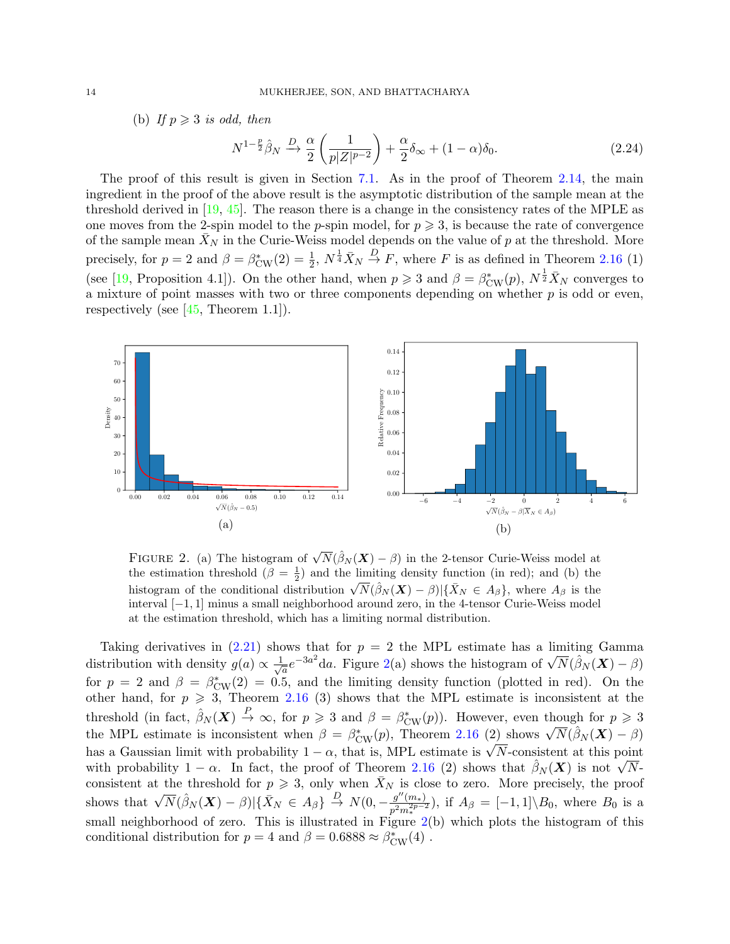(b) If  $p \geqslant 3$  is odd, then

<span id="page-13-1"></span>
$$
N^{1-\frac{p}{2}}\hat{\beta}_N \xrightarrow{D} \frac{\alpha}{2} \left(\frac{1}{p|Z|^{p-2}}\right) + \frac{\alpha}{2}\delta_\infty + (1-\alpha)\delta_0. \tag{2.24}
$$

The proof of this result is given in Section [7.1.](#page-28-0) As in the proof of Theorem [2.14,](#page-11-0) the main ingredient in the proof of the above result is the asymptotic distribution of the sample mean at the threshold derived in  $[19, 45]$  $[19, 45]$  $[19, 45]$ . The reason there is a change in the consistency rates of the MPLE as one moves from the 2-spin model to the *p*-spin model, for  $p \geqslant 3$ , is because the rate of convergence of the sample mean  $\bar{X}_N$  in the Curie-Weiss model depends on the value of p at the threshold. More precisely, for  $p = 2$  and  $\beta = \beta_{\text{CW}}^*(2) = \frac{1}{2}$ ,  $N^{\frac{1}{4}}\bar{X}_N \stackrel{D}{\rightarrow} F$ , where F is as defined in Theorem [2.16](#page-12-0) (1) (see [\[19,](#page-31-25) Proposition 4.1]). On the other hand, when  $p \geq 3$  and  $\beta = \beta_{\text{CW}}^*(p)$ ,  $N^{\frac{1}{2}} \bar{X}_N$  converges to a mixture of point masses with two or three components depending on whether  $p$  is odd or even, respectively (see  $[45,$  Theorem 1.1]).



<span id="page-13-0"></span>FIGURE 2. (a) The histogram of  $\sqrt{N}(\hat{\beta}_N(\boldsymbol{X})-\beta)$  in the 2-tensor Curie-Weiss model at the estimation threshold  $(\beta = \frac{1}{2})$  and the limiting density function (in red); and (b) the histogram of the conditional distribution  $\sqrt{N}(\hat{\beta}_N(\boldsymbol{X}) - \hat{\beta}) | {\{\bar{X}_N \in A_\beta\}}$ , where  $A_\beta$  is the interval [−1, 1] minus a small neighborhood around zero, in the 4-tensor Curie-Weiss model at the estimation threshold, which has a limiting normal distribution.

Taking derivatives in  $(2.21)$  shows that for  $p = 2$  the MPL estimate has a limiting Gamma distribution with density  $g(a) \propto \frac{1}{\sqrt{a}}$  $\frac{1}{a}e^{-3a^2}$ da. Figure [2\(](#page-13-0)a) shows the histogram of  $\sqrt{N}(\hat{\beta}_N(\boldsymbol{X})-\beta)$ for  $p = 2$  and  $\beta = \beta_{\text{CW}}^*(2) = 0.5$ , and the limiting density function (plotted in red). On the other hand, for  $p \ge 3$ , Theorem [2.16](#page-12-0) (3) shows that the MPL estimate is inconsistent at the threshold (in fact,  $\hat{\beta}_N(\boldsymbol{X}) \stackrel{P}{\to} \infty$ , for  $p \geq 3$  and  $\beta = \beta_{\text{CW}}^*(p)$ ). However, even though for  $p \geq 3$ the MPL estimate is inconsistent when  $\beta = \beta_{\text{CW}}^*(p)$ , Theorem [2.16](#page-12-0) (2) shows  $\sqrt{N}(\hat{\beta}_N(\boldsymbol{X}) - \beta)$ has a Gaussian limit with probability  $1 - \alpha$ , that is, MPL estimate is  $\sqrt{N}$ -consistent at this point with probability  $1 - \alpha$ . In fact, the proof of Theorem [2.16](#page-12-0) (2) shows that  $\hat{\beta}_N(\boldsymbol{X})$  is not  $\sqrt{N}$ consistent at the threshold for  $p \ge 3$ , only when  $\bar{X}_N$  is close to zero. More precisely, the proof shows that  $\sqrt{N}(\hat{\beta}_N(\boldsymbol{X}) - \beta) | {\{\bar{X}_N \in A_\beta}\} \overset{D}{\rightarrow} N(0, -\frac{g''(m_*)}{p^2 m_*^2 p^{-2}})$  $\frac{g(m*)}{p^2 m_*^{2p-2}}$ , if  $A_\beta = [-1,1] \setminus B_0$ , where  $B_0$  is a small neighborhood of zero. This is illustrated in Figure  $2(b)$  $2(b)$  which plots the histogram of this conditional distribution for  $p = 4$  and  $\beta = 0.6888 \approx \beta_{\text{CW}}^*(4)$ .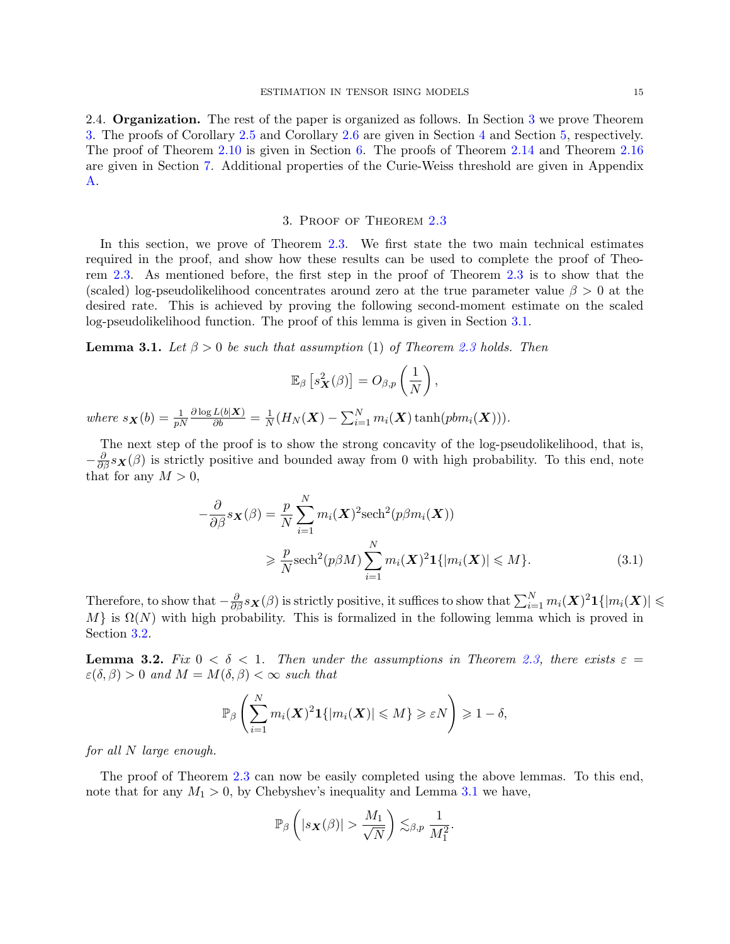2.4. **Organization.** The rest of the paper is organized as follows. In Section [3](#page-14-0) we prove Theorem [3.](#page-14-0) The proofs of Corollary [2.5](#page-5-0) and Corollary [2.6](#page-6-0) are given in Section [4](#page-19-0) and Section [5,](#page-22-0) respectively. The proof of Theorem [2.10](#page-8-0) is given in Section [6.](#page-23-0) The proofs of Theorem [2.14](#page-11-0) and Theorem [2.16](#page-12-0) are given in Section [7.](#page-28-1) Additional properties of the Curie-Weiss threshold are given in Appendix [A.](#page-33-3)

#### 3. Proof of Theorem [2.3](#page-4-1)

<span id="page-14-0"></span>In this section, we prove of Theorem [2.3.](#page-4-1) We first state the two main technical estimates required in the proof, and show how these results can be used to complete the proof of Theorem [2.3.](#page-4-1) As mentioned before, the first step in the proof of Theorem [2.3](#page-4-1) is to show that the (scaled) log-pseudolikelihood concentrates around zero at the true parameter value  $\beta > 0$  at the desired rate. This is achieved by proving the following second-moment estimate on the scaled log-pseudolikelihood function. The proof of this lemma is given in Section [3.1.](#page-15-0)

<span id="page-14-1"></span>**Lemma 3.1.** Let  $\beta > 0$  be such that assumption (1) of Theorem [2.3](#page-4-1) holds. Then

<span id="page-14-3"></span>
$$
\mathbb{E}_{\beta}\left[s_X^2(\beta)\right] = O_{\beta,p}\left(\frac{1}{N}\right),\,
$$

where  $s_{\mathbf{X}}(b) = \frac{1}{pN}$  $\frac{\partial \log L(b|\bm{X})}{\partial b} = \frac{1}{N}$  $\frac{1}{N}(H_N(\boldsymbol{X}) - \sum_{i=1}^N m_i(\boldsymbol{X})\tanh(pbm_i(\boldsymbol{X}))).$ 

The next step of the proof is to show the strong concavity of the log-pseudolikelihood, that is,  $-\frac{\partial}{\partial \beta} s_{\mathbf{X}}(\beta)$  is strictly positive and bounded away from 0 with high probability. To this end, note that for any  $M > 0$ ,

$$
-\frac{\partial}{\partial \beta} s_{\mathbf{X}}(\beta) = \frac{p}{N} \sum_{i=1}^{N} m_i(\mathbf{X})^2 \operatorname{sech}^2(p\beta m_i(\mathbf{X}))
$$
  

$$
\geq \frac{p}{N} \operatorname{sech}^2(p\beta M) \sum_{i=1}^{N} m_i(\mathbf{X})^2 \mathbf{1}\{|m_i(\mathbf{X})| \leq M\}. \tag{3.1}
$$

Therefore, to show that  $-\frac{\partial}{\partial \beta} s_{\bm X}(\beta)$  is strictly positive, it suffices to show that  $\sum_{i=1}^N m_i(\bm X)^2 \bm 1\{|m_i(\bm X)| \leqslant \beta\}$  $M$  is  $\Omega(N)$  with high probability. This is formalized in the following lemma which is proved in Section [3.2.](#page-18-0)

<span id="page-14-2"></span>**Lemma 3.2.** Fix  $0 < \delta < 1$ . Then under the assumptions in Theorem [2.3,](#page-4-1) there exists  $\varepsilon =$  $\varepsilon(\delta, \beta) > 0$  and  $M = M(\delta, \beta) < \infty$  such that

$$
\mathbb{P}_{\beta}\left(\sum_{i=1}^N m_i(\mathbf{X})^2 \mathbf{1}\{|m_i(\mathbf{X})| \leqslant M\} \geqslant \varepsilon N\right) \geqslant 1-\delta,
$$

for all N large enough.

The proof of Theorem [2.3](#page-4-1) can now be easily completed using the above lemmas. To this end, note that for any  $M_1 > 0$ , by Chebyshev's inequality and Lemma [3.1](#page-14-1) we have,

$$
\mathbb{P}_{\beta}\left(|s_{\boldsymbol{X}}(\beta)| > \frac{M_1}{\sqrt{N}}\right) \lesssim_{\beta,p} \frac{1}{M_1^2}.
$$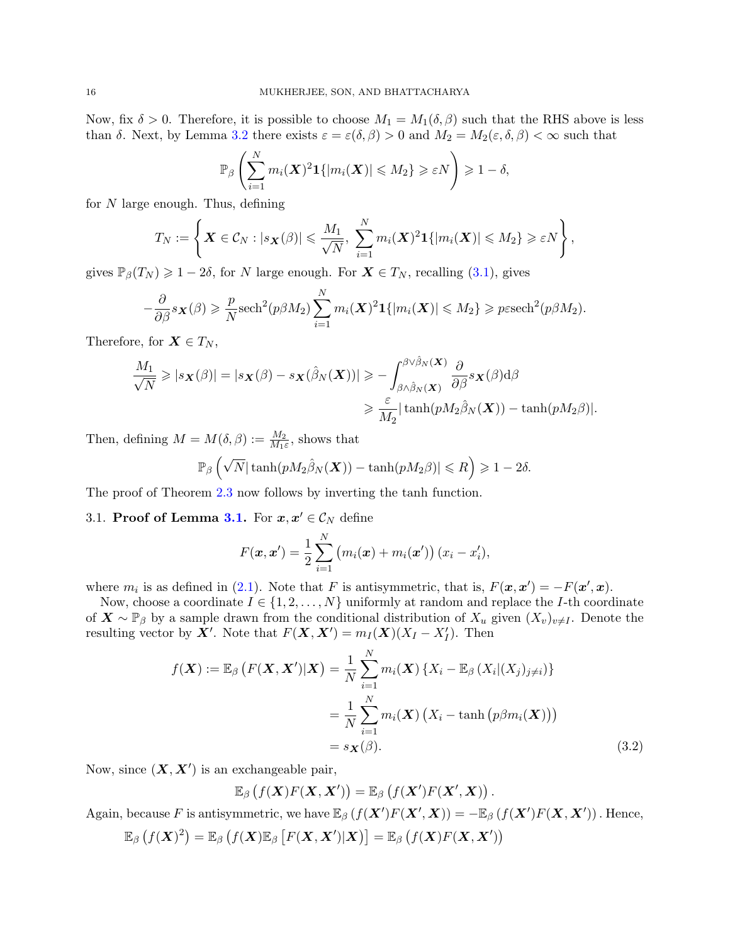Now, fix  $\delta > 0$ . Therefore, it is possible to choose  $M_1 = M_1(\delta, \beta)$  such that the RHS above is less than  $\delta$ . Next, by Lemma [3.2](#page-14-2) there exists  $\varepsilon = \varepsilon(\delta, \beta) > 0$  and  $M_2 = M_2(\varepsilon, \delta, \beta) < \infty$  such that

$$
\mathbb{P}_{\beta}\left(\sum_{i=1}^N m_i(\boldsymbol{X})^2 \boldsymbol{1}\{|m_i(\boldsymbol{X})| \leqslant M_2\} \geqslant \varepsilon N\right) \geqslant 1-\delta,
$$

for N large enough. Thus, defining

$$
T_N:=\left\{ \boldsymbol{X} \in \mathcal{C}_N : |s_{\boldsymbol{X}}(\beta)| \leqslant \frac{M_1}{\sqrt{N}}, \sum_{i=1}^N m_i(\boldsymbol{X})^2 \mathbf{1}\{|m_i(\boldsymbol{X})| \leqslant M_2\} \geqslant \varepsilon N \right\},\,
$$

gives  $\mathbb{P}_{\beta}(T_N) \geq 1-2\delta$ , for N large enough. For  $\mathbf{X} \in T_N$ , recalling [\(3.1\)](#page-14-3), gives

$$
-\frac{\partial}{\partial \beta} s_{\mathbf{X}}(\beta) \geq \frac{p}{N} \mathrm{sech}^2(p\beta M_2) \sum_{i=1}^N m_i(\mathbf{X})^2 \mathbf{1}\{|m_i(\mathbf{X})| \leq M_2\} \geq p \mathrm{esech}^2(p\beta M_2).
$$

Therefore, for  $\mathbf{X} \in T_N$ ,

$$
\frac{M_1}{\sqrt{N}} \geqslant |s_{\mathbf{X}}(\beta)| = |s_{\mathbf{X}}(\beta) - s_{\mathbf{X}}(\hat{\beta}_N(\mathbf{X}))| \geqslant -\int_{\beta \wedge \hat{\beta}_N(\mathbf{X})}^{\beta \vee \hat{\beta}_N(\mathbf{X})} \frac{\partial}{\partial \beta} s_{\mathbf{X}}(\beta) d\beta
$$

$$
\geqslant \frac{\varepsilon}{M_2} |\tanh(pM_2\hat{\beta}_N(\mathbf{X})) - \tanh(pM_2\beta)|.
$$

Then, defining  $M = M(\delta, \beta) := \frac{M_2}{M_1 \varepsilon}$ , shows that

$$
\mathbb{P}_{\beta}\left(\sqrt{N}|\tanh(pM_2\hat{\beta}_N(\boldsymbol{X})) - \tanh(pM_2\beta)| \leqslant R\right) \geqslant 1 - 2\delta.
$$

The proof of Theorem [2.3](#page-4-1) now follows by inverting the tanh function.

# <span id="page-15-0"></span>[3.1.](#page-14-1) Proof of Lemma 3.1. For  $x, x' \in C_N$  define

$$
F(\mathbf{x}, \mathbf{x}') = \frac{1}{2} \sum_{i=1}^{N} (m_i(\mathbf{x}) + m_i(\mathbf{x}')) (x_i - x'_i),
$$

where  $m_i$  is as defined in [\(2.1\)](#page-3-2). Note that F is antisymmetric, that is,  $F(\mathbf{x}, \mathbf{x}') = -F(\mathbf{x}', \mathbf{x})$ .

Now, choose a coordinate  $I \in \{1, 2, ..., N\}$  uniformly at random and replace the *I*-th coordinate of  $X \sim \mathbb{P}_{\beta}$  by a sample drawn from the conditional distribution of  $X_u$  given  $(X_v)_{v\neq I}$ . Denote the resulting vector by  $\mathbf{X}'$ . Note that  $F(\mathbf{X}, \mathbf{X}') = m_I(\mathbf{X})(X_I - X_I')$ . Then

$$
f(\mathbf{X}) := \mathbb{E}_{\beta} \left( F(\mathbf{X}, \mathbf{X}') | \mathbf{X} \right) = \frac{1}{N} \sum_{i=1}^{N} m_i(\mathbf{X}) \left\{ X_i - \mathbb{E}_{\beta} \left( X_i | (X_j)_{j \neq i} \right) \right\}
$$

$$
= \frac{1}{N} \sum_{i=1}^{N} m_i(\mathbf{X}) \left( X_i - \tanh \left( p \beta m_i(\mathbf{X}) \right) \right)
$$

$$
= s_{\mathbf{X}}(\beta). \tag{3.2}
$$

Now, since  $(X, X')$  is an exchangeable pair,

<span id="page-15-1"></span>
$$
\mathbb{E}_{\beta}\left(f(\boldsymbol{X})F(\boldsymbol{X},\boldsymbol{X}')\right)=\mathbb{E}_{\beta}\left(f(\boldsymbol{X}')F(\boldsymbol{X}',\boldsymbol{X})\right).
$$

Again, because F is antisymmetric, we have  $\mathbb{E}_{\beta}\left(f(X')F(X',X)\right) = -\mathbb{E}_{\beta}\left(f(X')F(X,X')\right)$ . Hence,

$$
\mathbb{E}_{\beta}\left(f(\boldsymbol{X})^2\right) = \mathbb{E}_{\beta}\left(f(\boldsymbol{X})\mathbb{E}_{\beta}\left[F(\boldsymbol{X},\boldsymbol{X}')|\boldsymbol{X}\right)\right] = \mathbb{E}_{\beta}\left(f(\boldsymbol{X})F(\boldsymbol{X},\boldsymbol{X}')\right)
$$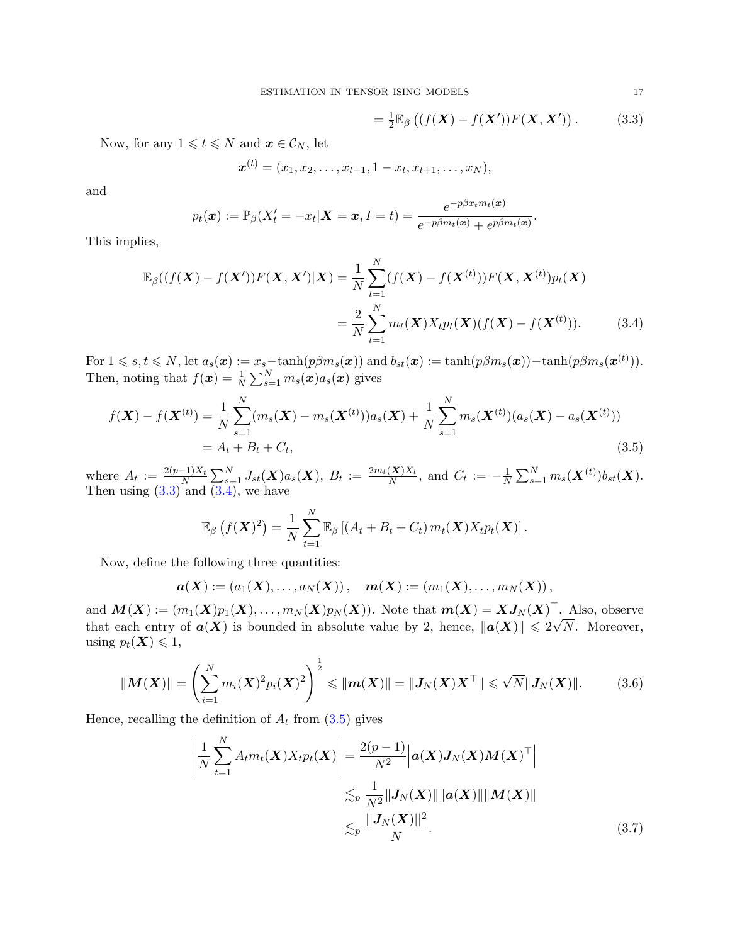$$
= \frac{1}{2} \mathbb{E}_{\beta} \left( (f(\mathbf{X}) - f(\mathbf{X}')) F(\mathbf{X}, \mathbf{X}') \right). \tag{3.3}
$$

<span id="page-16-2"></span><span id="page-16-1"></span>.

Now, for any  $1 \leq t \leq N$  and  $\boldsymbol{x} \in \mathcal{C}_N$ , let

$$
\boldsymbol{x}^{(t)} = (x_1, x_2, \dots, x_{t-1}, 1-x_t, x_{t+1}, \dots, x_N),
$$

and

$$
p_t(\boldsymbol{x}) := \mathbb{P}_{\beta}(X_t' = -x_t | \boldsymbol{X} = \boldsymbol{x}, I = t) = \frac{e^{-p\beta x_t m_t(\boldsymbol{x})}}{e^{-p\beta m_t(\boldsymbol{x})} + e^{p\beta m_t(\boldsymbol{x})}}
$$

This implies,

$$
\mathbb{E}_{\beta}((f(\boldsymbol{X}) - f(\boldsymbol{X}'))F(\boldsymbol{X}, \boldsymbol{X}')|\boldsymbol{X}) = \frac{1}{N} \sum_{t=1}^{N} (f(\boldsymbol{X}) - f(\boldsymbol{X}^{(t)}))F(\boldsymbol{X}, \boldsymbol{X}^{(t)})p_t(\boldsymbol{X})
$$

$$
= \frac{2}{N} \sum_{t=1}^{N} m_t(\boldsymbol{X})X_t p_t(\boldsymbol{X})(f(\boldsymbol{X}) - f(\boldsymbol{X}^{(t)})). \tag{3.4}
$$

For  $1 \leq s, t \leq N$ , let  $a_s(\boldsymbol{x}) := x_s-\tanh(p\beta m_s(\boldsymbol{x}))$  and  $b_{st}(\boldsymbol{x}) := \tanh(p\beta m_s(\boldsymbol{x}))-\tanh(p\beta m_s(\boldsymbol{x}^{(t)})).$ Then, noting that  $f(\boldsymbol{x}) = \frac{1}{N} \sum_{s=1}^{N} m_s(\boldsymbol{x}) a_s(\boldsymbol{x})$  gives

$$
f(\mathbf{X}) - f(\mathbf{X}^{(t)}) = \frac{1}{N} \sum_{s=1}^{N} (m_s(\mathbf{X}) - m_s(\mathbf{X}^{(t)}))a_s(\mathbf{X}) + \frac{1}{N} \sum_{s=1}^{N} m_s(\mathbf{X}^{(t)})(a_s(\mathbf{X}) - a_s(\mathbf{X}^{(t)}))
$$
  
=  $A_t + B_t + C_t,$  (3.5)

where  $A_t := \frac{2(p-1)X_t}{N}$  $\frac{(-1)X_t}{N}\sum_{s=1}^N J_{st}(\boldsymbol{X})a_s(\boldsymbol{X}),~B_t:=\frac{2m_t(\boldsymbol{X})X_t}{N}$  $\frac{(\mathbf{X})X_t}{N}$ , and  $C_t := -\frac{1}{N}$  $\frac{1}{N}\sum_{s=1}^Nm_s(\boldsymbol{X}^{(t)})b_{st}(\boldsymbol{X}).$ Then using  $(3.3)$  and  $(3.4)$ , we have

$$
\mathbb{E}_{\beta}\left(f(\boldsymbol{X})^2\right) = \frac{1}{N} \sum_{t=1}^N \mathbb{E}_{\beta}\left[(A_t + B_t + C_t) m_t(\boldsymbol{X}) X_t p_t(\boldsymbol{X})\right].
$$

Now, define the following three quantities:

$$
\boldsymbol{a}(\boldsymbol{X}):=\left(a_1(\boldsymbol{X}),\ldots,a_N(\boldsymbol{X})\right),\quad \boldsymbol{m}(\boldsymbol{X}):=\left(m_1(\boldsymbol{X}),\ldots,m_N(\boldsymbol{X})\right),
$$

and  $\boldsymbol{M}(\boldsymbol{X}):=(m_1(\boldsymbol{X})p_1(\boldsymbol{X}),\ldots,m_N(\boldsymbol{X})p_N(\boldsymbol{X})).$  Note that  $\boldsymbol{m}(\boldsymbol{X})=\boldsymbol{X}\boldsymbol{J}_N(\boldsymbol{X})^\top$ . Also, observe that each entry of  $a(X)$  is bounded in absolute value by 2, hence,  $||a(X)|| \leq 2\sqrt{N}$ . Moreover, using  $p_t(\mathbf{X}) \leq 1$ ,

$$
||M(X)|| = \left(\sum_{i=1}^{N} m_i(X)^2 p_i(X)^2\right)^{\frac{1}{2}} \le ||m(X)|| = ||J_N(X)X^\top|| \le \sqrt{N}||J_N(X)||. \tag{3.6}
$$

Hence, recalling the definition of  $A_t$  from  $(3.5)$  gives

<span id="page-16-4"></span><span id="page-16-3"></span>
$$
\left| \frac{1}{N} \sum_{t=1}^{N} A_t m_t(\boldsymbol{X}) X_t p_t(\boldsymbol{X}) \right| = \frac{2(p-1)}{N^2} \left| \boldsymbol{a}(\boldsymbol{X}) \boldsymbol{J}_N(\boldsymbol{X}) \boldsymbol{M}(\boldsymbol{X}) \right| \n\lesssim_p \frac{1}{N^2} ||\boldsymbol{J}_N(\boldsymbol{X})|| ||\boldsymbol{a}(\boldsymbol{X})|| ||\boldsymbol{M}(\boldsymbol{X})|| \n\lesssim_p \frac{||\boldsymbol{J}_N(\boldsymbol{X})||^2}{N}.
$$
\n(3.7)

<span id="page-16-0"></span>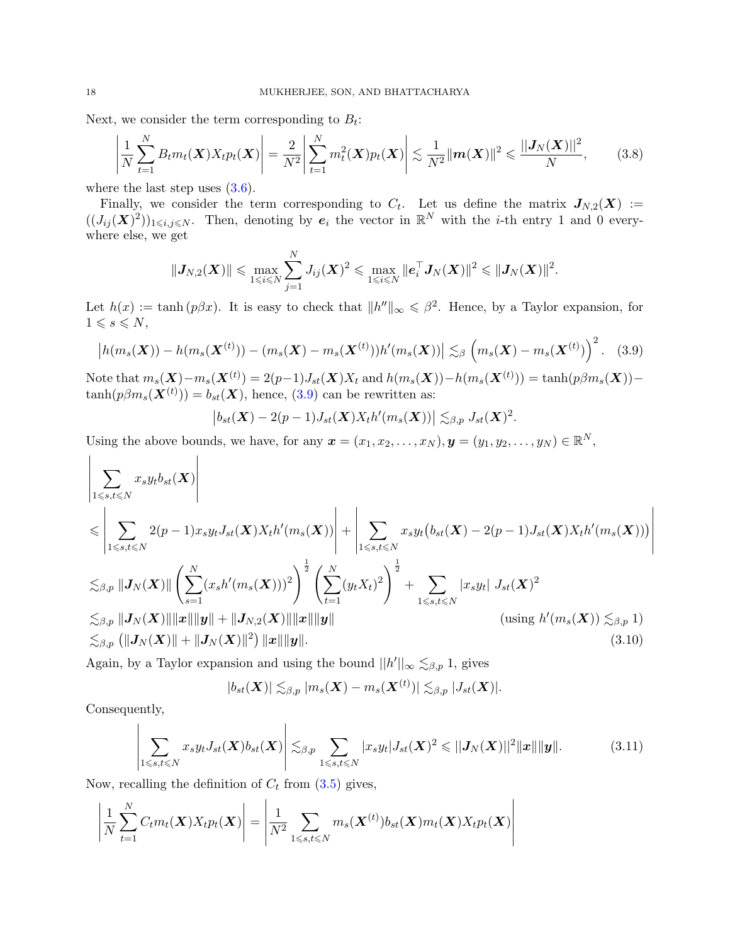Next, we consider the term corresponding to  $B_t$ :

$$
\left|\frac{1}{N}\sum_{t=1}^{N}B_{t}m_{t}(\boldsymbol{X})X_{t}p_{t}(\boldsymbol{X})\right| = \frac{2}{N^{2}}\left|\sum_{t=1}^{N}m_{t}^{2}(\boldsymbol{X})p_{t}(\boldsymbol{X})\right| \lesssim \frac{1}{N^{2}}\|\boldsymbol{m}(\boldsymbol{X})\|^{2} \leq \frac{||\boldsymbol{J}_{N}(\boldsymbol{X})||^{2}}{N},\qquad(3.8)
$$

where the last step uses  $(3.6)$ .

Finally, we consider the term corresponding to  $C_t$ . Let us define the matrix  $J_{N,2}(X) :=$  $((J_{ij}(\mathbf{X})^2))_{1\leqslant i,j\leqslant N}$ . Then, denoting by  $e_i$  the vector in  $\mathbb{R}^N$  with the *i*-th entry 1 and 0 everywhere else, we get

$$
\|\boldsymbol{J}_{N,2}(\boldsymbol{X})\| \leqslant \max_{1\leqslant i\leqslant N}\sum_{j=1}^N J_{ij}(\boldsymbol{X})^2 \leqslant \max_{1\leqslant i\leqslant N}\|\boldsymbol{e}_i^\top \boldsymbol{J}_N(\boldsymbol{X})\|^2 \leqslant \|\boldsymbol{J}_N(\boldsymbol{X})\|^2.
$$

Let  $h(x) := \tanh (p\beta x)$ . It is easy to check that  $||h''||_{\infty} \leq \beta^2$ . Hence, by a Taylor expansion, for  $1 \leqslant s \leqslant N$ ,

$$
\left| h(m_s(\bm{X})) - h(m_s(\bm{X}^{(t)})) - (m_s(\bm{X}) - m_s(\bm{X}^{(t)}))h'(m_s(\bm{X})) \right| \lesssim_{\beta} \left( m_s(\bm{X}) - m_s(\bm{X}^{(t)}) \right)^2.
$$
 (3.9)

Note that  $m_s(\mathbf{X}) - m_s(\mathbf{X}^{(t)}) = 2(p-1)J_{st}(\mathbf{X})X_t$  and  $h(m_s(\mathbf{X})) - h(m_s(\mathbf{X}^{(t)})) = \tanh(p\beta m_s(\mathbf{X}))$  $tanh(p\beta m_s(\mathbf{X}^{(t)})) = b_{st}(\mathbf{X}),$  hence, [\(3.9\)](#page-17-0) can be rewritten as:

$$
\big|b_{st}(\boldsymbol{X})-2(p-1)J_{st}(\boldsymbol{X})X_th'(m_s(\boldsymbol{X}))\big|\lesssim_{\beta,p}J_{st}(\boldsymbol{X})^2
$$

<span id="page-17-3"></span><span id="page-17-1"></span><span id="page-17-0"></span>.

Using the above bounds, we have, for any  $\mathbf{x} = (x_1, x_2, \dots, x_N), \mathbf{y} = (y_1, y_2, \dots, y_N) \in \mathbb{R}^N$ ,

$$
\left| \sum_{1 \leq s,t \leq N} x_s y_t b_{st}(\boldsymbol{X}) \right|
$$
\n
$$
\leq \left| \sum_{1 \leq s,t \leq N} 2(p-1)x_s y_t J_{st}(\boldsymbol{X}) X_t h'(m_s(\boldsymbol{X})) \right| + \left| \sum_{1 \leq s,t \leq N} x_s y_t (b_{st}(\boldsymbol{X}) - 2(p-1)J_{st}(\boldsymbol{X}) X_t h'(m_s(\boldsymbol{X}))) \right|
$$
\n
$$
\lesssim_{\beta,p} ||J_N(\boldsymbol{X})|| \left( \sum_{s=1}^N (x_s h'(m_s(\boldsymbol{X})))^2 \right)^{\frac{1}{2}} \left( \sum_{t=1}^N (y_t X_t)^2 \right)^{\frac{1}{2}} + \sum_{1 \leq s,t \leq N} |x_s y_t | J_{st}(\boldsymbol{X})^2
$$
\n
$$
\lesssim_{\beta,p} ||J_N(\boldsymbol{X})|| ||\boldsymbol{x}|| ||\boldsymbol{y}|| + ||J_{N,2}(\boldsymbol{X})|| ||\boldsymbol{x}|| ||\boldsymbol{y}|| \qquad \text{(using } h'(m_s(\boldsymbol{X})) \lesssim_{\beta,p} 1)
$$
\n
$$
\lesssim_{\beta,p} (||J_N(\boldsymbol{X})|| + ||J_N(\boldsymbol{X})||^2) ||\boldsymbol{x}|| ||\boldsymbol{y}||. \tag{3.10}
$$

Again, by a Taylor expansion and using the bound  $||h'||_{\infty} \lesssim_{\beta,p} 1$ , gives

$$
|b_{st}(\boldsymbol{X})| \lesssim_{\beta,p} |m_s(\boldsymbol{X})-m_s(\boldsymbol{X}^{(t)})| \lesssim_{\beta,p} |J_{st}(\boldsymbol{X})|.
$$

Consequently,

<span id="page-17-2"></span>
$$
\left|\sum_{1\leqslant s,t\leqslant N}x_sy_tJ_{st}(\boldsymbol{X})b_{st}(\boldsymbol{X})\right|\lesssim_{\beta,p}\sum_{1\leqslant s,t\leqslant N}|x_sy_t|J_{st}(\boldsymbol{X})^2\leqslant ||J_N(\boldsymbol{X})||^2||\boldsymbol{x}||\|\boldsymbol{y}\|.\tag{3.11}
$$

Now, recalling the definition of  $C_t$  from  $(3.5)$  gives,

 $\mathbf{L}$ 

$$
\left|\frac{1}{N}\sum_{t=1}^N C_t m_t(\boldsymbol{X}) X_t p_t(\boldsymbol{X})\right| = \left|\frac{1}{N^2}\sum_{1\leqslant s,t\leqslant N} m_s(\boldsymbol{X}^{(t)}) b_{st}(\boldsymbol{X}) m_t(\boldsymbol{X}) X_t p_t(\boldsymbol{X})\right|
$$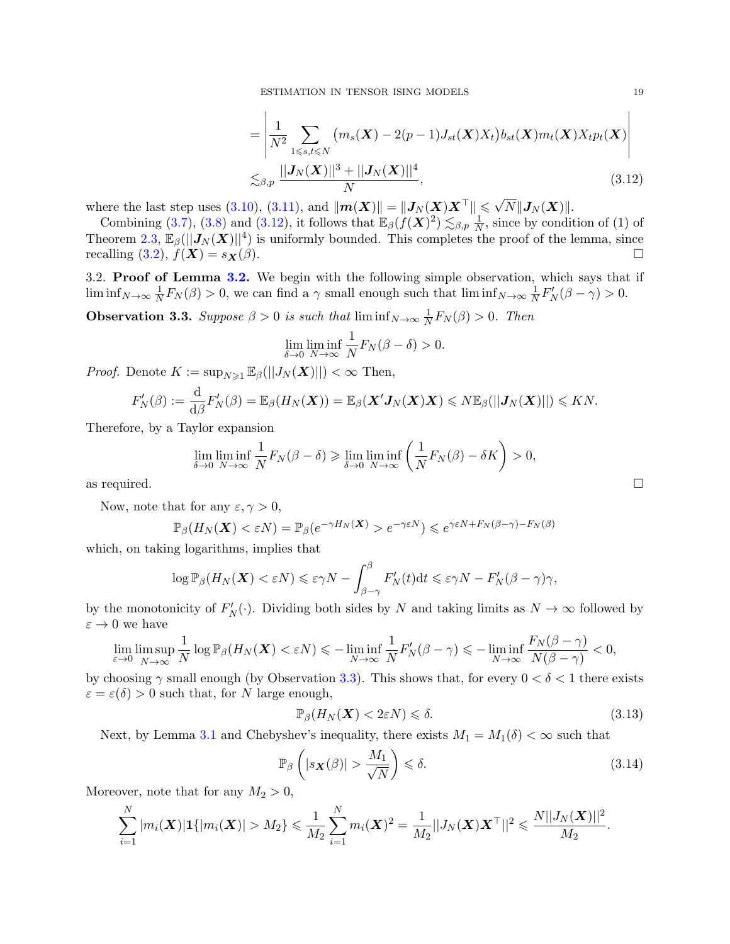$$
= \left| \frac{1}{N^2} \sum_{1 \leq s,t \leq N} \left( m_s(\boldsymbol{X}) - 2(p-1) J_{st}(\boldsymbol{X}) X_t \right) b_{st}(\boldsymbol{X}) m_t(\boldsymbol{X}) X_t p_t(\boldsymbol{X}) \right|
$$
  

$$
\lesssim_{\beta,p} \frac{||\boldsymbol{J}_N(\boldsymbol{X})||^3 + ||\boldsymbol{J}_N(\boldsymbol{X})||^4}{N},
$$
(3.12)

where the last step uses [\(3.10\)](#page-17-1), [\(3.11\)](#page-17-2), and  $\|\boldsymbol{m}(\boldsymbol{X})\| = \|\boldsymbol{J}_N(\boldsymbol{X})\boldsymbol{X}^\top\| \leq \sqrt{N} \|\boldsymbol{J}_N(\boldsymbol{X})\|$ .

Combining [\(3.7\)](#page-16-4), [\(3.8\)](#page-17-3) and [\(3.12\)](#page-18-1), it follows that  $\mathbb{E}_{\beta}(f(\boldsymbol{X})^2) \lesssim_{\beta,p} \frac{1}{N}$  $\frac{1}{N}$ , since by condition of (1) of Theorem [2.3,](#page-4-1)  $\mathbb{E}_{\beta}(||J_N(\boldsymbol{X})||^4)$  is uniformly bounded. This completes the proof of the lemma, since recalling [\(3.2\)](#page-15-1),  $f(\mathbf{X}) = s_{\mathbf{X}}(\beta)$ .

<span id="page-18-0"></span>3.2. Proof of Lemma [3.2.](#page-14-2) We begin with the following simple observation, which says that if  $\liminf_{N\to\infty}\frac{1}{N}$  $\frac{1}{N}F_N(\beta) > 0$ , we can find a  $\gamma$  small enough such that  $\liminf_{N \to \infty} \frac{1}{N}$  $\frac{1}{N}F_N'(\beta - \gamma) > 0.$ 

<span id="page-18-2"></span>**Observation 3.3.** Suppose  $\beta > 0$  is such that  $\liminf_{N \to \infty} \frac{1}{N}$  $\frac{1}{N}F_N(\beta) > 0$ . Then

$$
\lim_{\delta \to 0} \liminf_{N \to \infty} \frac{1}{N} F_N(\beta - \delta) > 0.
$$

*Proof.* Denote  $K := \sup_{N \geq 1} \mathbb{E}_{\beta}(||J_N(\boldsymbol{X})||) < \infty$  Then,

$$
F'_{N}(\beta) := \frac{\mathrm{d}}{\mathrm{d}\beta} F'_{N}(\beta) = \mathbb{E}_{\beta}(H_{N}(\boldsymbol{X})) = \mathbb{E}_{\beta}(\boldsymbol{X}'\boldsymbol{J}_{N}(\boldsymbol{X})\boldsymbol{X}) \leqslant N \mathbb{E}_{\beta}(||\boldsymbol{J}_{N}(\boldsymbol{X})||) \leqslant KN.
$$

Therefore, by a Taylor expansion

$$
\lim_{\delta \to 0} \liminf_{N \to \infty} \frac{1}{N} F_N(\beta - \delta) \geqslant \lim_{\delta \to 0} \liminf_{N \to \infty} \left( \frac{1}{N} F_N(\beta) - \delta K \right) > 0,
$$
 as required.

Now, note that for any  $\varepsilon, \gamma > 0$ ,

$$
\mathbb{P}_{\beta}(H_N(\boldsymbol{X}) < \varepsilon N) = \mathbb{P}_{\beta}(e^{-\gamma H_N(\boldsymbol{X})} > e^{-\gamma \varepsilon N}) \leqslant e^{\gamma \varepsilon N + F_N(\beta - \gamma) - F_N(\beta)}
$$

which, on taking logarithms, implies that

$$
\log \mathbb{P}_{\beta}(H_N(\boldsymbol{X}) < \varepsilon N) \leqslant \varepsilon \gamma N - \int_{\beta - \gamma}^{\beta} F'_N(t) \mathrm{d} t \leqslant \varepsilon \gamma N - F'_N(\beta - \gamma)\gamma,
$$

by the monotonicity of  $F'_{N}(\cdot)$ . Dividing both sides by N and taking limits as  $N \to \infty$  followed by  $\varepsilon \to 0$  we have

$$
\lim_{\varepsilon \to 0} \limsup_{N \to \infty} \frac{1}{N} \log \mathbb{P}_{\beta}(H_N(\boldsymbol{X}) < \varepsilon N) \leqslant - \liminf_{N \to \infty} \frac{1}{N} F_N'(\beta - \gamma) \leqslant - \liminf_{N \to \infty} \frac{F_N(\beta - \gamma)}{N(\beta - \gamma)} < 0,
$$

by choosing  $\gamma$  small enough (by Observation [3.3\)](#page-18-2). This shows that, for every  $0 < \delta < 1$  there exists  $\varepsilon = \varepsilon(\delta) > 0$  such that, for N large enough,

<span id="page-18-3"></span>
$$
\mathbb{P}_{\beta}(H_N(\boldsymbol{X}) < 2\varepsilon N) \leq \delta. \tag{3.13}
$$

Next, by Lemma [3.1](#page-14-1) and Chebyshev's inequality, there exists  $M_1 = M_1(\delta) < \infty$  such that

<span id="page-18-4"></span>
$$
\mathbb{P}_{\beta}\left(|s_{\boldsymbol{X}}(\beta)| > \frac{M_1}{\sqrt{N}}\right) \leq \delta. \tag{3.14}
$$

Moreover, note that for any  $M_2 > 0$ ,

$$
\sum_{i=1}^N |m_i(\boldsymbol{X})| \mathbf{1}\{|m_i(\boldsymbol{X})| > M_2\} \leq \frac{1}{M_2} \sum_{i=1}^N m_i(\boldsymbol{X})^2 = \frac{1}{M_2} ||J_N(\boldsymbol{X}) \boldsymbol{X}^\top||^2 \leq \frac{N||J_N(\boldsymbol{X})||^2}{M_2}.
$$

<span id="page-18-1"></span>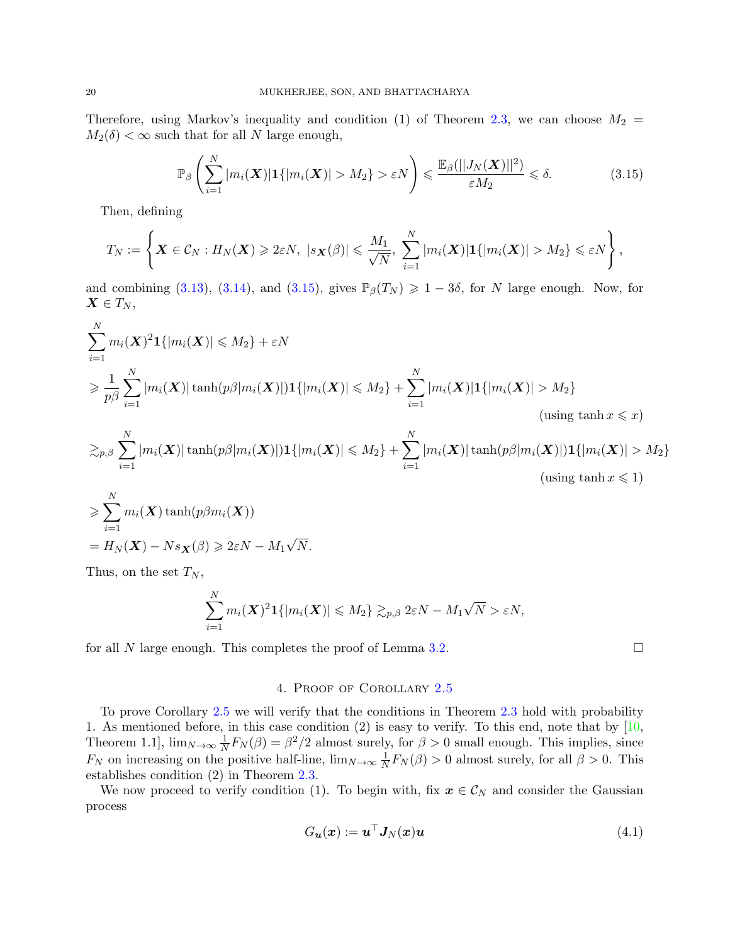Therefore, using Markov's inequality and condition (1) of Theorem [2.3,](#page-4-1) we can choose  $M_2$  =  $M_2(\delta) < \infty$  such that for all N large enough,

$$
\mathbb{P}_{\beta}\left(\sum_{i=1}^{N}|m_{i}(\boldsymbol{X})|\mathbf{1}\{|m_{i}(\boldsymbol{X})|>M_{2}\}>\varepsilon N\right) \leq \frac{\mathbb{E}_{\beta}(||J_{N}(\boldsymbol{X})||^{2})}{\varepsilon M_{2}} \leq \delta.
$$
 (3.15)

Then, defining

$$
T_N:=\left\{\boldsymbol{X}\in\mathcal{C}_N:H_N(\boldsymbol{X})\geqslant 2\varepsilon N,\ |s_{\boldsymbol{X}}(\beta)|\leqslant \frac{M_1}{\sqrt{N}},\ \sum_{i=1}^N|m_i(\boldsymbol{X})|\mathbf{1}\{|m_i(\boldsymbol{X})|>M_2\}\leqslant \varepsilon N\right\},\
$$

and combining [\(3.13\)](#page-18-3), [\(3.14\)](#page-18-4), and [\(3.15\)](#page-19-1), gives  $\mathbb{P}_{\beta}(T_N) \geq 1-3\delta$ , for N large enough. Now, for  $\boldsymbol{X} \in T_N$ ,

$$
\sum_{i=1}^{N} m_i(\boldsymbol{X})^2 \mathbf{1}\{|m_i(\boldsymbol{X})| \le M_2\} + \varepsilon N
$$
\n
$$
\ge \frac{1}{p\beta} \sum_{i=1}^{N} |m_i(\boldsymbol{X})| \tanh(p\beta |m_i(\boldsymbol{X})|) \mathbf{1}\{|m_i(\boldsymbol{X})| \le M_2\} + \sum_{i=1}^{N} |m_i(\boldsymbol{X})| \mathbf{1}\{|m_i(\boldsymbol{X})| > M_2\}
$$
\n(using  $\tanh x \le x$ )

\n
$$
\sum_{p,\beta} \sum_{i=1}^{N} |m_i(\boldsymbol{X})| \tanh(p\beta |m_i(\boldsymbol{X})|) \mathbf{1}\{|m_i(\boldsymbol{X})| \le M_2\} + \sum_{i=1}^{N} |m_i(\boldsymbol{X})| \tanh(p\beta |m_i(\boldsymbol{X})|) \mathbf{1}\{|m_i(\boldsymbol{X})| > M_2\}
$$

<span id="page-19-1"></span>
$$
(\text{using } \tanh x \leqslant 1)
$$

$$
\geqslant \sum_{i=1}^{N} m_i(\mathbf{X}) \tanh(p\beta m_i(\mathbf{X}))
$$
  
=  $H_N(\mathbf{X}) - N s_{\mathbf{X}}(\beta) \geqslant 2\varepsilon N - M_1 \sqrt{N}$ .

Thus, on the set  $T_N$ ,

$$
\sum_{i=1}^N m_i(\mathbf{X})^2 \mathbf{1}\{|m_i(\mathbf{X})| \leqslant M_2\} \gtrsim_{p,\beta} 2\varepsilon N - M_1\sqrt{N} > \varepsilon N,
$$

for all N large enough. This completes the proof of Lemma [3.2.](#page-14-2)

# 4. Proof of Corollary [2.5](#page-5-0)

<span id="page-19-0"></span>To prove Corollary [2.5](#page-5-0) we will verify that the conditions in Theorem [2.3](#page-4-1) hold with probability 1. As mentioned before, in this case condition  $(2)$  is easy to verify. To this end, note that by  $[10, 10]$  $[10, 10]$ Theorem 1.1],  $\lim_{N\to\infty}\frac{1}{N}$  $\frac{1}{N}F_N(\beta) = \beta^2/2$  almost surely, for  $\beta > 0$  small enough. This implies, since  $F_N$  on increasing on the positive half-line,  $\lim_{N\to\infty}\frac{1}{N}$  $\frac{1}{N}F_N(\beta) > 0$  almost surely, for all  $\beta > 0$ . This establishes condition (2) in Theorem [2.3.](#page-4-1)

We now proceed to verify condition (1). To begin with, fix  $x \in \mathcal{C}_N$  and consider the Gaussian process

$$
G_{\mathbf{u}}(\mathbf{x}) := \mathbf{u}^{\top} \mathbf{J}_N(\mathbf{x}) \mathbf{u}
$$
\n(4.1)

<span id="page-19-2"></span>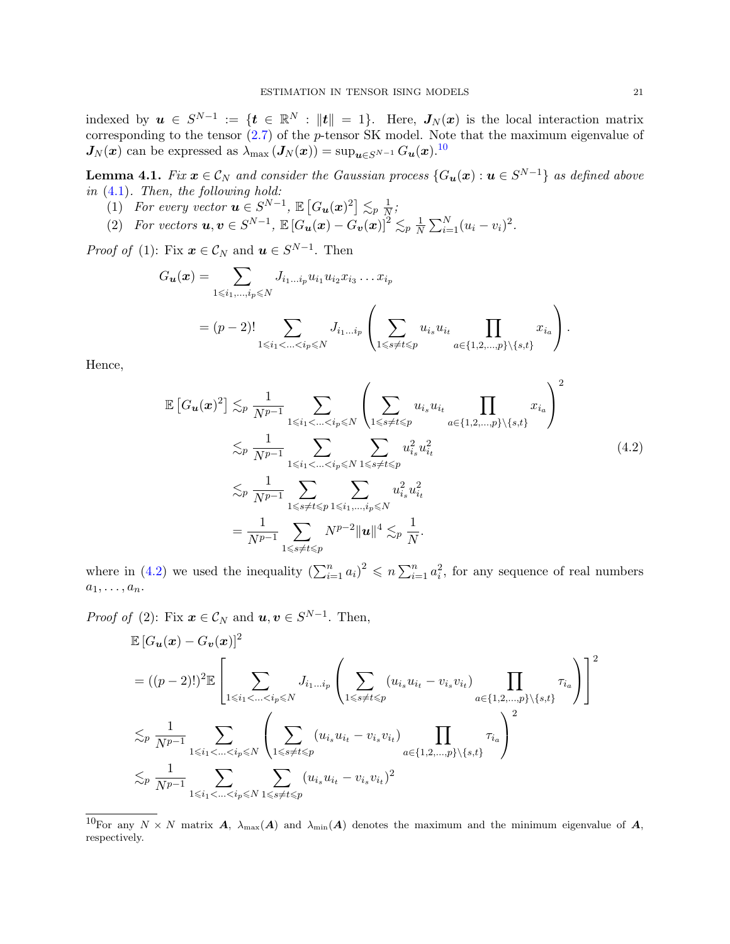indexed by  $u \in S^{N-1} := \{t \in \mathbb{R}^N : ||t|| = 1\}$ . Here,  $J_N(x)$  is the local interaction matrix corresponding to the tensor [\(2.7\)](#page-5-6) of the p-tensor SK model. Note that the maximum eigenvalue of  $J_N(x)$  can be expressed as  $\lambda_{\max} (J_N(x)) = \sup_{\mathbf{u} \in S^{N-1}} G_{\mathbf{u}}(\mathbf{x})$ .<sup>[10](#page-20-0)</sup>

<span id="page-20-2"></span>**Lemma 4.1.** Fix  $x \in \mathcal{C}_N$  and consider the Gaussian process  $\{G_u(x) : u \in S^{N-1}\}\$ as defined above in [\(4.1\)](#page-19-2). Then, the following hold:

- (1) For every vector  $\mathbf{u} \in S^{N-1}$ ,  $\mathbb{E}\left[G_{\mathbf{u}}(\mathbf{x})^2\right] \lesssim_p \frac{1}{N}$  $\frac{1}{N}$  ;
- (2) For vectors  $u, v \in S^{N-1}$ ,  $\mathbb{E}\left[G_u(x) G_v(x)\right]^2 \lesssim_p \frac{1}{N}$  $\frac{1}{N} \sum_{i=1}^{N} (u_i - v_i)^2$ .

*Proof of* (1): Fix  $\mathbf{x} \in \mathcal{C}_N$  and  $\mathbf{u} \in S^{N-1}$ . Then

$$
G_{\mathbf{u}}(\mathbf{x}) = \sum_{1 \leq i_1, \dots, i_p \leq N} J_{i_1 \dots i_p} u_{i_1} u_{i_2} x_{i_3} \dots x_{i_p}
$$
  
=  $(p-2)!$ 
$$
\sum_{1 \leq i_1 < \dots < i_p \leq N} J_{i_1 \dots i_p} \left( \sum_{1 \leq s \neq t \leq p} u_{i_s} u_{i_t} \prod_{a \in \{1, 2, \dots, p\} \setminus \{s, t\}} x_{i_a} \right).
$$

Hence,

<span id="page-20-1"></span>
$$
\mathbb{E}\left[G_{\mathbf{u}}(\mathbf{x})^{2}\right] \lesssim_{p} \frac{1}{N^{p-1}} \sum_{1 \leq i_{1} < \ldots < i_{p} \leq N} \left(\sum_{1 \leq s \neq t \leq p} u_{i_{s}} u_{i_{t}} \prod_{a \in \{1, 2, \ldots, p\} \setminus \{s, t\}} x_{i_{a}}\right)^{2}
$$
\n
$$
\lesssim_{p} \frac{1}{N^{p-1}} \sum_{1 \leq i_{1} < \ldots < i_{p} \leq N} \sum_{1 \leq s \neq t \leq p} u_{i_{s}}^{2} u_{i_{t}}^{2}
$$
\n
$$
\lesssim_{p} \frac{1}{N^{p-1}} \sum_{1 \leq s \neq t \leq p} \sum_{1 \leq i_{1}, \ldots, i_{p} \leq N} u_{i_{s}}^{2} u_{i_{t}}^{2}
$$
\n
$$
= \frac{1}{N^{p-1}} \sum_{1 \leq s \neq t \leq p} N^{p-2} \|\mathbf{u}\|^{4} \lesssim_{p} \frac{1}{N}.
$$
\n(4.2)

where in [\(4.2\)](#page-20-1) we used the inequality  $\left(\sum_{i=1}^n a_i\right)^2 \leqslant n \sum_{i=1}^n a_i^2$ , for any sequence of real numbers  $a_1, \ldots, a_n.$ 

*Proof of* (2): Fix  $\mathbf{x} \in \mathcal{C}_N$  and  $\mathbf{u}, \mathbf{v} \in S^{N-1}$ . Then,

$$
\mathbb{E}\left[G_{\mathbf{u}}(\mathbf{x}) - G_{\mathbf{v}}(\mathbf{x})\right]^{2}
$$
\n
$$
= ((p-2)!)^{2} \mathbb{E}\left[\sum_{1 \leq i_{1} < \ldots < i_{p} \leq N} J_{i_{1} \ldots i_{p}}\left(\sum_{1 \leq s \neq t \leq p} (u_{i_{s}} u_{i_{t}} - v_{i_{s}} v_{i_{t}}) \prod_{a \in \{1, 2, \ldots, p\} \setminus \{s, t\}} \tau_{i_{a}}\right)\right]^{2}
$$
\n
$$
\lesssim_{p} \frac{1}{N^{p-1}} \sum_{1 \leq i_{1} < \ldots < i_{p} \leq N} \left(\sum_{1 \leq s \neq t \leq p} (u_{i_{s}} u_{i_{t}} - v_{i_{s}} v_{i_{t}}) \prod_{a \in \{1, 2, \ldots, p\} \setminus \{s, t\}} \tau_{i_{a}}\right)^{2}
$$
\n
$$
\lesssim_{p} \frac{1}{N^{p-1}} \sum_{1 \leq i_{1} < \ldots < i_{p} \leq N} \sum_{1 \leq s \neq t \leq p} (u_{i_{s}} u_{i_{t}} - v_{i_{s}} v_{i_{t}})^{2}
$$

<span id="page-20-0"></span><sup>&</sup>lt;sup>10</sup>For any  $N \times N$  matrix **A**,  $\lambda_{\max}(A)$  and  $\lambda_{\min}(A)$  denotes the maximum and the minimum eigenvalue of **A**, respectively.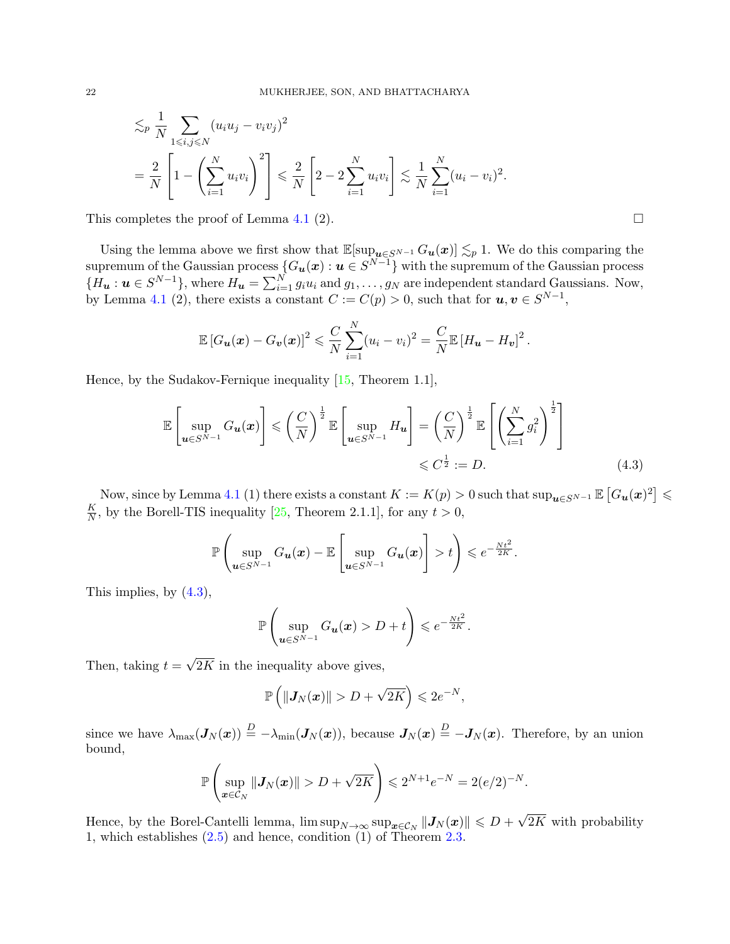$$
\lesssim_{p} \frac{1}{N} \sum_{1 \leq i,j \leq N} (u_{i}u_{j} - v_{i}v_{j})^{2}
$$
  
=  $\frac{2}{N} \left[ 1 - \left( \sum_{i=1}^{N} u_{i}v_{i} \right)^{2} \right] \leq \frac{2}{N} \left[ 2 - 2 \sum_{i=1}^{N} u_{i}v_{i} \right] \lesssim \frac{1}{N} \sum_{i=1}^{N} (u_{i} - v_{i})^{2}.$ 

This completes the proof of Lemma [4.1](#page-20-2) (2).  $\square$ 

Using the lemma above we first show that  $\mathbb{E}[\sup_{u\in S^{N-1}} G_u(x)] \lesssim_p 1$ . We do this comparing the supremum of the Gaussian process  ${G_u(x) : u \in S^{N-1}}$  with the supremum of the Gaussian process  ${H_{\boldsymbol{u}} : \boldsymbol{u} \in S^{N-1}}$ , where  $H_{\boldsymbol{u}} = \sum_{i=1}^{N} g_i u_i$  and  $g_1, \ldots, g_N$  are independent standard Gaussians. Now, by Lemma [4.1](#page-20-2) (2), there exists a constant  $C := C(p) > 0$ , such that for  $u, v \in S^{N-1}$ ,

$$
\mathbb{E}\left[G_{\boldsymbol{u}}(\boldsymbol{x})-G_{\boldsymbol{v}}(\boldsymbol{x})\right]^2 \leqslant \frac{C}{N}\sum_{i=1}^N(u_i-v_i)^2 = \frac{C}{N}\mathbb{E}\left[H_{\boldsymbol{u}}-H_{\boldsymbol{v}}\right]^2.
$$

Hence, by the Sudakov-Fernique inequality [\[15,](#page-31-26) Theorem 1.1],

$$
\mathbb{E}\left[\sup_{\mathbf{u}\in S^{N-1}} G_{\mathbf{u}}(\mathbf{x})\right] \leqslant \left(\frac{C}{N}\right)^{\frac{1}{2}} \mathbb{E}\left[\sup_{\mathbf{u}\in S^{N-1}} H_{\mathbf{u}}\right] = \left(\frac{C}{N}\right)^{\frac{1}{2}} \mathbb{E}\left[\left(\sum_{i=1}^{N} g_i^2\right)^{\frac{1}{2}}\right] \leqslant C^{\frac{1}{2}} := D.
$$
\n(4.3)

Now, since by Lemma [4.1](#page-20-2) (1) there exists a constant  $K := K(p) > 0$  such that  $\sup_{\bm{u} \in S^{N-1}} \mathbb{E}\left[G_{\bm{u}}(\bm{x})^2\right] \leq$ K  $\frac{K}{N}$ , by the Borell-TIS inequality [\[25,](#page-31-27) Theorem 2.1.1], for any  $t > 0$ ,

$$
\mathbb{P}\left(\sup_{\boldsymbol{u}\in S^{N-1}}G_{\boldsymbol{u}}(\boldsymbol{x})-\mathbb{E}\left[\sup_{\boldsymbol{u}\in S^{N-1}}G_{\boldsymbol{u}}(\boldsymbol{x})\right] > t\right) \leqslant e^{-\frac{Nt^2}{2K}}.
$$

This implies, by [\(4.3\)](#page-21-0),

<span id="page-21-0"></span>
$$
\mathbb{P}\left(\sup_{\mathbf{u}\in S^{N-1}} G_{\mathbf{u}}(\mathbf{x}) > D + t\right) \leqslant e^{-\frac{Nt^2}{2K}}.
$$

Then, taking  $t = \sqrt{2K}$  in the inequality above gives,

$$
\mathbb{P}\left(\|\boldsymbol{J}_N(\boldsymbol{x})\|>D+\sqrt{2K}\right)\leqslant 2e^{-N},
$$

since we have  $\lambda_{\max}(\mathbf{J}_N(\boldsymbol{x})) \stackrel{D}{=} -\lambda_{\min}(\mathbf{J}_N(\boldsymbol{x}))$ , because  $\mathbf{J}_N(\boldsymbol{x}) \stackrel{D}{=} -\mathbf{J}_N(\boldsymbol{x})$ . Therefore, by an union bound,

$$
\mathbb{P}\left(\sup_{\bm{x}\in\mathcal{C}_N} \|\bm{J}_N(\bm{x})\| > D + \sqrt{2K}\right) \leqslant 2^{N+1} e^{-N} = 2(e/2)^{-N}.
$$

Hence, by the Borel-Cantelli lemma,  $\limsup_{N\to\infty} \sup_{\mathbf{x}\in\mathcal{C}_N} ||\mathbf{J}_N(\mathbf{x})|| \leqslant D + \sqrt{2K}$  with probability 1, which establishes [\(2.5\)](#page-5-3) and hence, condition (1) of Theorem [2.3.](#page-4-1)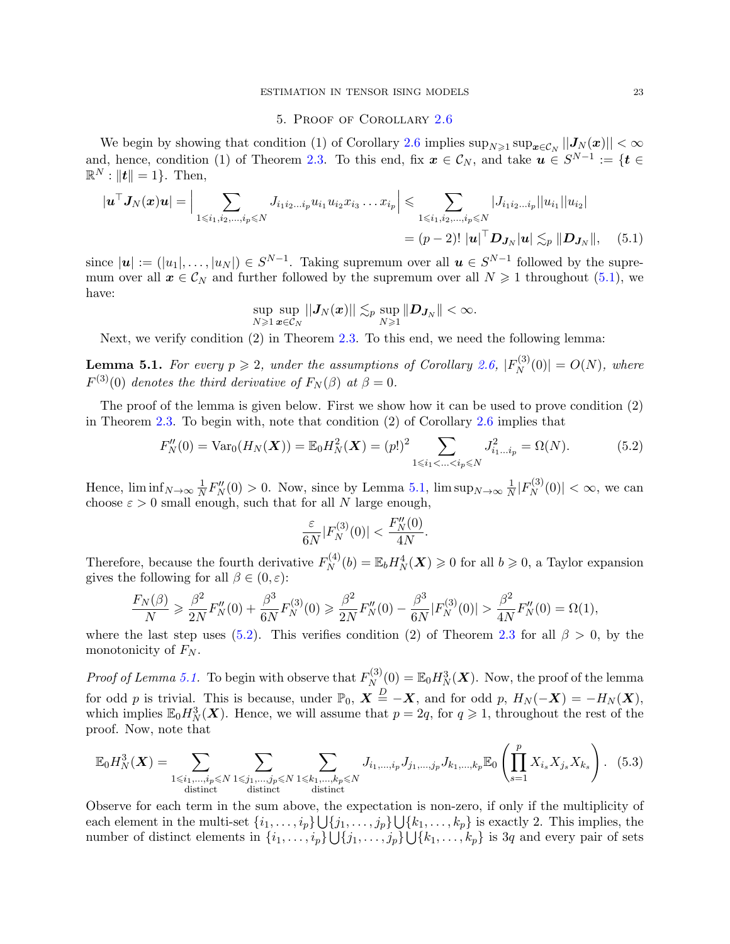#### <span id="page-22-1"></span>5. Proof of Corollary [2.6](#page-6-0)

<span id="page-22-0"></span>We begin by showing that condition (1) of Corollary [2.6](#page-6-0) implies  $\sup_{N\geq 1} \sup_{x\in\mathcal{C}_N} ||J_N(x)|| < \infty$ and, hence, condition (1) of Theorem [2.3.](#page-4-1) To this end, fix  $x \in \mathcal{C}_N$ , and take  $u \in S^{N-1} := \{t \in N : u, u \in \mathbb{R}^N\}$  $\mathbb{R}^N : ||t|| = 1$ . Then,

$$
|\mathbf{u}^{\top} \mathbf{J}_{N}(\mathbf{x})\mathbf{u}| = \Big| \sum_{1 \leq i_{1}, i_{2}, \dots, i_{p} \leq N} J_{i_{1} i_{2} \dots i_{p}} u_{i_{1}} u_{i_{2}} x_{i_{3}} \dots x_{i_{p}} \Big| \leqslant \sum_{1 \leqslant i_{1}, i_{2}, \dots, i_{p} \leqslant N} |J_{i_{1} i_{2} \dots i_{p}}| |u_{i_{1}}| |u_{i_{2}}|
$$
  
=  $(p-2)! |\mathbf{u}|^{\top} \mathbf{D}_{\mathbf{J}_{N}} |\mathbf{u}| \lesssim_{p} ||\mathbf{D}_{\mathbf{J}_{N}}||,$  (5.1)

since  $|\mathbf{u}| := (|u_1|, \dots, |u_N|) \in S^{N-1}$ . Taking supremum over all  $\mathbf{u} \in S^{N-1}$  followed by the supremum over all  $x \in C_N$  and further followed by the supremum over all  $N \geq 1$  throughout [\(5.1\)](#page-22-1), we have:

$$
\sup_{N\geqslant 1}\sup_{\boldsymbol{x}\in\mathcal{C}_N}||\boldsymbol{J}_N(\boldsymbol{x})||\lesssim_p \sup_{N\geqslant 1}\|\boldsymbol{D}_{\boldsymbol{J}_N}\|<\infty.
$$

Next, we verify condition (2) in Theorem [2.3.](#page-4-1) To this end, we need the following lemma:

<span id="page-22-2"></span>**Lemma 5.1.** For every  $p \ge 2$ , under the assumptions of Corollary [2.6,](#page-6-0)  $|F_N^{(3)}|$  $|N^{(3)}(0)| = O(N)$ , where  $F^{(3)}(0)$  denotes the third derivative of  $F_N(\beta)$  at  $\beta = 0$ .

The proof of the lemma is given below. First we show how it can be used to prove condition (2) in Theorem [2.3.](#page-4-1) To begin with, note that condition (2) of Corollary [2.6](#page-6-0) implies that

$$
F''_N(0) = \text{Var}_0(H_N(\boldsymbol{X})) = \mathbb{E}_0 H_N^2(\boldsymbol{X}) = (p!)^2 \sum_{1 \le i_1 < \ldots < i_p \le N} J_{i_1 \ldots i_p}^2 = \Omega(N). \tag{5.2}
$$

<span id="page-22-3"></span>.

Hence,  $\liminf_{N\to\infty}\frac{1}{N}$  $\frac{1}{N}F_N''(0) > 0$ . Now, since by Lemma [5.1,](#page-22-2)  $\limsup_{N \to \infty} \frac{1}{N}$  $\frac{1}{N}|F_N^{(3)}$  $\left| \mathcal{N}^{(3)}(0) \right| < \infty$ , we can choose  $\varepsilon > 0$  small enough, such that for all N large enough,

$$
\frac{\varepsilon}{6N}|F_N^{(3)}(0)|<\frac{F_N''(0)}{4N}
$$

Therefore, because the fourth derivative  $F_N^{(4)}$  $N_N^{(4)}(b) = \mathbb{E}_b H_N^4(\boldsymbol{X}) \geq 0$  for all  $b \geq 0$ , a Taylor expansion gives the following for all  $\beta \in (0, \varepsilon)$ :

$$
\frac{F_N(\beta)}{N} \geq \frac{\beta^2}{2N} F_N''(0) + \frac{\beta^3}{6N} F_N^{(3)}(0) \geq \frac{\beta^2}{2N} F_N''(0) - \frac{\beta^3}{6N} |F_N^{(3)}(0)| > \frac{\beta^2}{4N} F_N''(0) = \Omega(1),
$$

where the last step uses [\(5.2\)](#page-22-3). This verifies condition (2) of Theorem [2.3](#page-4-1) for all  $\beta > 0$ , by the monotonicity of  $F_N$ .

*Proof of Lemma [5.1.](#page-22-2)* To begin with observe that  $F_N^{(3)}$  $N_N^{(3)}(0) = \mathbb{E}_0 H_N^3(\boldsymbol{X}).$  Now, the proof of the lemma for odd p is trivial. This is because, under  $\mathbb{P}_0$ ,  $\mathbf{X} \triangleq -\mathbf{X}$ , and for odd p,  $H_N(-\mathbf{X}) = -H_N(\mathbf{X})$ , which implies  $\mathbb{E}_0 H_N^3(\boldsymbol{X})$ . Hence, we will assume that  $p = 2q$ , for  $q \geq 1$ , throughout the rest of the proof. Now, note that

<span id="page-22-4"></span>
$$
\mathbb{E}_{0}H_{N}^{3}(\boldsymbol{X}) = \sum_{\substack{1 \leq i_{1}, \dots, i_{p} \leq N}} \sum_{\substack{1 \leq j_{1}, \dots, j_{p} \leq N}} \sum_{\substack{1 \leq k_{1}, \dots, k_{p} \leq N}} J_{i_{1}, \dots, i_{p}} J_{j_{1}, \dots, j_{p}} J_{k_{1}, \dots, k_{p}} \mathbb{E}_{0} \left( \prod_{s=1}^{p} X_{i_{s}} X_{j_{s}} X_{k_{s}} \right). (5.3)
$$

Observe for each term in the sum above, the expectation is non-zero, if only if the multiplicity of each element in the multi-set  $\{i_1, \ldots, i_p\} \bigcup \{j_1, \ldots, j_p\} \bigcup \{k_1, \ldots, k_p\}$  is exactly 2. This implies, the number of distinct elements in  $\{i_1, \ldots, i_p\} \bigcup \{j_1, \ldots, j_p\} \bigcup \{k_1, \ldots, k_p\}$  is 3q and every pair of sets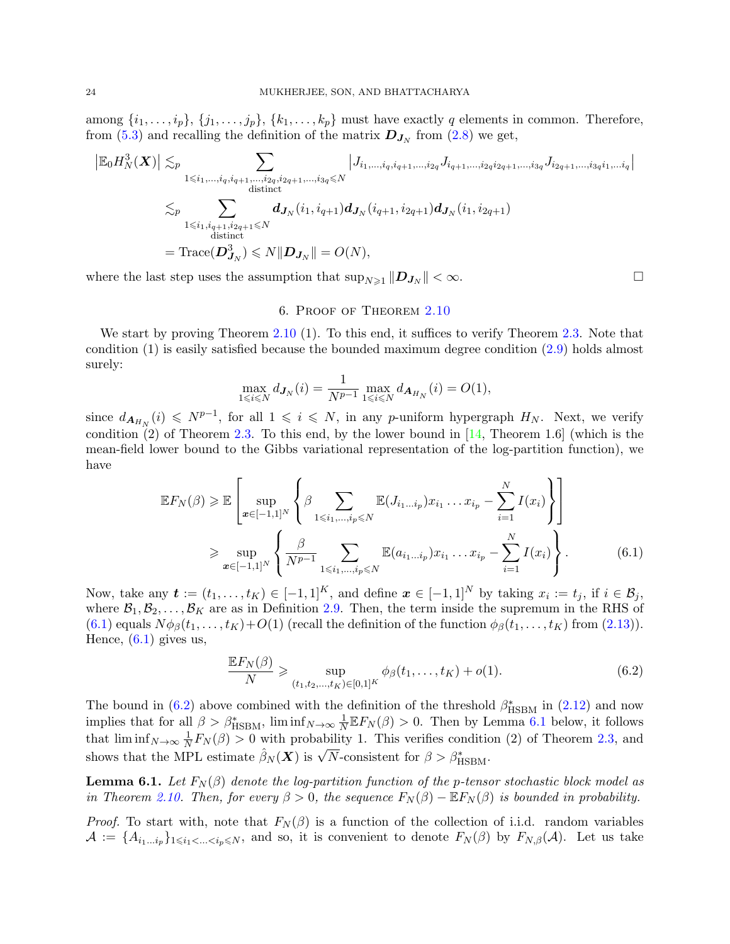among  $\{i_1, \ldots, i_p\}, \{j_1, \ldots, j_p\}, \{k_1, \ldots, k_p\}$  must have exactly q elements in common. Therefore, from [\(5.3\)](#page-22-4) and recalling the definition of the matrix  $\mathbf{D}_{\mathbf{J}_N}$  from [\(2.8\)](#page-6-4) we get,

$$
\left| \mathbb{E}_{0} H_{N}^{3}(\boldsymbol{X}) \right| \lesssim_{p} \sum_{\substack{1 \leq i_{1}, \ldots, i_{q}, i_{q+1}, \ldots, i_{2q}, i_{2q+1}, \ldots, i_{3q} \leq N}} \left| J_{i_{1}, \ldots, i_{q}, i_{q+1}, \ldots, i_{2q}} J_{i_{q+1}, \ldots, i_{2q} i_{2q+1}, \ldots, i_{3q}} J_{i_{2q+1}, \ldots, i_{3q} i_{1}, \ldots i_{q}} \right|
$$
  

$$
\lesssim_{p} \sum_{\substack{1 \leq i_{1}, i_{q+1}, i_{2q+1} \leq N}} d_{J_{N}}(i_{1}, i_{q+1}) d_{J_{N}}(i_{q+1}, i_{2q+1}) d_{J_{N}}(i_{1}, i_{2q+1})
$$
  

$$
= \text{Trace}(D_{J_{N}}^{3}) \leq N \| D_{J_{N}} \| = O(N),
$$

where the last step uses the assumption that  $\sup_{N\geq 1} ||D_{J_N}|| < \infty$ .

## 6. Proof of Theorem [2.10](#page-8-0)

<span id="page-23-0"></span>We start by proving Theorem [2.10](#page-8-0) (1). To this end, it suffices to verify Theorem [2.3.](#page-4-1) Note that condition (1) is easily satisfied because the bounded maximum degree condition [\(2.9\)](#page-7-4) holds almost surely:

$$
\max_{1 \le i \le N} d_{J_N}(i) = \frac{1}{N^{p-1}} \max_{1 \le i \le N} d_{A_{H_N}}(i) = O(1),
$$

since  $d_{\mathbf{A}_{H_N}}(i) \leqslant N^{p-1}$ , for all  $1 \leqslant i \leqslant N$ , in any p-uniform hypergraph  $H_N$ . Next, we verify condition (2) of Theorem [2.3.](#page-4-1) To this end, by the lower bound in  $[14,$  Theorem 1.6 (which is the mean-field lower bound to the Gibbs variational representation of the log-partition function), we have

$$
\mathbb{E}F_{N}(\beta) \geq \mathbb{E}\left[\sup_{x \in [-1,1]^{N}} \left\{\beta \sum_{1 \leq i_{1}, \dots, i_{p} \leq N} \mathbb{E}(J_{i_{1} \dots i_{p}}) x_{i_{1}} \dots x_{i_{p}} - \sum_{i=1}^{N} I(x_{i})\right\}\right]
$$
  

$$
\geq \sup_{x \in [-1,1]^{N}} \left\{\frac{\beta}{N^{p-1}} \sum_{1 \leq i_{1}, \dots, i_{p} \leq N} \mathbb{E}(a_{i_{1} \dots i_{p}}) x_{i_{1}} \dots x_{i_{p}} - \sum_{i=1}^{N} I(x_{i})\right\}.
$$
 (6.1)

Now, take any  $\boldsymbol{t} := (t_1, \ldots, t_K) \in [-1,1]^K$ , and define  $\boldsymbol{x} \in [-1,1]^N$  by taking  $x_i := t_j$ , if  $i \in \mathcal{B}_j$ , where  $\mathcal{B}_1, \mathcal{B}_2, \ldots, \mathcal{B}_K$  are as in Definition [2.9.](#page-8-2) Then, the term inside the supremum in the RHS of  $(6.1)$  equals  $N\phi_{\beta}(t_1,\ldots,t_K)+O(1)$  (recall the definition of the function  $\phi_{\beta}(t_1,\ldots,t_K)$  from  $(2.13)$ ). Hence,  $(6.1)$  gives us,

<span id="page-23-2"></span><span id="page-23-1"></span>
$$
\frac{\mathbb{E}F_N(\beta)}{N} \ge \sup_{(t_1, t_2, ..., t_K) \in [0, 1]^K} \phi_{\beta}(t_1, ..., t_K) + o(1).
$$
\n(6.2)

The bound in [\(6.2\)](#page-23-2) above combined with the definition of the threshold  $\beta_{\rm HSBM}^{*}$  in [\(2.12\)](#page-8-4) and now implies that for all  $\beta > \beta_{\text{HSBM}}^*$ ,  $\liminf_{N \to \infty} \frac{1}{N}$  $\frac{1}{N} \mathbb{E} F_N(\beta) > 0$ . Then by Lemma [6.1](#page-23-3) below, it follows that  $\liminf_{N\to\infty}\frac{1}{N}$  $\frac{1}{N}F_N(\beta) > 0$  with probability 1. This verifies condition (2) of Theorem [2.3,](#page-4-1) and shows that the MPL estimate  $\hat{\beta}_N(\boldsymbol{X})$  is  $\sqrt{N}$ -consistent for  $\beta > \beta_{\text{HSBM}}^*$ .

<span id="page-23-3"></span>**Lemma 6.1.** Let  $F_N(\beta)$  denote the log-partition function of the p-tensor stochastic block model as in Theorem [2.10.](#page-8-0) Then, for every  $\beta > 0$ , the sequence  $F_N(\beta) - \mathbb{E} F_N(\beta)$  is bounded in probability.

*Proof.* To start with, note that  $F_N(\beta)$  is a function of the collection of i.i.d. random variables  $\mathcal{A} := \{A_{i_1...i_p}\}_{1 \leq i_1 < ... \leq i_p \leq N}$ , and so, it is convenient to denote  $F_N(\beta)$  by  $F_{N,\beta}(\mathcal{A})$ . Let us take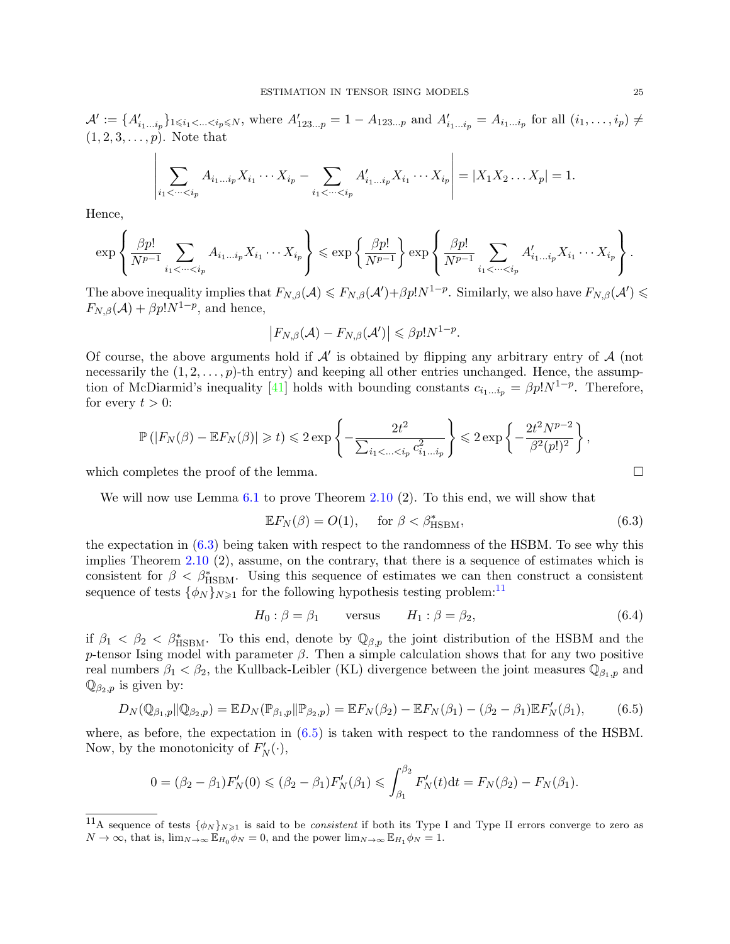$\mathcal{A}' := \{A'_{i_1...i_p}\}_{1 \le i_1 < ... < i_p \le N}$ , where  $A'_{123...p} = 1 - A_{123...p}$  and  $A'_{i_1...i_p} = A_{i_1...i_p}$  for all  $(i_1,...,i_p) \ne$  $(1, 2, 3, \ldots, p)$ . Note that

$$
\left| \sum_{i_1 < \dots < i_p} A_{i_1 \dots i_p} X_{i_1} \dots X_{i_p} - \sum_{i_1 < \dots < i_p} A'_{i_1 \dots i_p} X_{i_1} \dots X_{i_p} \right| = |X_1 X_2 \dots X_p| = 1.
$$

Hence,

$$
\exp\left\{\frac{\beta p!}{N^{p-1}}\sum_{i_1<\cdots
$$

The above inequality implies that  $F_{N,\beta}(\mathcal{A}) \leqslant F_{N,\beta}(\mathcal{A}') + \beta p! N^{1-p}$ . Similarly, we also have  $F_{N,\beta}(\mathcal{A}') \leqslant$  $F_{N,\beta}(\mathcal{A}) + \beta p! N^{1-p}$ , and hence,

$$
\big|F_{N,\beta}(\mathcal{A})-F_{N,\beta}(\mathcal{A}')\big|\leq \beta p!N^{1-p}.
$$

Of course, the above arguments hold if  $\mathcal{A}'$  is obtained by flipping any arbitrary entry of  $\mathcal{A}$  (not necessarily the  $(1, 2, \ldots, p)$ -th entry) and keeping all other entries unchanged. Hence, the assump-tion of McDiarmid's inequality [\[41\]](#page-32-25) holds with bounding constants  $c_{i_1...i_p} = \beta p! N^{1-p}$ . Therefore, for every  $t > 0$ :

$$
\mathbb{P}(|F_N(\beta) - \mathbb{E}F_N(\beta)| \ge t) \le 2 \exp\left\{-\frac{2t^2}{\sum_{i_1 < \dots < i_p} c_{i_1 \dots i_p}^2}\right\} \le 2 \exp\left\{-\frac{2t^2 N^{p-2}}{\beta^2 (p!)^2}\right\},\
$$
\nwhich completes the proof of the lemma.

We will now use Lemma [6.1](#page-23-3) to prove Theorem [2.10](#page-8-0) (2). To this end, we will show that

<span id="page-24-3"></span><span id="page-24-0"></span>
$$
\mathbb{E}F_N(\beta) = O(1), \quad \text{for } \beta < \beta_{\text{HSBM}}^*, \tag{6.3}
$$

the expectation in [\(6.3\)](#page-24-0) being taken with respect to the randomness of the HSBM. To see why this implies Theorem [2.10](#page-8-0) (2), assume, on the contrary, that there is a sequence of estimates which is consistent for  $\beta < \beta_{\text{HSBM}}^*$ . Using this sequence of estimates we can then construct a consistent sequence of tests  $\{\phi_N\}_{N\geq 1}$  for the following hypothesis testing problem:<sup>[11](#page-24-1)</sup>

<span id="page-24-2"></span>
$$
H_0: \beta = \beta_1 \qquad \text{versus} \qquad H_1: \beta = \beta_2,\tag{6.4}
$$

if  $\beta_1 < \beta_2 < \beta_{\text{HSBM}}^*$ . To this end, denote by  $\mathbb{Q}_{\beta,p}$  the joint distribution of the HSBM and the p-tensor Ising model with parameter  $\beta$ . Then a simple calculation shows that for any two positive real numbers  $\beta_1 < \beta_2$ , the Kullback-Leibler (KL) divergence between the joint measures  $\mathbb{Q}_{\beta_1,p}$  and  $\mathbb{Q}_{\beta_2,p}$  is given by:

$$
D_N(\mathbb{Q}_{\beta_1,p}||\mathbb{Q}_{\beta_2,p}) = \mathbb{E}D_N(\mathbb{P}_{\beta_1,p}||\mathbb{P}_{\beta_2,p}) = \mathbb{E}F_N(\beta_2) - \mathbb{E}F_N(\beta_1) - (\beta_2 - \beta_1)\mathbb{E}F_N'(\beta_1),\tag{6.5}
$$

where, as before, the expectation in  $(6.5)$  is taken with respect to the randomness of the HSBM. Now, by the monotonicity of  $F'_{N}(\cdot)$ ,

$$
0 = (\beta_2 - \beta_1) F'_N(0) \leq (\beta_2 - \beta_1) F'_N(\beta_1) \leq \int_{\beta_1}^{\beta_2} F'_N(t) dt = F_N(\beta_2) - F_N(\beta_1).
$$

<span id="page-24-1"></span><sup>&</sup>lt;sup>11</sup>A sequence of tests  $\{\phi_N\}_{N\geqslant1}$  is said to be *consistent* if both its Type I and Type II errors converge to zero as  $N \to \infty$ , that is,  $\lim_{N \to \infty} \mathbb{E}_{H_0} \phi_N = 0$ , and the power  $\lim_{N \to \infty} \mathbb{E}_{H_1} \phi_N = 1$ .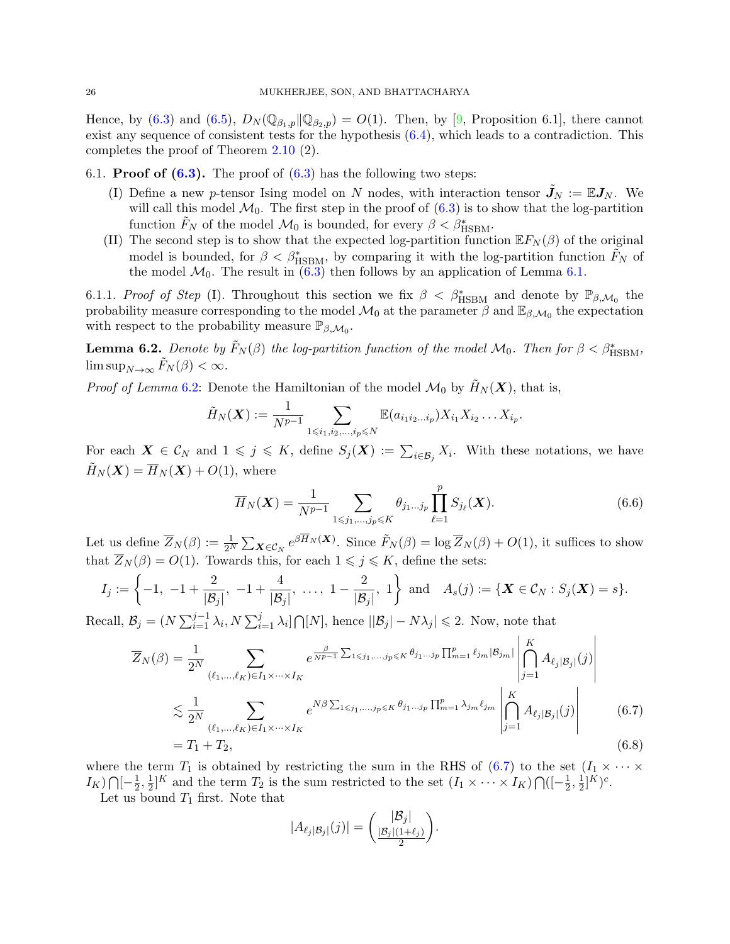Hence, by [\(6.3\)](#page-24-0) and [\(6.5\)](#page-24-2),  $D_N(\mathbb{Q}_{\beta_1,p}||\mathbb{Q}_{\beta_2,p}) = O(1)$ . Then, by [\[9,](#page-31-10) Proposition 6.1], there cannot exist any sequence of consistent tests for the hypothesis [\(6.4\)](#page-24-3), which leads to a contradiction. This completes the proof of Theorem [2.10](#page-8-0) (2).

6.1. **Proof of**  $(6.3)$ **.** The proof of  $(6.3)$  has the following two steps:

- (I) Define a new p-tensor Ising model on N nodes, with interaction tensor  $J_N := \mathbb{E} J_N$ . We will call this model  $\mathcal{M}_0$ . The first step in the proof of  $(6.3)$  is to show that the log-partition function  $\tilde{F}_N$  of the model  $\mathcal{M}_0$  is bounded, for every  $\beta < \beta_{\text{HSBM}}^*$ .
- (II) The second step is to show that the expected log-partition function  $\mathbb{E} F_N(\beta)$  of the original model is bounded, for  $\beta < \beta_{\text{HSBM}}^*$ , by comparing it with the log-partition function  $\tilde{F}_N$  of the model  $\mathcal{M}_0$ . The result in [\(6.3\)](#page-24-0) then follows by an application of Lemma [6.1.](#page-23-3)

6.1.1. Proof of Step (I). Throughout this section we fix  $\beta < \beta_{\text{HSBM}}^*$  and denote by  $\mathbb{P}_{\beta,\mathcal{M}_0}$  the probability measure corresponding to the model  $\mathcal{M}_0$  at the parameter  $\beta$  and  $\mathbb{E}_{\beta,\mathcal{M}_0}$  the expectation with respect to the probability measure  $\mathbb{P}_{\beta,\mathcal{M}_0}$ .

<span id="page-25-0"></span>**Lemma 6.2.** Denote by  $\tilde{F}_N(\beta)$  the log-partition function of the model  $\mathcal{M}_0$ . Then for  $\beta < \beta_{\rm HSBM}^*$ ,  $\limsup_{N\to\infty} F_N(\beta) < \infty$ .

*Proof of Lemma* [6.2:](#page-25-0) Denote the Hamiltonian of the model  $\mathcal{M}_0$  by  $H_N(\mathbf{X})$ , that is,

$$
\tilde{H}_N(\boldsymbol{X}) := \frac{1}{N^{p-1}} \sum_{1 \leq i_1, i_2, \dots, i_p \leq N} \mathbb{E}(a_{i_1 i_2 \dots i_p}) X_{i_1} X_{i_2} \dots X_{i_p}.
$$

For each  $\mathbf{X} \in \mathcal{C}_N$  and  $1 \leqslant j \leqslant K$ , define  $S_j(\mathbf{X}) := \sum_{i \in \mathcal{B}_j} X_i$ . With these notations, we have  $\widetilde{H}_N(\boldsymbol{X}) = \overline{H}_N(\boldsymbol{X}) + O(1)$ , where

$$
\overline{H}_N(\boldsymbol{X}) = \frac{1}{N^{p-1}} \sum_{1 \leq j_1, \dots, j_p \leq K} \theta_{j_1 \dots j_p} \prod_{\ell=1}^p S_{j_\ell}(\boldsymbol{X}). \tag{6.6}
$$

Let us define  $\overline{Z}_N(\beta) := \frac{1}{2^N} \sum_{\mathbf{X} \in \mathcal{C}_N} e^{\beta \overline{H}_N(\mathbf{X})}$ . Since  $\tilde{F}_N(\beta) = \log \overline{Z}_N(\beta) + O(1)$ , it suffices to show that  $Z_N(\beta) = O(1)$ . Towards this, for each  $1 \leq j \leq K$ , define the sets:

$$
I_j := \left\{-1, -1 + \frac{2}{|\mathcal{B}_j|}, -1 + \frac{4}{|\mathcal{B}_j|}, \ldots, 1 - \frac{2}{|\mathcal{B}_j|}, 1\right\} \text{ and } A_s(j) := \{ \mathbf{X} \in \mathcal{C}_N : S_j(\mathbf{X}) = s \}.
$$

Recall,  $\mathcal{B}_j = (N \sum_{i=1}^{j-1} \lambda_i, N \sum_{i=1}^j \lambda_i] \bigcap [N]$ , hence  $||\mathcal{B}_j| - N\lambda_j| \leq 2$ . Now, note that

$$
\overline{Z}_{N}(\beta) = \frac{1}{2^{N}} \sum_{(\ell_{1},\ldots,\ell_{K})\in I_{1}\times\cdots\times I_{K}} e^{\frac{\beta}{N^{p-1}}\sum_{1\leqslant j_{1},\ldots,j_{p}\leqslant K}\theta_{j_{1}\ldots j_{p}}\prod_{m=1}^{p}\ell_{j_{m}}|\mathcal{B}_{j_{m}}|} \left| \bigcap_{j=1}^{K} A_{\ell_{j}|\mathcal{B}_{j}}(j) \right|
$$
\n
$$
\lesssim \frac{1}{2^{N}} \sum_{(\ell_{1},\ldots,\ell_{K})\in I_{1}\times\cdots\times I_{K}} e^{N\beta \sum_{1\leqslant j_{1},\ldots,j_{p}\leqslant K}\theta_{j_{1}\ldots j_{p}}\prod_{m=1}^{p}\lambda_{j_{m}}\ell_{j_{m}}}\left| \bigcap_{j=1}^{K} A_{\ell_{j}|\mathcal{B}_{j}}(j) \right|
$$
\n
$$
= T_{1} + T_{2}, \qquad (6.8)
$$

where the term  $T_1$  is obtained by restricting the sum in the RHS of [\(6.7\)](#page-25-1) to the set  $(I_1 \times \cdots \times$  $I_K$ )  $\bigcap \left[-\frac{1}{2}\right]$  $\frac{1}{2}, \frac{1}{2}$  $\frac{1}{2}$ <sup>K</sup> and the term  $T_2$  is the sum restricted to the set  $(I_1 \times \cdots \times I_K) \bigcap ([-\frac{1}{2})$  $\frac{1}{2}, \frac{1}{2}$  $\frac{1}{2}$ ]<sup>K</sup> $)^c$ .

Let us bound  $T_1$  first. Note that

<span id="page-25-2"></span><span id="page-25-1"></span>
$$
|A_{\ell_j|\mathcal{B}_j|}(j)| = \left(\frac{|\mathcal{B}_j|}{\frac{|\mathcal{B}_j|(1+\ell_j)}{2}}\right).
$$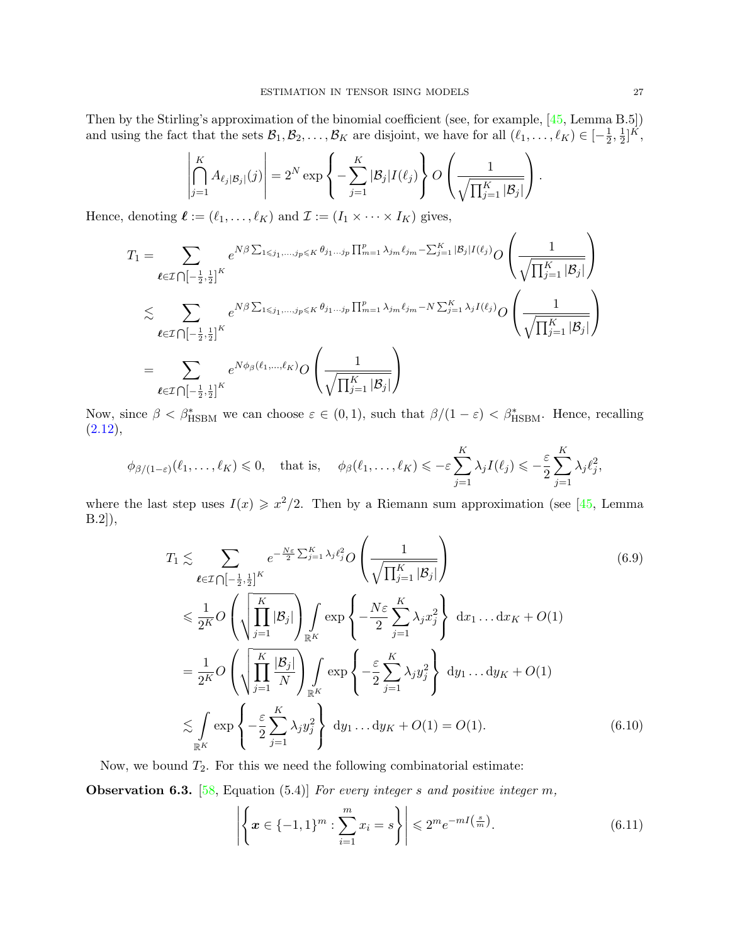Then by the Stirling's approximation of the binomial coefficient (see, for example, [\[45,](#page-32-24) Lemma B.5]) and using the fact that the sets  $\mathcal{B}_1, \mathcal{B}_2, \ldots, \mathcal{B}_K$  are disjoint, we have for all  $(\ell_1, \ldots, \ell_K) \in [-\frac{1}{2}]$  $\frac{1}{2}, \frac{1}{2}$  $\frac{1}{2}$ ]<sup> $\bar{K}$ </sup>,

$$
\left|\bigcap_{j=1}^K A_{\ell_j|\mathcal{B}_j|}(j)\right| = 2^N \exp\left\{-\sum_{j=1}^K |\mathcal{B}_j| I(\ell_j)\right\} O\left(\frac{1}{\sqrt{\prod_{j=1}^K |\mathcal{B}_j|}}\right).
$$

Hence, denoting  $\ell := (\ell_1, \ldots, \ell_K)$  and  $\mathcal{I} := (I_1 \times \cdots \times I_K)$  gives,

$$
T_1 = \sum_{\ell \in \mathcal{I}} \sum_{\substack{\lceil -\frac{1}{2}, \frac{1}{2} \rceil^K}} e^{N\beta \sum_{1 \le j_1, \dots, j_p \le K} \theta_{j_1 \dots j_p} \prod_{m=1}^p \lambda_{j_m} \ell_{j_m} - \sum_{j=1}^K |\mathcal{B}_j| I(\ell_j)} O\left(\frac{1}{\sqrt{\prod_{j=1}^K |\mathcal{B}_j|}}\right)
$$
  

$$
\lesssim \sum_{\ell \in \mathcal{I} \cap [-\frac{1}{2}, \frac{1}{2}]^K} e^{N\beta \sum_{1 \le j_1, \dots, j_p \le K} \theta_{j_1 \dots j_p} \prod_{m=1}^p \lambda_{j_m} \ell_{j_m} - N \sum_{j=1}^K \lambda_j I(\ell_j)} O\left(\frac{1}{\sqrt{\prod_{j=1}^K |\mathcal{B}_j|}}\right)
$$
  

$$
= \sum_{\ell \in \mathcal{I} \cap [-\frac{1}{2}, \frac{1}{2}]^K} e^{N\phi_\beta(\ell_1, \dots, \ell_K)} O\left(\frac{1}{\sqrt{\prod_{j=1}^K |\mathcal{B}_j|}}\right)
$$

Now, since  $\beta < \beta_{\text{HSBM}}^*$  we can choose  $\varepsilon \in (0,1)$ , such that  $\beta/(1-\varepsilon) < \beta_{\text{HSBM}}^*$ . Hence, recalling  $(2.12),$  $(2.12),$ 

$$
\phi_{\beta/(1-\varepsilon)}(\ell_1,\ldots,\ell_K)\leqslant 0,\quad \text{that is,}\quad \phi_{\beta}(\ell_1,\ldots,\ell_K)\leqslant -\varepsilon\sum_{j=1}^K\lambda_jI(\ell_j)\leqslant -\frac{\varepsilon}{2}\sum_{j=1}^K\lambda_j\ell_j^2,
$$

where the last step uses  $I(x) \geq x^2/2$ . Then by a Riemann sum approximation (see [\[45,](#page-32-24) Lemma B.2]),

<span id="page-26-1"></span>
$$
T_1 \lesssim \sum_{\ell \in \mathcal{I}} \sum_{\bigcap [-\frac{1}{2},\frac{1}{2}]^K} e^{-\frac{N\varepsilon}{2} \sum_{j=1}^K \lambda_j \ell_j^2} O\left(\frac{1}{\sqrt{\prod_{j=1}^K |\mathcal{B}_j|}}\right)
$$
\n
$$
\leq \frac{1}{2^K} O\left(\sqrt{\prod_{j=1}^K |\mathcal{B}_j|}\right) \int_{\mathbb{R}^K} \exp\left\{-\frac{N\varepsilon}{2} \sum_{j=1}^K \lambda_j x_j^2\right\} dx_1 \dots dx_K + O(1)
$$
\n
$$
= \frac{1}{2^K} O\left(\sqrt{\prod_{j=1}^K \frac{|\mathcal{B}_j|}{N}}\right) \int_{\mathbb{R}^K} \exp\left\{-\frac{\varepsilon}{2} \sum_{j=1}^K \lambda_j y_j^2\right\} dy_1 \dots dy_K + O(1)
$$
\n
$$
\lesssim \int_{\mathbb{R}^K} \exp\left\{-\frac{\varepsilon}{2} \sum_{j=1}^K \lambda_j y_j^2\right\} dy_1 \dots dy_K + O(1) = O(1).
$$
\n(6.10)

Now, we bound  $T_2$ . For this we need the following combinatorial estimate:

**Observation 6.3.** [\[58,](#page-32-26) Equation (5.4)] For every integer s and positive integer m,

<span id="page-26-2"></span><span id="page-26-0"></span>
$$
\left| \left\{ x \in \{-1, 1\}^m : \sum_{i=1}^m x_i = s \right\} \right| \leq 2^m e^{-m \left( \frac{s}{m} \right)}.
$$
\n(6.11)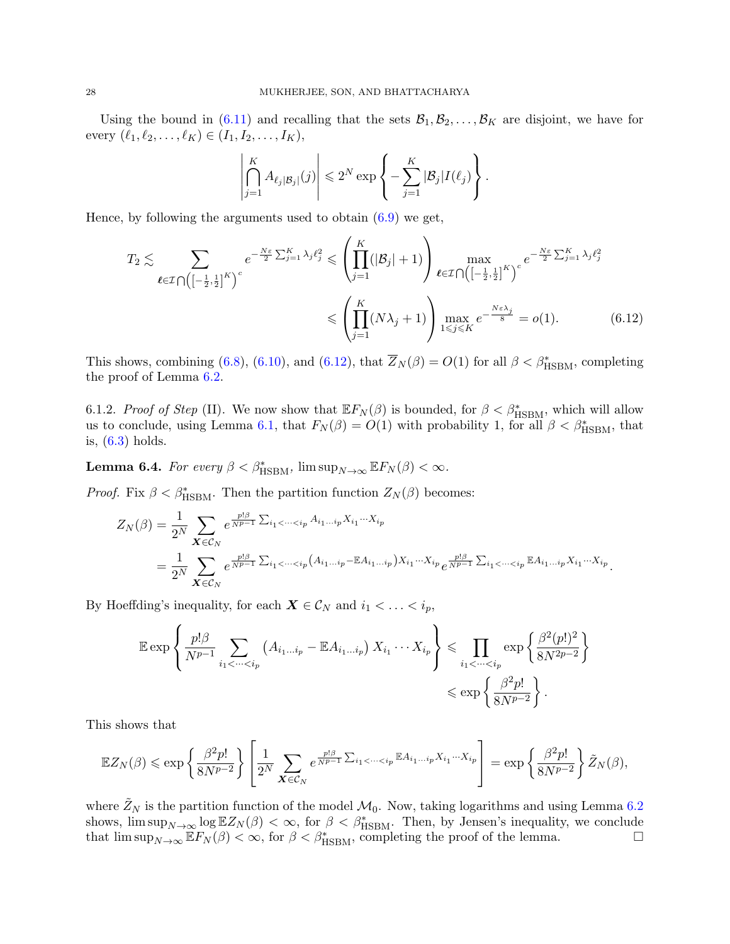Using the bound in [\(6.11\)](#page-26-0) and recalling that the sets  $\mathcal{B}_1, \mathcal{B}_2, \ldots, \mathcal{B}_K$  are disjoint, we have for every  $(\ell_1, \ell_2, \ldots, \ell_K) \in (I_1, I_2, \ldots, I_K),$ 

<span id="page-27-1"></span>
$$
\left|\bigcap_{j=1}^K A_{\ell_j|\mathcal{B}_j|}(j)\right| \leq 2^N \exp\left\{-\sum_{j=1}^K |\mathcal{B}_j| I(\ell_j)\right\}.
$$

Hence, by following the arguments used to obtain  $(6.9)$  we get,

$$
T_2 \lesssim \sum_{\ell \in \mathcal{I}} \sum_{\bigcap \left( \left[-\frac{1}{2},\frac{1}{2}\right]^K \right)^c} e^{-\frac{N\varepsilon}{2} \sum_{j=1}^K \lambda_j \ell_j^2} \leq \left( \prod_{j=1}^K (|\mathcal{B}_j|+1) \right) \max_{\ell \in \mathcal{I}} \sum_{\bigcap \left( \left[-\frac{1}{2},\frac{1}{2}\right]^K \right)^c} e^{-\frac{N\varepsilon}{2} \sum_{j=1}^K \lambda_j \ell_j^2}
$$

$$
\leq \left( \prod_{j=1}^K (N\lambda_j+1) \right) \max_{1 \leq j \leq K} e^{-\frac{N\varepsilon \lambda_j}{8}} = o(1). \tag{6.12}
$$

This shows, combining [\(6.8\)](#page-25-2), [\(6.10\)](#page-26-2), and [\(6.12\)](#page-27-1), that  $\overline{Z}_N(\beta) = O(1)$  for all  $\beta < \beta_{\text{HSBM}}^*$ , completing the proof of Lemma [6.2.](#page-25-0)

6.1.2. Proof of Step (II). We now show that  $E F_N(\beta)$  is bounded, for  $\beta < \beta_{\text{HSBM}}^*$ , which will allow us to conclude, using Lemma [6.1,](#page-23-3) that  $F_N(\beta) = O(1)$  with probability 1, for all  $\beta < \beta_{\text{HSBM}}^*$ , that is, [\(6.3\)](#page-24-0) holds.

<span id="page-27-0"></span>**Lemma 6.4.** For every  $\beta < \beta_{\text{HSBM}}^*$ ,  $\limsup_{N \to \infty} \mathbb{E} F_N(\beta) < \infty$ .

*Proof.* Fix  $\beta < \beta_{\text{HSBM}}^*$ . Then the partition function  $Z_N(\beta)$  becomes:

$$
Z_N(\beta) = \frac{1}{2^N} \sum_{\mathbf{X} \in \mathcal{C}_N} e^{\frac{p! \beta}{N^{p-1}} \sum_{i_1 < \dots < i_p} A_{i_1 \dots i_p} X_{i_1} \dots X_{i_p}} = \frac{1}{2^N} \sum_{\mathbf{X} \in \mathcal{C}_N} e^{\frac{p! \beta}{N^{p-1}} \sum_{i_1 < \dots < i_p} (A_{i_1 \dots i_p} - \mathbb{E} A_{i_1 \dots i_p}) X_{i_1} \dots X_{i_p}} e^{\frac{p! \beta}{N^{p-1}} \sum_{i_1 < \dots < i_p} \mathbb{E} A_{i_1 \dots i_p} X_{i_1} \dots X_{i_p}}.
$$

By Hoeffding's inequality, for each  $\mathbf{X} \in \mathcal{C}_N$  and  $i_1 < \ldots < i_p$ ,

$$
\mathbb{E} \exp \left\{ \frac{p! \beta}{N^{p-1}} \sum_{i_1 < \dots < i_p} \left( A_{i_1 \dots i_p} - \mathbb{E} A_{i_1 \dots i_p} \right) X_{i_1} \dots X_{i_p} \right\} \leqslant \prod_{i_1 < \dots < i_p} \exp \left\{ \frac{\beta^2(p!)^2}{8N^{2p-2}} \right\} \leqslant \exp \left\{ \frac{\beta^2 p!}{8N^{p-2}} \right\}.
$$

This shows that

$$
\mathbb{E}Z_N(\beta) \leqslant \exp\left\{\frac{\beta^2 p!}{8N^{p-2}}\right\} \left[\frac{1}{2^N} \sum_{\mathbf{X}\in\mathcal{C}_N} e^{\frac{p!\beta}{N^{p-1}}\sum_{i_1\leq\cdots\leq i_p} \mathbb{E}A_{i_1\ldots i_p}X_{i_1}\cdots X_{i_p}}\right] = \exp\left\{\frac{\beta^2 p!}{8N^{p-2}}\right\} \tilde{Z}_N(\beta),
$$

where  $\tilde{Z}_N$  is the partition function of the model  $\mathcal{M}_0$ . Now, taking logarithms and using Lemma [6.2](#page-25-0) shows,  $\limsup_{N\to\infty} \log \mathbb{E}Z_N(\beta) < \infty$ , for  $\beta < \beta_{\text{HSBM}}^*$ . Then, by Jensen's inequality, we conclude that  $\limsup_{N\to\infty}$   $\mathbb{E}F_N(\beta) < \infty$ , for  $\beta < \beta_{\text{HSBM}}^*$ , completing the proof of the lemma.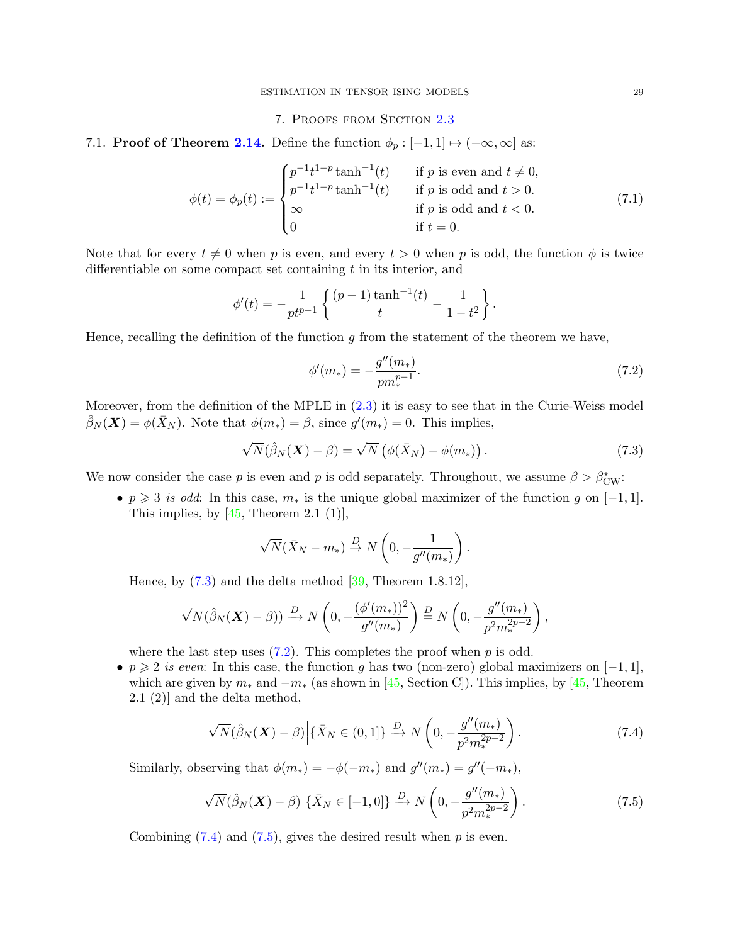## <span id="page-28-6"></span>7. Proofs from Section [2.3](#page-10-0)

<span id="page-28-1"></span><span id="page-28-0"></span>7.1. **Proof of Theorem [2.14.](#page-11-0)** Define the function  $\phi_p : [-1,1] \mapsto (-\infty, \infty]$  as:

$$
\phi(t) = \phi_p(t) := \begin{cases} p^{-1}t^{1-p} \tanh^{-1}(t) & \text{if } p \text{ is even and } t \neq 0, \\ p^{-1}t^{1-p} \tanh^{-1}(t) & \text{if } p \text{ is odd and } t > 0. \\ \infty & \text{if } p \text{ is odd and } t < 0. \\ 0 & \text{if } t = 0. \end{cases} \tag{7.1}
$$

Note that for every  $t \neq 0$  when p is even, and every  $t > 0$  when p is odd, the function  $\phi$  is twice differentiable on some compact set containing  $t$  in its interior, and

$$
\phi'(t) = -\frac{1}{pt^{p-1}} \left\{ \frac{(p-1)\tanh^{-1}(t)}{t} - \frac{1}{1-t^2} \right\}.
$$

Hence, recalling the definition of the function  $g$  from the statement of the theorem we have,

<span id="page-28-3"></span>
$$
\phi'(m_*) = -\frac{g''(m_*)}{pm_*^{p-1}}.\tag{7.2}
$$

Moreover, from the definition of the MPLE in  $(2.3)$  it is easy to see that in the Curie-Weiss model  $\hat{\beta}_N(\boldsymbol{X}) = \phi(\bar{X}_N)$ . Note that  $\phi(m_*) = \beta$ , since  $g'(m_*) = 0$ . This implies,

<span id="page-28-2"></span>
$$
\sqrt{N}(\hat{\beta}_N(\boldsymbol{X}) - \beta) = \sqrt{N} \left( \phi(\bar{X}_N) - \phi(m_*) \right). \tag{7.3}
$$

We now consider the case p is even and p is odd separately. Throughout, we assume  $\beta > \beta_{\text{CW}}^*$ :

•  $p \geq 3$  is odd: In this case,  $m_*$  is the unique global maximizer of the function g on  $[-1, 1]$ . This implies, by  $[45,$  Theorem 2.1 (1)],

<span id="page-28-4"></span>
$$
\sqrt{N}(\bar{X}_N - m_*) \stackrel{D}{\rightarrow} N\left(0, -\frac{1}{g''(m_*)}\right).
$$

Hence, by [\(7.3\)](#page-28-2) and the delta method [\[39,](#page-32-27) Theorem 1.8.12],

$$
\sqrt{N}(\hat{\beta}_N(\boldsymbol{X}) - \beta)) \xrightarrow{D} N\left(0, -\frac{(\phi'(m_*))^2}{g''(m_*)}\right) \xrightarrow{D} N\left(0, -\frac{g''(m_*)}{p^2 m_*^{2p-2}}\right),
$$

where the last step uses  $(7.2)$ . This completes the proof when p is odd.

• p  $\geq 2$  is even: In this case, the function g has two (non-zero) global maximizers on  $[-1, 1]$ , which are given by  $m_*$  and  $-m_*$  (as shown in [\[45,](#page-32-24) Section C]). This implies, by [45, Theorem 2.1 (2)] and the delta method,

$$
\sqrt{N}(\hat{\beta}_N(\boldsymbol{X}) - \beta) \Big| \{\bar{X}_N \in (0, 1]\} \xrightarrow{D} N\left(0, -\frac{g''(m_*)}{p^2 m_*^{2p-2}}\right). \tag{7.4}
$$

Similarly, observing that  $\phi(m_*) = -\phi(-m_*)$  and  $g''(m_*) = g''(-m_*)$ ,

<span id="page-28-5"></span>
$$
\sqrt{N}(\hat{\beta}_N(\boldsymbol{X}) - \beta) \Big| \{\bar{X}_N \in [-1, 0] \} \xrightarrow{D} N \left( 0, -\frac{g''(m_*)}{p^2 m_*^{2p-2}} \right). \tag{7.5}
$$

Combining  $(7.4)$  and  $(7.5)$ , gives the desired result when p is even.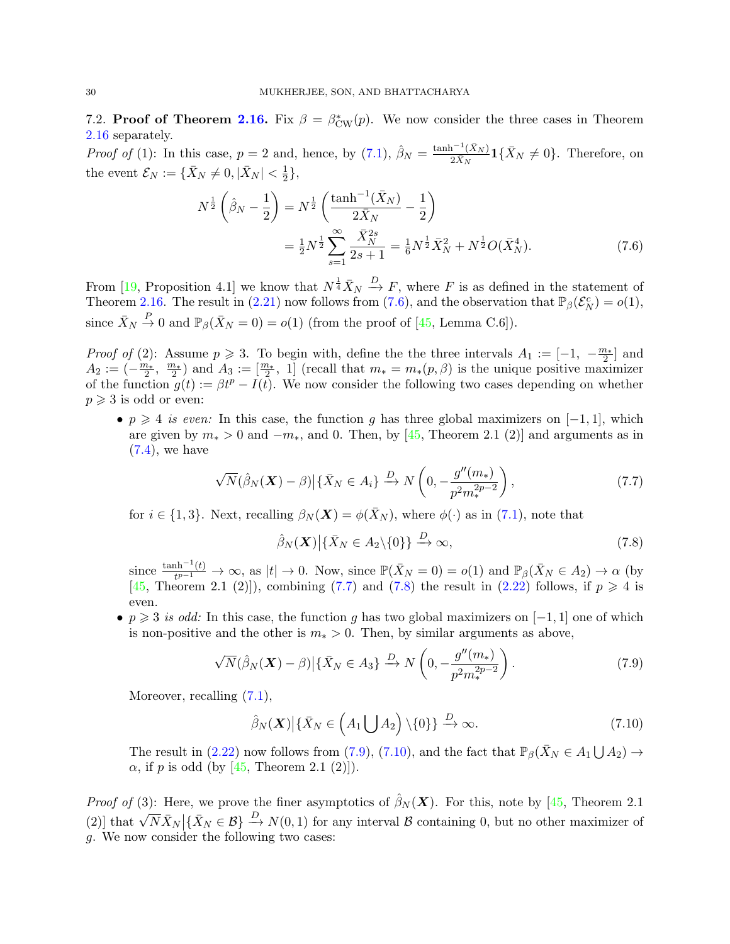7.2. Proof of Theorem [2.16.](#page-12-0) Fix  $\beta = \beta_{CW}^*(p)$ . We now consider the three cases in Theorem [2.16](#page-12-0) separately.

*Proof of* (1): In this case,  $p = 2$  and, hence, by [\(7.1\)](#page-28-6),  $\hat{\beta}_N = \frac{\tanh^{-1}(\bar{X}_N)}{2\bar{X}_N}$  $\frac{\Gamma^{-1}(X_N)}{2\bar{X}_N}$ **1**{ $\bar{X}_N \neq 0$ }. Therefore, on the event  $\mathcal{E}_N := \{ \bar{X}_N \neq 0, | \bar{X}_N | < \frac{1}{2} \}$  $\frac{1}{2}$ ,

<span id="page-29-0"></span>
$$
N^{\frac{1}{2}}\left(\hat{\beta}_N - \frac{1}{2}\right) = N^{\frac{1}{2}}\left(\frac{\tanh^{-1}(\bar{X}_N)}{2\bar{X}_N} - \frac{1}{2}\right)
$$
  

$$
= \frac{1}{2}N^{\frac{1}{2}}\sum_{s=1}^{\infty}\frac{\bar{X}_N^{2s}}{2s+1} = \frac{1}{6}N^{\frac{1}{2}}\bar{X}_N^2 + N^{\frac{1}{2}}O(\bar{X}_N^4). \tag{7.6}
$$

From [\[19,](#page-31-25) Proposition 4.1] we know that  $N^{\frac{1}{4}}\bar{X}_N \stackrel{D}{\longrightarrow} F$ , where F is as defined in the statement of Theorem [2.16.](#page-12-0) The result in [\(2.21\)](#page-12-1) now follows from [\(7.6\)](#page-29-0), and the observation that  $\mathbb{P}_{\beta}(\mathcal{E}_{N}^{c}) = o(1)$ , since  $\bar{X}_N \stackrel{P}{\to} 0$  and  $\mathbb{P}_{\beta}(\bar{X}_N = 0) = o(1)$  (from the proof of [\[45,](#page-32-24) Lemma C.6]).

*Proof of* (2): Assume  $p \ge 3$ . To begin with, define the the three intervals  $A_1 := \begin{bmatrix} -1, & -\frac{m_*}{2} \end{bmatrix}$  and  $A_2 := \left(-\frac{m_*}{2}, \frac{m_*}{2}\right)$  and  $A_3 := \left[\frac{m_*}{2}, 1\right]$  (recall that  $m_* = m_*(p, \beta)$  is the unique positive maximizer of the function  $g(t) := \beta t^p - I(t)$ . We now consider the following two cases depending on whether  $p \geqslant 3$  is odd or even:

•  $p \geq 4$  is even: In this case, the function g has three global maximizers on  $[-1, 1]$ , which are given by  $m_* > 0$  and  $-m_*$ , and 0. Then, by [\[45,](#page-32-24) Theorem 2.1 (2)] and arguments as in  $(7.4)$ , we have

<span id="page-29-1"></span>
$$
\sqrt{N}(\hat{\beta}_N(\boldsymbol{X}) - \beta) \Big| \{\bar{X}_N \in A_i\} \xrightarrow{D} N\left(0, -\frac{g''(m_*)}{p^2 m_*^{2p-2}}\right),\tag{7.7}
$$

for  $i \in \{1,3\}$ . Next, recalling  $\beta_N(\boldsymbol{X}) = \phi(\bar{X}_N)$ , where  $\phi(\cdot)$  as in [\(7.1\)](#page-28-6), note that

<span id="page-29-2"></span>
$$
\hat{\beta}_N(\boldsymbol{X}) \big| \{\bar{X}_N \in A_2 \setminus \{0\}\} \xrightarrow{D} \infty,\tag{7.8}
$$

since  $\frac{\tanh^{-1}(t)}{t^{p-1}}$  $\frac{\text{ch}^{-1}(t)}{t^{p-1}} \to \infty$ , as  $|t| \to 0$ . Now, since  $\mathbb{P}(\bar{X}_N = 0) = o(1)$  and  $\mathbb{P}_{\beta}(\bar{X}_N \in A_2) \to \alpha$  (by [\[45,](#page-32-24) Theorem 2.1 (2)]), combining [\(7.7\)](#page-29-1) and [\(7.8\)](#page-29-2) the result in [\(2.22\)](#page-12-2) follows, if  $p \geq 4$  is even.

• p  $\geq 3$  is odd: In this case, the function g has two global maximizers on [-1, 1] one of which is non-positive and the other is  $m_* > 0$ . Then, by similar arguments as above,

<span id="page-29-3"></span>
$$
\sqrt{N}(\hat{\beta}_N(\boldsymbol{X}) - \beta) \Big| \{\bar{X}_N \in A_3\} \xrightarrow{D} N\left(0, -\frac{g''(m_*)}{p^2 m_*^{2p-2}}\right). \tag{7.9}
$$

Moreover, recalling  $(7.1)$ ,

<span id="page-29-4"></span>
$$
\hat{\beta}_N(\boldsymbol{X}) \big| \{\bar{X}_N \in \left(A_1 \bigcup A_2\right) \setminus \{0\}\} \xrightarrow{D} \infty. \tag{7.10}
$$

The result in [\(2.22\)](#page-12-2) now follows from [\(7.9\)](#page-29-3), [\(7.10\)](#page-29-4), and the fact that  $\mathbb{P}_{\beta}(\bar{X}_N \in A_1 \bigcup A_2) \to$  $\alpha$ , if p is odd (by [\[45,](#page-32-24) Theorem 2.1 (2)]).

*Proof of* (3): Here, we prove the finer asymptotics of  $\hat{\beta}_N(\boldsymbol{X})$ . For this, note by [\[45,](#page-32-24) Theorem 2.1] (2)] that  $\sqrt{N}\bar{X}_N\big|\{\bar{X}_N\in\mathcal{B}\}\big|\longrightarrow N(0,1)$  for any interval  $\mathcal B$  containing 0, but no other maximizer of g. We now consider the following two cases: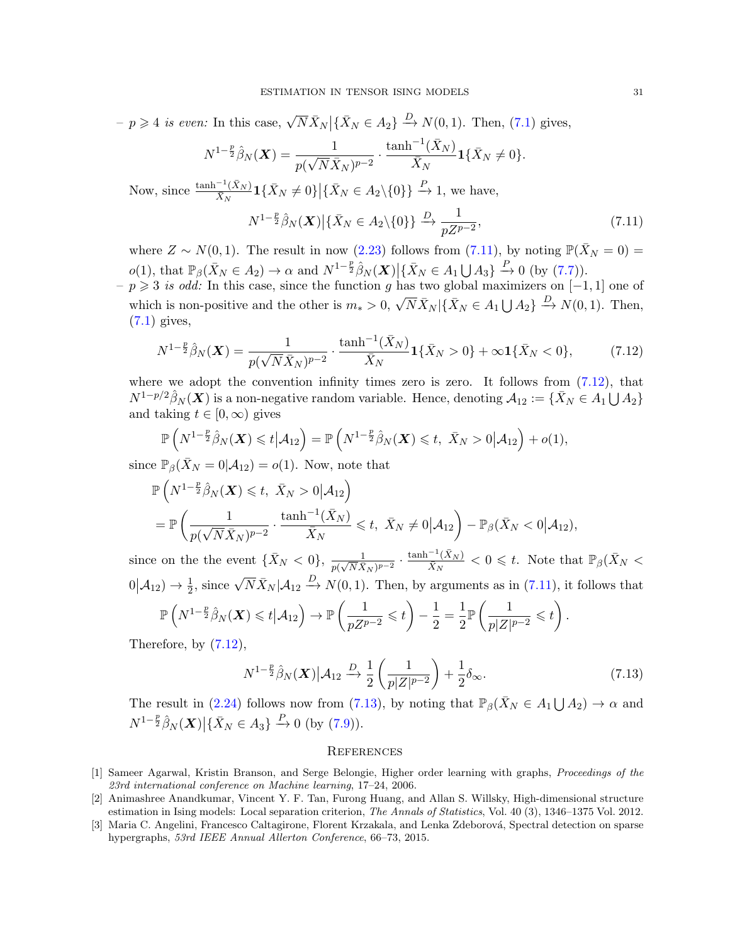$-p \geq 4$  is even: In this case,  $\sqrt{N} \bar{X}_N |\{\bar{X}_N \in A_2\} \stackrel{D}{\to} N(0,1)$ . Then, [\(7.1\)](#page-28-6) gives,

$$
N^{1-\frac{p}{2}}\hat{\beta}_N(\mathbf{X}) = \frac{1}{p(\sqrt{N}\bar{X}_N)^{p-2}} \cdot \frac{\tanh^{-1}(\bar{X}_N)}{\bar{X}_N} \mathbf{1}_{\{\bar{X}_N \neq 0\}.
$$

Now, since  $\frac{\tanh^{-1}(\bar{X}_N)}{\bar{Y}_M}$  $\frac{1-(\bar{X}_N)}{\bar{X}_N}$ **1** $\{\bar{X}_N \neq 0\}$  | $\{\bar{X}_N \in A_2 \setminus \{0\}\}$   $\stackrel{P}{\to}$  1, we have,

<span id="page-30-3"></span>
$$
N^{1-\frac{p}{2}}\hat{\beta}_N(\boldsymbol{X})\big|\{\bar{X}_N\in A_2\backslash\{0\}\}\xrightarrow{D}\frac{1}{pZ^{p-2}},\tag{7.11}
$$

where  $Z \sim N(0, 1)$ . The result in now [\(2.23\)](#page-12-3) follows from [\(7.11\)](#page-30-3), by noting  $\mathbb{P}(\bar{X}_N = 0) =$  $o(1)$ , that  $\mathbb{P}_{\beta}(\bar{X}_N \in A_2) \to \alpha$  and  $N^{1-\frac{p}{2}}\hat{\beta}_N(\boldsymbol{X}) \Big| \{\bar{X}_N \in A_1 \bigcup A_3\} \stackrel{P}{\to} 0$  (by [\(7.7\)](#page-29-1)).

 $-p \geq 3$  is odd: In this case, since the function g has two global maximizers on [−1, 1] one of which is non-positive and the other is  $m_* > 0$ ,  $\sqrt{N} \bar{X}_N |\{\bar{X}_N \in A_1 \cup A_2\} \stackrel{D}{\to} N(0, 1)$ . Then, [\(7.1\)](#page-28-6) gives,

<span id="page-30-4"></span>
$$
N^{1-\frac{p}{2}}\hat{\beta}_N(\boldsymbol{X}) = \frac{1}{p(\sqrt{N}\bar{X}_N)^{p-2}} \cdot \frac{\tanh^{-1}(\bar{X}_N)}{\bar{X}_N} \mathbf{1}\{\bar{X}_N > 0\} + \infty \mathbf{1}\{\bar{X}_N < 0\},\tag{7.12}
$$

where we adopt the convention infinity times zero is zero. It follows from  $(7.12)$ , that  $N^{1-p/2}\hat{\beta}_N(\boldsymbol{X})$  is a non-negative random variable. Hence, denoting  $\mathcal{A}_{12} := \{ \bar{X}_N \in A_1 \bigcup A_2 \}$ and taking  $t \in [0, \infty)$  gives

$$
\mathbb{P}\left(N^{1-\frac{p}{2}}\hat{\beta}_N(\boldsymbol{X})\leqslant t\big| \mathcal{A}_{12}\right)=\mathbb{P}\left(N^{1-\frac{p}{2}}\hat{\beta}_N(\boldsymbol{X})\leqslant t,\ \bar{X}_N>0\big| \mathcal{A}_{12}\right)+o(1),
$$

since  $\mathbb{P}_{\beta}(\bar{X}_N=0|\mathcal{A}_{12})=o(1)$ . Now, note that

$$
\mathbb{P}\left(N^{1-\frac{p}{2}}\hat{\beta}_N(\boldsymbol{X})\leq t, \ \bar{X}_N>0|\mathcal{A}_{12}\right)
$$
\n
$$
=\mathbb{P}\left(\frac{1}{p(\sqrt{N}\bar{X}_N)^{p-2}}\cdot \frac{\tanh^{-1}(\bar{X}_N)}{\bar{X}_N}\leq t, \ \bar{X}_N\neq 0|\mathcal{A}_{12}\right)-\mathbb{P}_{\beta}(\bar{X}_N<0|\mathcal{A}_{12}),
$$

since on the the event  $\{\bar{X}_N < 0\}, \frac{1}{p(\sqrt{N}\bar{X})}$  $\frac{1}{p(\sqrt{N}\bar{X}_N)^{p-2}}$  .  $\tanh^{-1}(\bar{X}_N)$  $\frac{(-1)(X_N)}{\bar{X}_N} < 0 \leq t$ . Note that  $\mathbb{P}_{\beta}(\bar{X}_N <$  $0|\mathcal{A}_{12}\rangle \to \frac{1}{2}$ , since  $\sqrt{N}\bar{X}_N|\mathcal{A}_{12} \stackrel{D}{\to} N(0,1)$ . Then, by arguments as in [\(7.11\)](#page-30-3), it follows that  $\mathbb{P}\left(N^{1-\frac{p}{2}}\hat{\beta}_N(\boldsymbol{X})\leqslant t\big| \mathcal{A}_{12}\right)\rightarrow \mathbb{P}\left(\frac{1}{nZ^p}\right)$  $\frac{1}{pZ^{p-2}} \leqslant t$ − 1  $\frac{1}{2} = \frac{1}{2}$ 2  $p\left(\frac{1}{\cdots}\right)$  $\frac{1}{p|Z|^{p-2}} \leqslant t$ .

Therefore, by  $(7.12)$ ,

<span id="page-30-5"></span>
$$
N^{1-\frac{p}{2}}\hat{\beta}_N(\boldsymbol{X})\big|\mathcal{A}_{12}\xrightarrow{D}\frac{1}{2}\left(\frac{1}{p|Z|^{p-2}}\right)+\frac{1}{2}\delta_{\infty}.\tag{7.13}
$$

The result in [\(2.24\)](#page-13-1) follows now from [\(7.13\)](#page-30-5), by noting that  $\mathbb{P}_{\beta}(\bar{X}_N \in A_1 \bigcup A_2) \to \alpha$  and  $N^{1-\frac{p}{2}}\hat{\beta}_N(\boldsymbol{X})\big|\{\bar{X}_N\in A_3\}\stackrel{P}{\to} 0 \text{ (by (7.9))}.$  $N^{1-\frac{p}{2}}\hat{\beta}_N(\boldsymbol{X})\big|\{\bar{X}_N\in A_3\}\stackrel{P}{\to} 0 \text{ (by (7.9))}.$  $N^{1-\frac{p}{2}}\hat{\beta}_N(\boldsymbol{X})\big|\{\bar{X}_N\in A_3\}\stackrel{P}{\to} 0 \text{ (by (7.9))}.$ 

#### **REFERENCES**

- <span id="page-30-0"></span>[1] Sameer Agarwal, Kristin Branson, and Serge Belongie, Higher order learning with graphs, Proceedings of the 23rd international conference on Machine learning, 17–24, 2006.
- <span id="page-30-1"></span>[2] Animashree Anandkumar, Vincent Y. F. Tan, Furong Huang, and Allan S. Willsky, High-dimensional structure estimation in Ising models: Local separation criterion, The Annals of Statistics, Vol. 40 (3), 1346–1375 Vol. 2012.
- <span id="page-30-2"></span>[3] Maria C. Angelini, Francesco Caltagirone, Florent Krzakala, and Lenka Zdeborová, Spectral detection on sparse hypergraphs, 53rd IEEE Annual Allerton Conference, 66–73, 2015.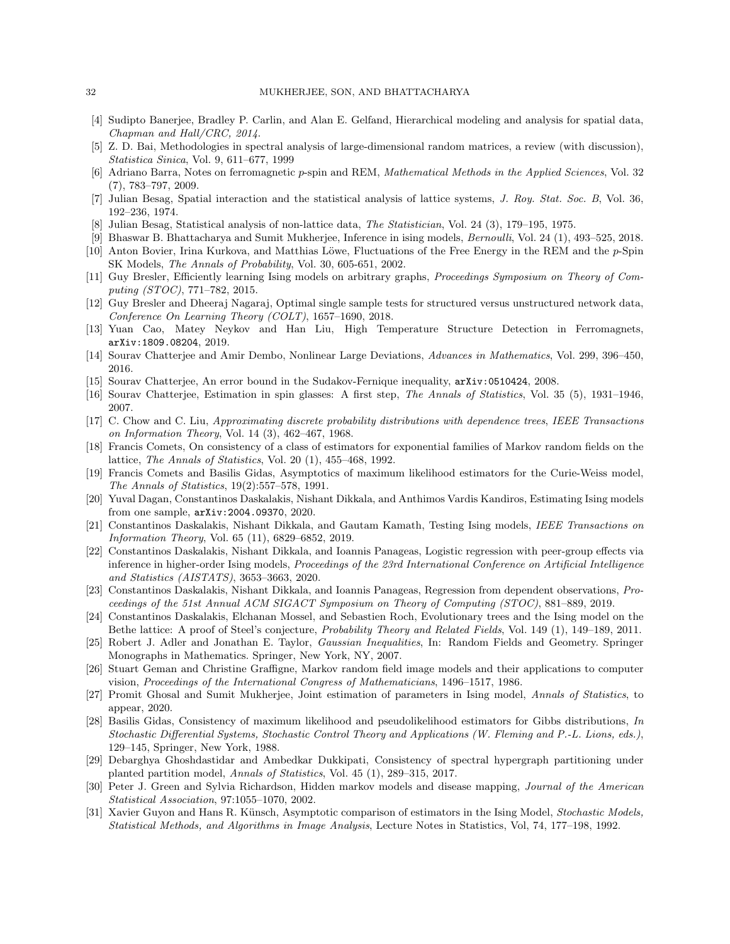- <span id="page-31-0"></span>[4] Sudipto Banerjee, Bradley P. Carlin, and Alan E. Gelfand, Hierarchical modeling and analysis for spatial data, Chapman and Hall/CRC, 2014.
- <span id="page-31-22"></span>[5] Z. D. Bai, Methodologies in spectral analysis of large-dimensional random matrices, a review (with discussion), Statistica Sinica, Vol. 9, 611–677, 1999
- <span id="page-31-16"></span>[6] Adriano Barra, Notes on ferromagnetic p-spin and REM, Mathematical Methods in the Applied Sciences, Vol. 32 (7), 783–797, 2009.
- <span id="page-31-8"></span>[7] Julian Besag, Spatial interaction and the statistical analysis of lattice systems, J. Roy. Stat. Soc. B, Vol. 36, 192–236, 1974.
- <span id="page-31-9"></span>[8] Julian Besag, Statistical analysis of non-lattice data, The Statistician, Vol. 24 (3), 179–195, 1975.
- <span id="page-31-10"></span>[9] Bhaswar B. Bhattacharya and Sumit Mukherjee, Inference in ising models, Bernoulli, Vol. 24 (1), 493–525, 2018.
- <span id="page-31-17"></span>[10] Anton Bovier, Irina Kurkova, and Matthias Löwe, Fluctuations of the Free Energy in the REM and the  $p$ -Spin SK Models, The Annals of Probability, Vol. 30, 605-651, 2002.
- <span id="page-31-18"></span>[11] Guy Bresler, Efficiently learning Ising models on arbitrary graphs, Proceedings Symposium on Theory of Computing (STOC), 771–782, 2015.
- <span id="page-31-15"></span>[12] Guy Bresler and Dheeraj Nagaraj, Optimal single sample tests for structured versus unstructured network data, Conference On Learning Theory (COLT), 1657–1690, 2018.
- <span id="page-31-21"></span>[13] Yuan Cao, Matey Neykov and Han Liu, High Temperature Structure Detection in Ferromagnets, arXiv:1809.08204, 2019.
- <span id="page-31-24"></span>[14] Sourav Chatterjee and Amir Dembo, Nonlinear Large Deviations, Advances in Mathematics, Vol. 299, 396–450, 2016.
- <span id="page-31-26"></span>[15] Sourav Chatterjee, An error bound in the Sudakov-Fernique inequality, arXiv:0510424, 2008.
- <span id="page-31-7"></span>[16] Sourav Chatterjee, Estimation in spin glasses: A first step, The Annals of Statistics, Vol. 35 (5), 1931–1946, 2007.
- <span id="page-31-19"></span>[17] C. Chow and C. Liu, Approximating discrete probability distributions with dependence trees, IEEE Transactions on Information Theory, Vol. 14 (3), 462–467, 1968.
- <span id="page-31-4"></span>[18] Francis Comets, On consistency of a class of estimators for exponential families of Markov random fields on the lattice, The Annals of Statistics, Vol. 20 (1), 455–468, 1992.
- <span id="page-31-25"></span>[19] Francis Comets and Basilis Gidas, Asymptotics of maximum likelihood estimators for the Curie-Weiss model, The Annals of Statistics, 19(2):557–578, 1991.
- <span id="page-31-14"></span>[20] Yuval Dagan, Constantinos Daskalakis, Nishant Dikkala, and Anthimos Vardis Kandiros, Estimating Ising models from one sample, arXiv:2004.09370, 2020.
- <span id="page-31-20"></span>[21] Constantinos Daskalakis, Nishant Dikkala, and Gautam Kamath, Testing Ising models, IEEE Transactions on Information Theory, Vol. 65 (11), 6829–6852, 2019.
- <span id="page-31-12"></span>[22] Constantinos Daskalakis, Nishant Dikkala, and Ioannis Panageas, Logistic regression with peer-group effects via inference in higher-order Ising models, Proceedings of the 23rd International Conference on Artificial Intelligence and Statistics (AISTATS), 3653–3663, 2020.
- <span id="page-31-13"></span>[23] Constantinos Daskalakis, Nishant Dikkala, and Ioannis Panageas, Regression from dependent observations, Proceedings of the 51st Annual ACM SIGACT Symposium on Theory of Computing (STOC), 881–889, 2019.
- <span id="page-31-1"></span>[24] Constantinos Daskalakis, Elchanan Mossel, and Sebastien Roch, Evolutionary trees and the Ising model on the Bethe lattice: A proof of Steel's conjecture, Probability Theory and Related Fields, Vol. 149 (1), 149–189, 2011.
- <span id="page-31-27"></span>[25] Robert J. Adler and Jonathan E. Taylor, Gaussian Inequalities, In: Random Fields and Geometry. Springer Monographs in Mathematics. Springer, New York, NY, 2007.
- <span id="page-31-2"></span>[26] Stuart Geman and Christine Graffigne, Markov random field image models and their applications to computer vision, Proceedings of the International Congress of Mathematicians, 1496–1517, 1986.
- <span id="page-31-11"></span>[27] Promit Ghosal and Sumit Mukherjee, Joint estimation of parameters in Ising model, Annals of Statistics, to appear, 2020.
- <span id="page-31-5"></span>[28] Basilis Gidas, Consistency of maximum likelihood and pseudolikelihood estimators for Gibbs distributions, In Stochastic Differential Systems, Stochastic Control Theory and Applications (W. Fleming and P.-L. Lions, eds.), 129–145, Springer, New York, 1988.
- <span id="page-31-23"></span>[29] Debarghya Ghoshdastidar and Ambedkar Dukkipati, Consistency of spectral hypergraph partitioning under planted partition model, Annals of Statistics, Vol. 45 (1), 289-315, 2017.
- <span id="page-31-3"></span>[30] Peter J. Green and Sylvia Richardson, Hidden markov models and disease mapping, Journal of the American Statistical Association, 97:1055–1070, 2002.
- <span id="page-31-6"></span>[31] Xavier Guyon and Hans R. Künsch, Asymptotic comparison of estimators in the Ising Model, Stochastic Models, Statistical Methods, and Algorithms in Image Analysis, Lecture Notes in Statistics, Vol, 74, 177–198, 1992.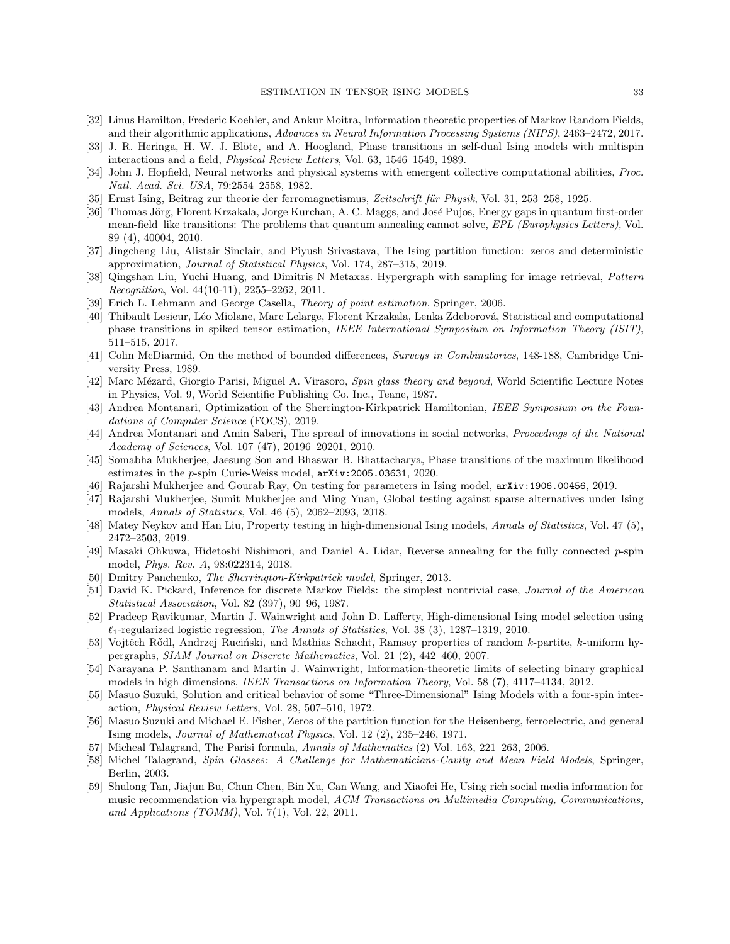- <span id="page-32-15"></span>[32] Linus Hamilton, Frederic Koehler, and Ankur Moitra, Information theoretic properties of Markov Random Fields, and their algorithmic applications, Advances in Neural Information Processing Systems (NIPS), 2463–2472, 2017.
- <span id="page-32-6"></span>[33] J. R. Heringa, H. W. J. Blöte, and A. Hoogland, Phase transitions in self-dual Ising models with multispin interactions and a field, Physical Review Letters, Vol. 63, 1546–1549, 1989.
- <span id="page-32-1"></span>[34] John J. Hopfield, Neural networks and physical systems with emergent collective computational abilities, Proc. Natl. Acad. Sci. USA, 79:2554–2558, 1982.
- <span id="page-32-0"></span>[35] Ernst Ising, Beitrag zur theorie der ferromagnetismus, Zeitschrift für Physik, Vol. 31, 253–258, 1925.
- <span id="page-32-7"></span>[36] Thomas Jörg, Florent Krzakala, Jorge Kurchan, A. C. Maggs, and José Pujos, Energy gaps in quantum first-order mean-field–like transitions: The problems that quantum annealing cannot solve, EPL (Europhysics Letters), Vol. 89 (4), 40004, 2010.
- <span id="page-32-8"></span>[37] Jingcheng Liu, Alistair Sinclair, and Piyush Srivastava, The Ising partition function: zeros and deterministic approximation, Journal of Statistical Physics, Vol. 174, 287–315, 2019.
- <span id="page-32-13"></span>[38] Qingshan Liu, Yuchi Huang, and Dimitris N Metaxas. Hypergraph with sampling for image retrieval, Pattern Recognition, Vol. 44(10-11), 2255–2262, 2011.
- <span id="page-32-27"></span>[39] Erich L. Lehmann and George Casella, Theory of point estimation, Springer, 2006.
- <span id="page-32-22"></span>[40] Thibault Lesieur, Léo Miolane, Marc Lelarge, Florent Krzakala, Lenka Zdeborová, Statistical and computational phase transitions in spiked tensor estimation, IEEE International Symposium on Information Theory (ISIT), 511–515, 2017.
- <span id="page-32-25"></span>[41] Colin McDiarmid, On the method of bounded differences, Surveys in Combinatorics, 148-188, Cambridge University Press, 1989.
- <span id="page-32-19"></span>[42] Marc Mézard, Giorgio Parisi, Miguel A. Virasoro, Spin glass theory and beyond, World Scientific Lecture Notes in Physics, Vol. 9, World Scientific Publishing Co. Inc., Teane, 1987.
- <span id="page-32-20"></span>[43] Andrea Montanari, Optimization of the Sherrington-Kirkpatrick Hamiltonian, IEEE Symposium on the Foundations of Computer Science (FOCS), 2019.
- <span id="page-32-2"></span>[44] Andrea Montanari and Amin Saberi, The spread of innovations in social networks, Proceedings of the National Academy of Sciences, Vol. 107 (47), 20196–20201, 2010.
- <span id="page-32-24"></span>[45] Somabha Mukherjee, Jaesung Son and Bhaswar B. Bhattacharya, Phase transitions of the maximum likelihood estimates in the p-spin Curie-Weiss model, arXiv:2005.03631, 2020.
- <span id="page-32-4"></span>[46] Rajarshi Mukherjee and Gourab Ray, On testing for parameters in Ising model, arXiv:1906.00456, 2019.
- <span id="page-32-5"></span>[47] Rajarshi Mukherjee, Sumit Mukherjee and Ming Yuan, Global testing against sparse alternatives under Ising models, Annals of Statistics, Vol. 46 (5), 2062–2093, 2018.
- <span id="page-32-18"></span>[48] Matey Neykov and Han Liu, Property testing in high-dimensional Ising models, Annals of Statistics, Vol. 47 (5), 2472–2503, 2019.
- <span id="page-32-9"></span>[49] Masaki Ohkuwa, Hidetoshi Nishimori, and Daniel A. Lidar, Reverse annealing for the fully connected p-spin model, Phys. Rev. A, 98:022314, 2018.
- <span id="page-32-12"></span>[50] Dmitry Panchenko, The Sherrington-Kirkpatrick model, Springer, 2013.
- <span id="page-32-3"></span>[51] David K. Pickard, Inference for discrete Markov Fields: the simplest nontrivial case, Journal of the American Statistical Association, Vol. 82 (397), 90–96, 1987.
- <span id="page-32-16"></span>[52] Pradeep Ravikumar, Martin J. Wainwright and John D. Lafferty, High-dimensional Ising model selection using  $\ell_1$ -regularized logistic regression, The Annals of Statistics, Vol. 38 (3), 1287–1319, 2010.
- <span id="page-32-23"></span>[53] Vojtěch Rődl, Andrzej Ruciński, and Mathias Schacht, Ramsey properties of random k-partite, k-uniform hypergraphs, SIAM Journal on Discrete Mathematics, Vol. 21 (2), 442–460, 2007.
- <span id="page-32-17"></span>[54] Narayana P. Santhanam and Martin J. Wainwright, Information-theoretic limits of selecting binary graphical models in high dimensions, IEEE Transactions on Information Theory, Vol. 58 (7), 4117–4134, 2012.
- <span id="page-32-10"></span>[55] Masuo Suzuki, Solution and critical behavior of some "Three-Dimensional" Ising Models with a four-spin interaction, Physical Review Letters, Vol. 28, 507–510, 1972.
- <span id="page-32-11"></span>[56] Masuo Suzuki and Michael E. Fisher, Zeros of the partition function for the Heisenberg, ferroelectric, and general Ising models, Journal of Mathematical Physics, Vol. 12 (2), 235–246, 1971.
- <span id="page-32-21"></span>[57] Micheal Talagrand, The Parisi formula, Annals of Mathematics (2) Vol. 163, 221–263, 2006.
- <span id="page-32-26"></span>[58] Michel Talagrand, Spin Glasses: A Challenge for Mathematicians-Cavity and Mean Field Models, Springer, Berlin, 2003.
- <span id="page-32-14"></span>[59] Shulong Tan, Jiajun Bu, Chun Chen, Bin Xu, Can Wang, and Xiaofei He, Using rich social media information for music recommendation via hypergraph model, ACM Transactions on Multimedia Computing, Communications, and Applications (TOMM), Vol. 7(1), Vol. 22, 2011.